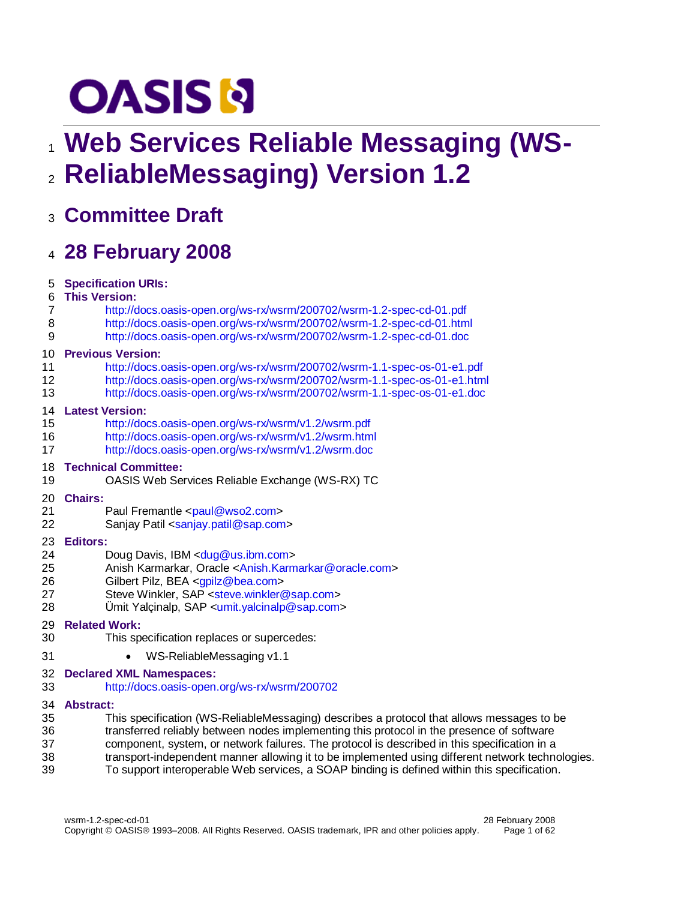# **OASIS N**

# **Web Services Reliable Messaging (WS-ReliableMessaging) Version 1.2**

**Committee Draft**

# **28 February 2008**

| 5  | <b>Specification URIs:</b>                                                                       |
|----|--------------------------------------------------------------------------------------------------|
| 6  | <b>This Version:</b>                                                                             |
| 7  | http://docs.oasis-open.org/ws-rx/wsrm/200702/wsrm-1.2-spec-cd-01.pdf                             |
| 8  | http://docs.oasis-open.org/ws-rx/wsrm/200702/wsrm-1.2-spec-cd-01.html                            |
| 9  | http://docs.oasis-open.org/ws-rx/wsrm/200702/wsrm-1.2-spec-cd-01.doc                             |
| 10 | <b>Previous Version:</b>                                                                         |
| 11 | http://docs.oasis-open.org/ws-rx/wsrm/200702/wsrm-1.1-spec-os-01-e1.pdf                          |
| 12 | http://docs.oasis-open.org/ws-rx/wsrm/200702/wsrm-1.1-spec-os-01-e1.html                         |
| 13 | http://docs.oasis-open.org/ws-rx/wsrm/200702/wsrm-1.1-spec-os-01-e1.doc                          |
| 14 | <b>Latest Version:</b>                                                                           |
| 15 | http://docs.oasis-open.org/ws-rx/wsrm/v1.2/wsrm.pdf                                              |
| 16 | http://docs.oasis-open.org/ws-rx/wsrm/v1.2/wsrm.html                                             |
| 17 | http://docs.oasis-open.org/ws-rx/wsrm/v1.2/wsrm.doc                                              |
| 18 | <b>Technical Committee:</b>                                                                      |
| 19 | OASIS Web Services Reliable Exchange (WS-RX) TC                                                  |
| 20 | <b>Chairs:</b>                                                                                   |
| 21 | Paul Fremantle <paul@wso2.com></paul@wso2.com>                                                   |
| 22 | Sanjay Patil <sanjay.patil@sap.com></sanjay.patil@sap.com>                                       |
| 23 | <b>Editors:</b>                                                                                  |
| 24 | Doug Davis, IBM <dug@us.ibm.com></dug@us.ibm.com>                                                |
| 25 | Anish Karmarkar, Oracle <anish.karmarkar@oracle.com></anish.karmarkar@oracle.com>                |
| 26 | Gilbert Pilz, BEA <gpilz@bea.com></gpilz@bea.com>                                                |
| 27 | Steve Winkler, SAP <steve.winkler@sap.com></steve.winkler@sap.com>                               |
| 28 | Ümit Yalçinalp, SAP <umit.yalcinalp@sap.com></umit.yalcinalp@sap.com>                            |
| 29 | <b>Related Work:</b>                                                                             |
| 30 | This specification replaces or supercedes:                                                       |
| 31 | WS-ReliableMessaging v1.1                                                                        |
| 32 | <b>Declared XML Namespaces:</b>                                                                  |
| 33 | http://docs.oasis-open.org/ws-rx/wsrm/200702                                                     |
| 34 | <b>Abstract:</b>                                                                                 |
| 35 | This specification (WS-ReliableMessaging) describes a protocol that allows messages to be        |
| 36 | transferred reliably between nodes implementing this protocol in the presence of software        |
| 37 | component, system, or network failures. The protocol is described in this specification in a     |
| 38 | transport-independent manner allowing it to be implemented using different network technologies. |
| 39 | To support interoperable Web services, a SOAP binding is defined within this specification.      |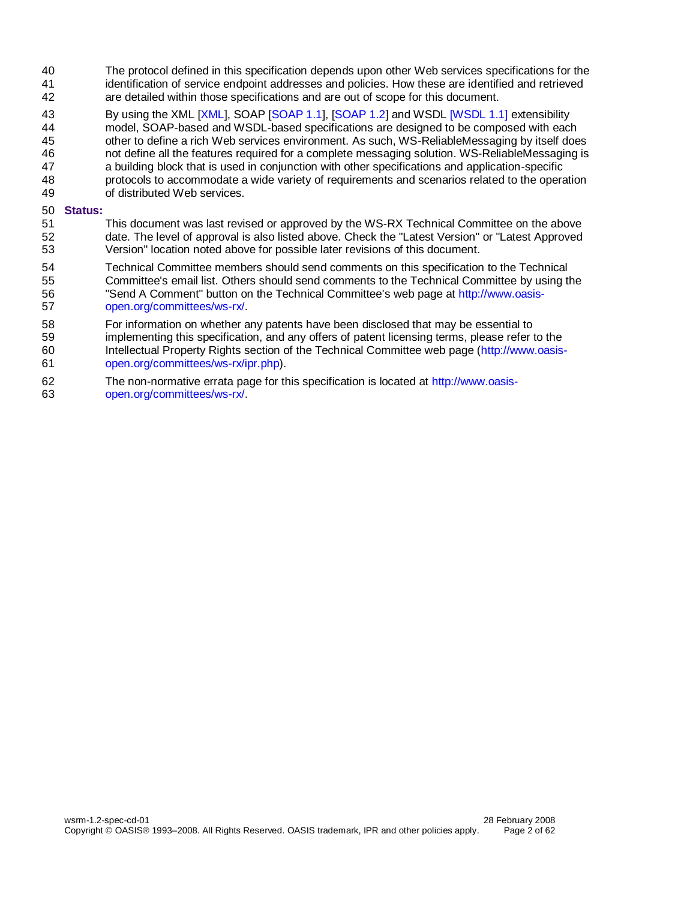- The protocol defined in this specification depends upon other Web services specifications for the identification of service endpoint addresses and policies. How these are identified and retrieved are detailed within those specifications and are out of scope for this document.
- 43 By using the XML [\[XML\]](#page-6-0), SOAP [\[SOAP 1.1\]](#page-6-1), [\[SOAP 1.2\]](#page-6-2) and WSD[L \[WSDL 1.1\] e](#page-6-3)xtensibility
- model, SOAP-based and WSDL-based specifications are designed to be composed with each
- other to define a rich Web services environment. As such, WS-ReliableMessaging by itself does
- not define all the features required for a complete messaging solution. WS-ReliableMessaging is
- a building block that is used in conjunction with other specifications and application-specific protocols to accommodate a wide variety of requirements and scenarios related to the operation
- of distributed Web services.

#### **Status:**

- This document was last revised or approved by the WS-RX Technical Committee on the above date. The level of approval is also listed above. Check the "Latest Version" or "Latest Approved Version" location noted above for possible later revisions of this document.
- Technical Committee members should send comments on this specification to the Technical Committee's email list. Others should send comments to the Technical Committee by using the "Send A Comment" button on the Technical Committee's web page at [http://www.oasis-](http://www.oasis-open.org/committees/ws-rx/)
- [open.org/committees/ws-rx/.](http://www.oasis-open.org/committees/ws-rx/)
- For information on whether any patents have been disclosed that may be essential to
- implementing this specification, and any offers of patent licensing terms, please refer to the
- Intellectual Property Rights section of the Technical Committee web page [\(http://www.oasis-](http://www.oasis-open.org/committees/ws-rx/ipr.php)[open.org/committees/ws-rx/ipr.php\)](http://www.oasis-open.org/committees/ws-rx/ipr.php).
- The non-normative errata page for this specification is located at [http://www.oasis-](http://www.oasis-open.org/committees/ws-rx/)[open.org/committees/ws-rx/.](http://www.oasis-open.org/committees/ws-rx/)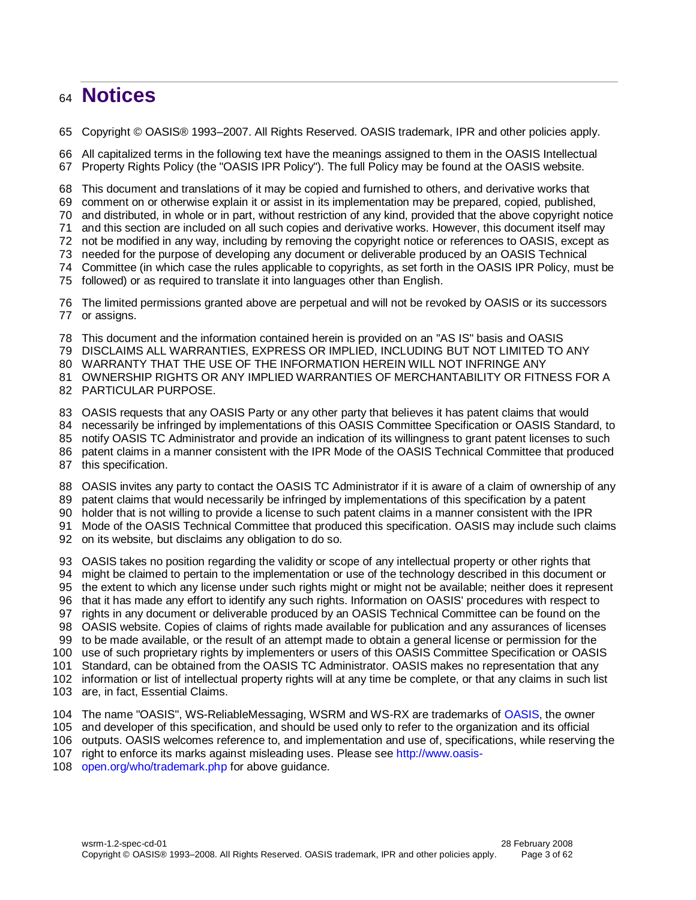# **Notices**

Copyright © OASIS® 1993–2007. All Rights Reserved. OASIS trademark, IPR and other policies apply.

 All capitalized terms in the following text have the meanings assigned to them in the OASIS Intellectual Property Rights Policy (the "OASIS IPR Policy"). The full Policy may be found at the OASIS website.

This document and translations of it may be copied and furnished to others, and derivative works that

comment on or otherwise explain it or assist in its implementation may be prepared, copied, published,

and distributed, in whole or in part, without restriction of any kind, provided that the above copyright notice

and this section are included on all such copies and derivative works. However, this document itself may

not be modified in any way, including by removing the copyright notice or references to OASIS, except as

needed for the purpose of developing any document or deliverable produced by an OASIS Technical

Committee (in which case the rules applicable to copyrights, as set forth in the OASIS IPR Policy, must be

followed) or as required to translate it into languages other than English.

 The limited permissions granted above are perpetual and will not be revoked by OASIS or its successors or assigns.

This document and the information contained herein is provided on an "AS IS" basis and OASIS

DISCLAIMS ALL WARRANTIES, EXPRESS OR IMPLIED, INCLUDING BUT NOT LIMITED TO ANY

WARRANTY THAT THE USE OF THE INFORMATION HEREIN WILL NOT INFRINGE ANY

OWNERSHIP RIGHTS OR ANY IMPLIED WARRANTIES OF MERCHANTABILITY OR FITNESS FOR A

PARTICULAR PURPOSE.

OASIS requests that any OASIS Party or any other party that believes it has patent claims that would

necessarily be infringed by implementations of this OASIS Committee Specification or OASIS Standard, to

- notify OASIS TC Administrator and provide an indication of its willingness to grant patent licenses to such
- patent claims in a manner consistent with the IPR Mode of the OASIS Technical Committee that produced

this specification.

- OASIS invites any party to contact the OASIS TC Administrator if it is aware of a claim of ownership of any
- patent claims that would necessarily be infringed by implementations of this specification by a patent
- holder that is not willing to provide a license to such patent claims in a manner consistent with the IPR

Mode of the OASIS Technical Committee that produced this specification. OASIS may include such claims

on its website, but disclaims any obligation to do so.

- OASIS takes no position regarding the validity or scope of any intellectual property or other rights that
- might be claimed to pertain to the implementation or use of the technology described in this document or
- the extent to which any license under such rights might or might not be available; neither does it represent
- that it has made any effort to identify any such rights. Information on OASIS' procedures with respect to
- rights in any document or deliverable produced by an OASIS Technical Committee can be found on the

OASIS website. Copies of claims of rights made available for publication and any assurances of licenses

to be made available, or the result of an attempt made to obtain a general license or permission for the

use of such proprietary rights by implementers or users of this OASIS Committee Specification or OASIS

 Standard, can be obtained from the OASIS TC Administrator. OASIS makes no representation that any information or list of intellectual property rights will at any time be complete, or that any claims in such list

- are, in fact, Essential Claims.
- 104 The name "OASIS", WS-ReliableMessaging, WSRM and WS-RX are trademarks of [OASIS,](http://www.oasis-open.org/) the owner

and developer of this specification, and should be used only to refer to the organization and its official

outputs. OASIS welcomes reference to, and implementation and use of, specifications, while reserving the

right to enforce its marks against misleading uses. Please see [http://www.oasis-](http://www.oasis-open.org/who/trademark.php)

[open.org/who/trademark.php](http://www.oasis-open.org/who/trademark.php) for above guidance.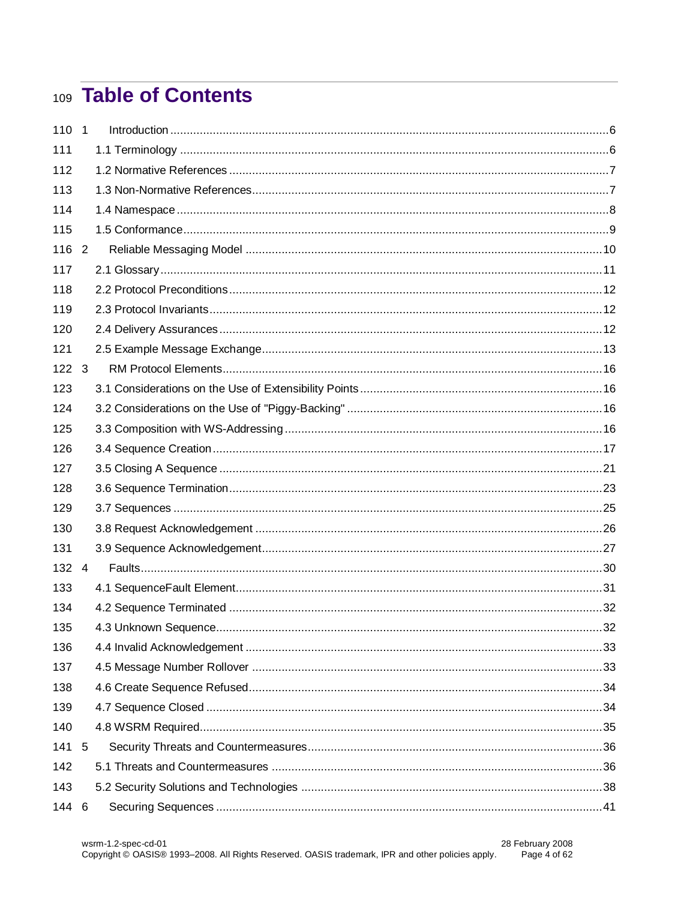# 109 Table of Contents

| 110 1         |                |  |
|---------------|----------------|--|
| 111           |                |  |
| 112           |                |  |
| 113           |                |  |
| 114           |                |  |
| 115           |                |  |
| 116 2         |                |  |
| 117           |                |  |
| 118           |                |  |
| 119           |                |  |
| 120           |                |  |
| 121           |                |  |
| $122 \quad 3$ |                |  |
| 123           |                |  |
| 124           |                |  |
| 125           |                |  |
| 126           |                |  |
| 127           |                |  |
| 128           |                |  |
| 129           |                |  |
| 130           |                |  |
| 131           |                |  |
| 132           | $\overline{4}$ |  |
| 133           |                |  |
| 134           |                |  |
| 135           |                |  |
| 136           |                |  |
| 137           |                |  |
| 138           |                |  |
| 139           |                |  |
| 140           |                |  |
| 141 5         |                |  |
| 142           |                |  |
| 143           |                |  |
| 144           | 6              |  |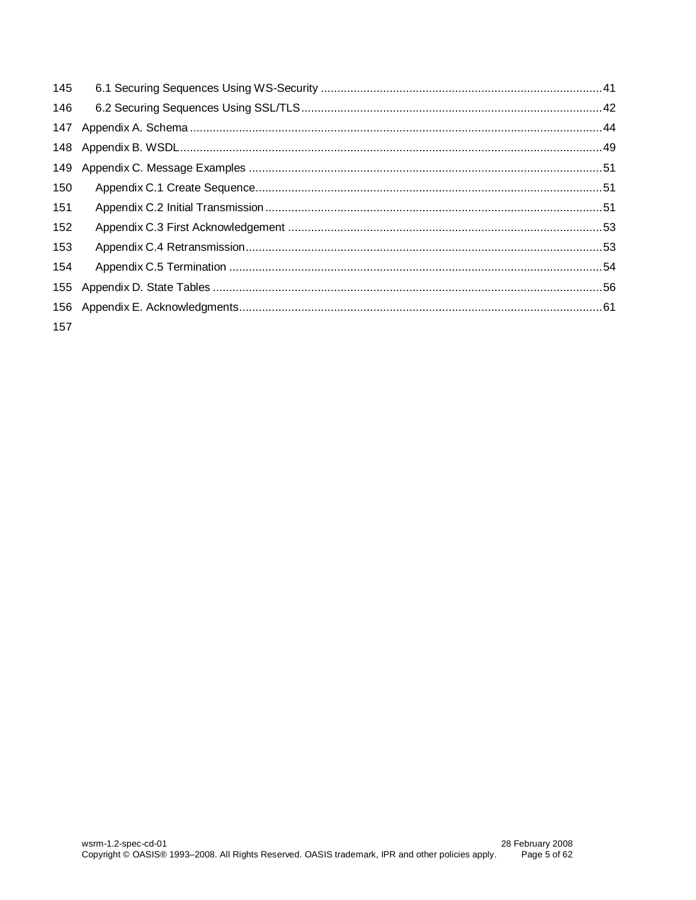| 145 |  |
|-----|--|
| 146 |  |
| 147 |  |
| 148 |  |
| 149 |  |
| 150 |  |
| 151 |  |
| 152 |  |
| 153 |  |
| 154 |  |
| 155 |  |
| 156 |  |
| 157 |  |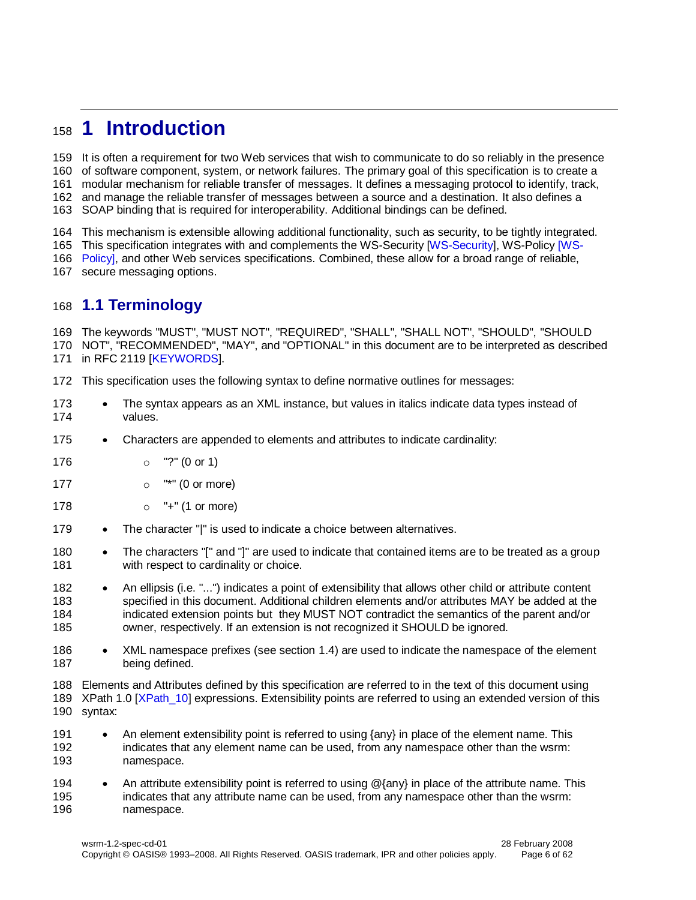# <span id="page-5-0"></span>**1 Introduction**

 It is often a requirement for two Web services that wish to communicate to do so reliably in the presence of software component, system, or network failures. The primary goal of this specification is to create a modular mechanism for reliable transfer of messages. It defines a messaging protocol to identify, track, and manage the reliable transfer of messages between a source and a destination. It also defines a SOAP binding that is required for interoperability. Additional bindings can be defined.

This mechanism is extensible allowing additional functionality, such as security, to be tightly integrated.

165 This specification integrates with and complements the WS-Security [\[WS-Security\]](#page-7-1), WS-Policy [\[WS-](#page-7-2)

166 Policyl, and other Web services specifications. Combined, these allow for a broad range of reliable,

secure messaging options.

# <span id="page-5-1"></span>**1.1 Terminology**

 The keywords "MUST", "MUST NOT", "REQUIRED", "SHALL", "SHALL NOT", "SHOULD", "SHOULD NOT", "RECOMMENDED", "MAY", and "OPTIONAL" in this document are to be interpreted as described 171 in RFC 2119 [\[KEYWORDS\]](#page-6-6).

This specification uses the following syntax to define normative outlines for messages:

- 173 The syntax appears as an XML instance, but values in italics indicate data types instead of values.
- 175 Characters are appended to elements and attributes to indicate cardinality:
- o "?" (0 or 1)
- o "\*" (0 or more)
- 178 o "+" (1 or more)
- 179 The character "|" is used to indicate a choice between alternatives.
- 180 The characters "[" and "]" are used to indicate that contained items are to be treated as a group 181 with respect to cardinality or choice.
- 182 An ellipsis (i.e. "...") indicates a point of extensibility that allows other child or attribute content specified in this document. Additional children elements and/or attributes MAY be added at the indicated extension points but they MUST NOT contradict the semantics of the parent and/or owner, respectively. If an extension is not recognized it SHOULD be ignored.
- 186 XML namespace prefixes (see section [1.4\)](#page-7-0) are used to indicate the namespace of the element being defined.

 Elements and Attributes defined by this specification are referred to in the text of this document using 189 XPath 1.0 [XPath 10] expressions. Extensibility points are referred to using an extended version of this syntax:

- 191 An element extensibility point is referred to using {any} in place of the element name. This indicates that any element name can be used, from any namespace other than the wsrm: namespace.
- 194 An attribute extensibility point is referred to using  $@$ {any} in place of the attribute name. This indicates that any attribute name can be used, from any namespace other than the wsrm: namespace.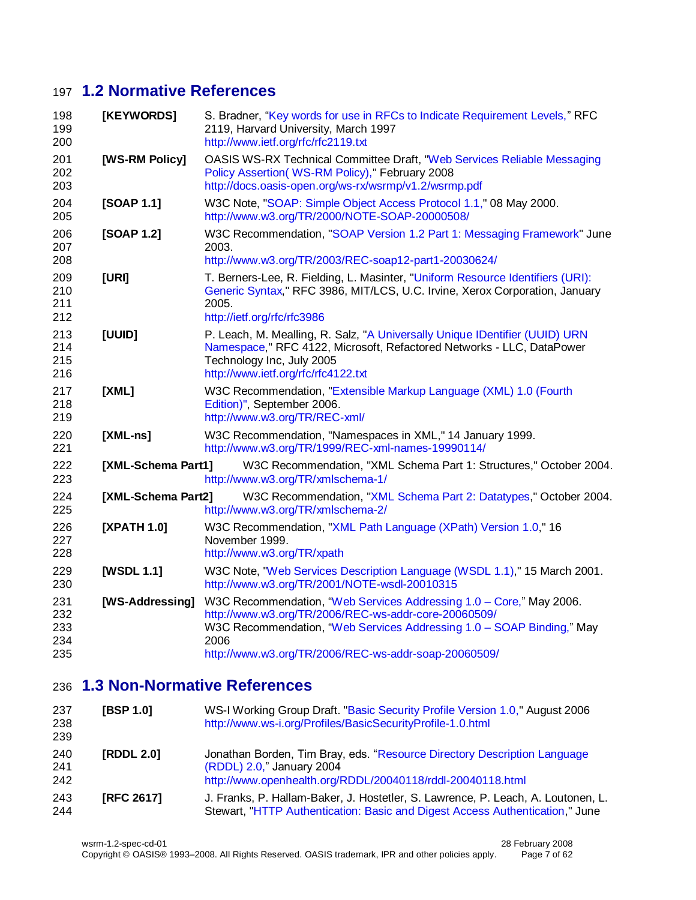# **1.2 Normative References**

<span id="page-6-14"></span><span id="page-6-13"></span><span id="page-6-6"></span><span id="page-6-4"></span><span id="page-6-2"></span><span id="page-6-1"></span><span id="page-6-0"></span>

| 198<br>199<br>200               | [KEYWORDS]         | S. Bradner, "Key words for use in RFCs to Indicate Requirement Levels," RFC<br>2119, Harvard University, March 1997<br>http://www.ietf.org/rfc/rfc2119.txt                                                                                                           |
|---------------------------------|--------------------|----------------------------------------------------------------------------------------------------------------------------------------------------------------------------------------------------------------------------------------------------------------------|
| 201<br>202<br>203               | [WS-RM Policy]     | OASIS WS-RX Technical Committee Draft, "Web Services Reliable Messaging<br>Policy Assertion(WS-RM Policy)," February 2008<br>http://docs.oasis-open.org/ws-rx/wsrmp/v1.2/wsrmp.pdf                                                                                   |
| 204<br>205                      | [SOAP 1.1]         | W3C Note, "SOAP: Simple Object Access Protocol 1.1," 08 May 2000.<br>http://www.w3.org/TR/2000/NOTE-SOAP-20000508/                                                                                                                                                   |
| 206<br>207<br>208               | [SOAP 1.2]         | W3C Recommendation, "SOAP Version 1.2 Part 1: Messaging Framework" June<br>2003.<br>http://www.w3.org/TR/2003/REC-soap12-part1-20030624/                                                                                                                             |
| 209<br>210<br>211<br>212        | [URI]              | T. Berners-Lee, R. Fielding, L. Masinter, "Uniform Resource Identifiers (URI):<br>Generic Syntax," RFC 3986, MIT/LCS, U.C. Irvine, Xerox Corporation, January<br>2005.<br>http://ietf.org/rfc/rfc3986                                                                |
| 213<br>214<br>215<br>216        | [UUID]             | P. Leach, M. Mealling, R. Salz, "A Universally Unique IDentifier (UUID) URN<br>Namespace," RFC 4122, Microsoft, Refactored Networks - LLC, DataPower<br>Technology Inc, July 2005<br>http://www.ietf.org/rfc/rfc4122.txt                                             |
| 217<br>218<br>219               | [XML]              | W3C Recommendation, "Extensible Markup Language (XML) 1.0 (Fourth<br>Edition)", September 2006.<br>http://www.w3.org/TR/REC-xml/                                                                                                                                     |
| 220<br>221                      | $[XML-ns]$         | W3C Recommendation, "Namespaces in XML," 14 January 1999.<br>http://www.w3.org/TR/1999/REC-xml-names-19990114/                                                                                                                                                       |
| 222<br>223                      | [XML-Schema Part1] | W3C Recommendation, "XML Schema Part 1: Structures," October 2004.<br>http://www.w3.org/TR/xmlschema-1/                                                                                                                                                              |
| 224<br>225                      | [XML-Schema Part2] | W3C Recommendation, "XML Schema Part 2: Datatypes," October 2004.<br>http://www.w3.org/TR/xmlschema-2/                                                                                                                                                               |
| 226<br>227<br>228               | [XPATH 1.0]        | W3C Recommendation, "XML Path Language (XPath) Version 1.0," 16<br>November 1999.<br>http://www.w3.org/TR/xpath                                                                                                                                                      |
| 229<br>230                      | [WSDL 1.1]         | W3C Note, "Web Services Description Language (WSDL 1.1)," 15 March 2001.<br>http://www.w3.org/TR/2001/NOTE-wsdl-20010315                                                                                                                                             |
| 231<br>232<br>233<br>234<br>235 | [WS-Addressing]    | W3C Recommendation, "Web Services Addressing 1.0 - Core," May 2006.<br>http://www.w3.org/TR/2006/REC-ws-addr-core-20060509/<br>W3C Recommendation, "Web Services Addressing 1.0 - SOAP Binding," May<br>2006<br>http://www.w3.org/TR/2006/REC-ws-addr-soap-20060509/ |

# <span id="page-6-12"></span><span id="page-6-11"></span><span id="page-6-10"></span><span id="page-6-8"></span><span id="page-6-7"></span><span id="page-6-5"></span><span id="page-6-3"></span>**1.3 Non-Normative References**

<span id="page-6-16"></span><span id="page-6-15"></span><span id="page-6-9"></span>

| 237<br>238<br>239 | [BSP 1.0]         | WS-I Working Group Draft. "Basic Security Profile Version 1.0," August 2006<br>http://www.ws-i.org/Profiles/BasicSecurityProfile-1.0.html                           |
|-------------------|-------------------|---------------------------------------------------------------------------------------------------------------------------------------------------------------------|
| 240<br>241<br>242 | [RDDL 2.0]        | Jonathan Borden, Tim Bray, eds. "Resource Directory Description Language<br>(RDDL) 2.0," January 2004<br>http://www.openhealth.org/RDDL/20040118/rddl-20040118.html |
| 243<br>244        | <b>IRFC 26171</b> | J. Franks, P. Hallam-Baker, J. Hostetler, S. Lawrence, P. Leach, A. Loutonen, L.<br>Stewart, "HTTP Authentication: Basic and Digest Access Authentication," June    |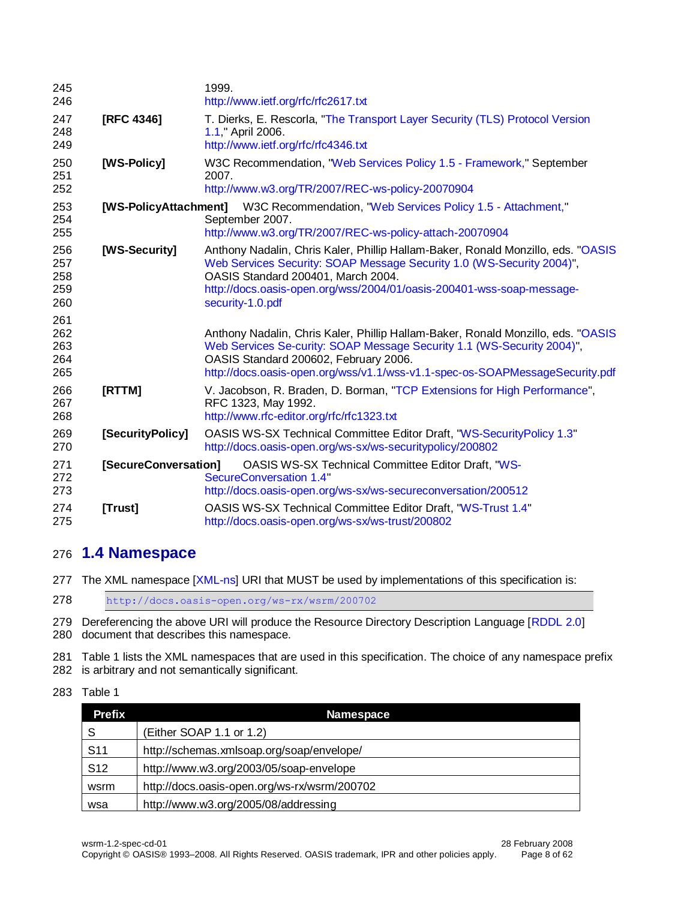<span id="page-7-4"></span><span id="page-7-2"></span><span id="page-7-1"></span>

| 245<br>246                      |                       | 1999.<br>http://www.ietf.org/rfc/rfc2617.txt                                                                                                                                                                                                                                                 |
|---------------------------------|-----------------------|----------------------------------------------------------------------------------------------------------------------------------------------------------------------------------------------------------------------------------------------------------------------------------------------|
| 247<br>248<br>249               | <b>[RFC 4346]</b>     | T. Dierks, E. Rescorla, "The Transport Layer Security (TLS) Protocol Version<br>1.1," April 2006.<br>http://www.ietf.org/rfc/rfc4346.txt                                                                                                                                                     |
| 250<br>251<br>252               | [WS-Policy]           | W3C Recommendation, "Web Services Policy 1.5 - Framework," September<br>2007.<br>http://www.w3.org/TR/2007/REC-ws-policy-20070904                                                                                                                                                            |
| 253<br>254<br>255               | [WS-PolicyAttachment] | W3C Recommendation, "Web Services Policy 1.5 - Attachment,"<br>September 2007.<br>http://www.w3.org/TR/2007/REC-ws-policy-attach-20070904                                                                                                                                                    |
| 256<br>257<br>258<br>259<br>260 | [WS-Security]         | Anthony Nadalin, Chris Kaler, Phillip Hallam-Baker, Ronald Monzillo, eds. "OASIS<br>Web Services Security: SOAP Message Security 1.0 (WS-Security 2004)",<br>OASIS Standard 200401, March 2004.<br>http://docs.oasis-open.org/wss/2004/01/oasis-200401-wss-soap-message-<br>security-1.0.pdf |
| 261<br>262<br>263<br>264<br>265 |                       | Anthony Nadalin, Chris Kaler, Phillip Hallam-Baker, Ronald Monzillo, eds. "OASIS<br>Web Services Se-curity: SOAP Message Security 1.1 (WS-Security 2004)",<br>OASIS Standard 200602, February 2006.<br>http://docs.oasis-open.org/wss/v1.1/wss-v1.1-spec-os-SOAPMessageSecurity.pdf          |
| 266<br>267<br>268               | [RTTM]                | V. Jacobson, R. Braden, D. Borman, "TCP Extensions for High Performance",<br>RFC 1323, May 1992.<br>http://www.rfc-editor.org/rfc/rfc1323.txt                                                                                                                                                |
| 269<br>270                      | [SecurityPolicy]      | <b>OASIS WS-SX Technical Committee Editor Draft, "WS-SecurityPolicy 1.3"</b><br>http://docs.oasis-open.org/ws-sx/ws-securitypolicy/200802                                                                                                                                                    |
| 271<br>272<br>273               | [SecureConversation]  | <b>OASIS WS-SX Technical Committee Editor Draft, "WS-</b><br>SecureConversation 1.4"<br>http://docs.oasis-open.org/ws-sx/ws-secureconversation/200512                                                                                                                                        |
| 274<br>275                      | [Trust]               | OASIS WS-SX Technical Committee Editor Draft, "WS-Trust 1.4"<br>http://docs.oasis-open.org/ws-sx/ws-trust/200802                                                                                                                                                                             |

# <span id="page-7-7"></span><span id="page-7-6"></span><span id="page-7-5"></span><span id="page-7-3"></span><span id="page-7-0"></span>**1.4 Namespace**

277 The XML namespace [\[XML-ns\]](#page-6-8) URI that MUST be used by implementations of this specification is:

<http://docs.oasis-open.org/ws-rx/wsrm/200702>

279 Dereferencing the above URI will produce the Resource Directory Description Language [\[RDDL 2.0\]](#page-6-9) document that describes this namespace.

 Table 1 lists the XML namespaces that are used in this specification. The choice of any namespace prefix is arbitrary and not semantically significant.

#### Table 1

| <b>Prefix</b>   | <b>Namespace</b>                             |
|-----------------|----------------------------------------------|
| S               | (Either SOAP 1.1 or 1.2)                     |
| S <sub>11</sub> | http://schemas.xmlsoap.org/soap/envelope/    |
| S <sub>12</sub> | http://www.w3.org/2003/05/soap-envelope      |
| wsrm            | http://docs.oasis-open.org/ws-rx/wsrm/200702 |
| wsa             | http://www.w3.org/2005/08/addressing         |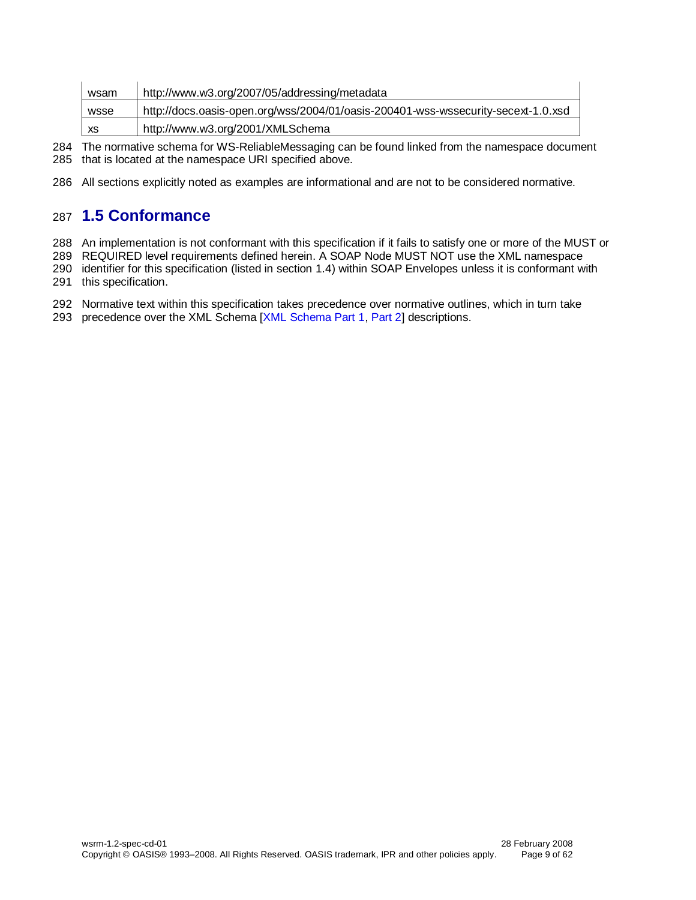| wsam | http://www.w3.org/2007/05/addressing/metadata                                     |
|------|-----------------------------------------------------------------------------------|
| wsse | http://docs.oasis-open.org/wss/2004/01/oasis-200401-wss-wssecurity-secext-1.0.xsd |
| XS   | http://www.w3.org/2001/XMLSchema                                                  |

284 The normative schema for WS-ReliableMessaging can be found linked from the namespace document 285 that is located at the namespace URI specified above.

286 All sections explicitly noted as examples are informational and are not to be considered normative.

# <span id="page-8-0"></span>287 **1.5 Conformance**

288 An implementation is not conformant with this specification if it fails to satisfy one or more of the MUST or

289 REQUIRED level requirements defined herein. A SOAP Node MUST NOT use the XML namespace

- 290 identifier for this specification (listed in section [1.4\)](#page-7-0) within SOAP Envelopes unless it is conformant with 291 this specification.
- 292 Normative text within this specification takes precedence over normative outlines, which in turn take
- 293 precedence over the XML Schema [\[XML Schema Part 1,](#page-6-10) [Part 2\]](#page-6-11) descriptions.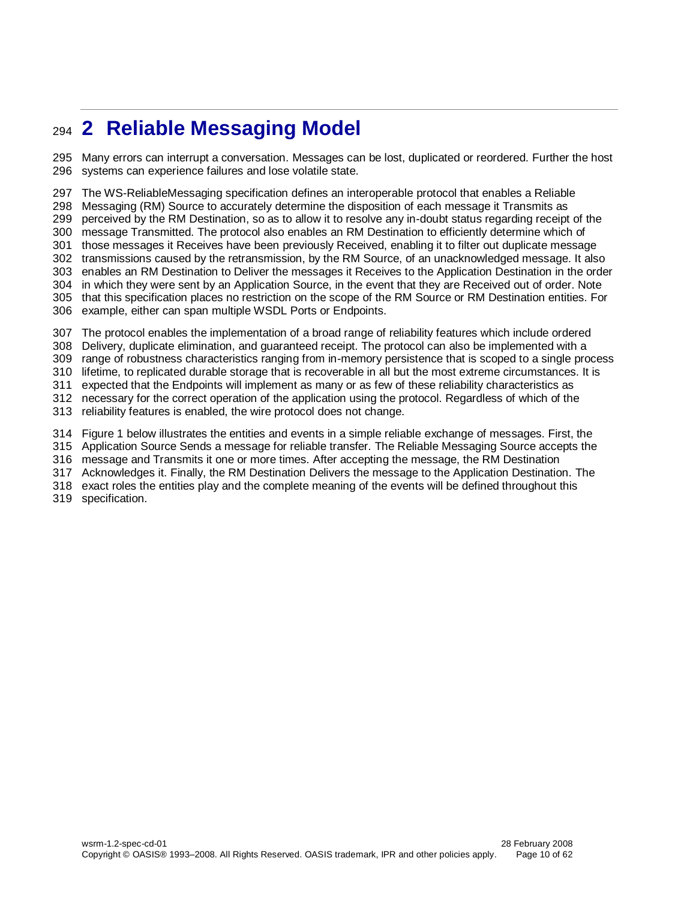# <span id="page-9-0"></span>**2 Reliable Messaging Model**

 Many errors can interrupt a conversation. Messages can be lost, duplicated or reordered. Further the host systems can experience failures and lose volatile state.

 The WS-ReliableMessaging specification defines an interoperable protocol that enables a Reliable Messaging (RM) Source to accurately determine the disposition of each message it Transmits as perceived by the RM Destination, so as to allow it to resolve any in-doubt status regarding receipt of the message Transmitted. The protocol also enables an RM Destination to efficiently determine which of those messages it Receives have been previously Received, enabling it to filter out duplicate message transmissions caused by the retransmission, by the RM Source, of an unacknowledged message. It also enables an RM Destination to Deliver the messages it Receives to the Application Destination in the order in which they were sent by an Application Source, in the event that they are Received out of order. Note that this specification places no restriction on the scope of the RM Source or RM Destination entities. For example, either can span multiple WSDL Ports or Endpoints. The protocol enables the implementation of a broad range of reliability features which include ordered

Delivery, duplicate elimination, and guaranteed receipt. The protocol can also be implemented with a

range of robustness characteristics ranging from in-memory persistence that is scoped to a single process

lifetime, to replicated durable storage that is recoverable in all but the most extreme circumstances. It is

expected that the Endpoints will implement as many or as few of these reliability characteristics as

necessary for the correct operation of the application using the protocol. Regardless of which of the

reliability features is enabled, the wire protocol does not change.

Figure 1 below illustrates the entities and events in a simple reliable exchange of messages. First, the

Application Source Sends a message for reliable transfer. The Reliable Messaging Source accepts the

message and Transmits it one or more times. After accepting the message, the RM Destination

Acknowledges it. Finally, the RM Destination Delivers the message to the Application Destination. The

exact roles the entities play and the complete meaning of the events will be defined throughout this

specification.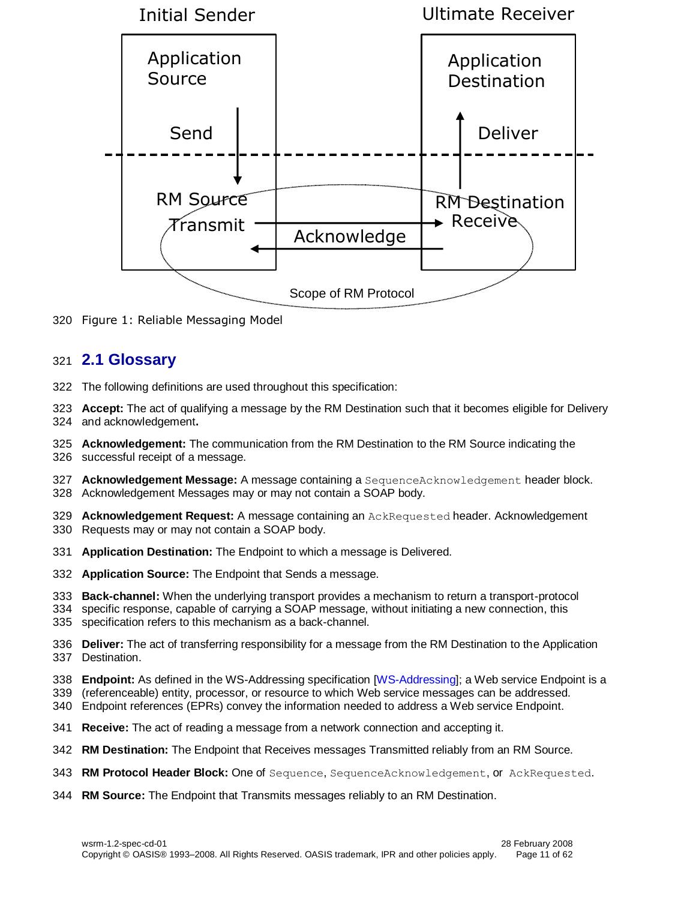

Figure 1: Reliable Messaging Model

### <span id="page-10-0"></span>**2.1 Glossary**

- The following definitions are used throughout this specification:
- **Accept:** The act of qualifying a message by the RM Destination such that it becomes eligible for Delivery and acknowledgement**.**
- **Acknowledgement:** The communication from the RM Destination to the RM Source indicating the successful receipt of a message.
- **Acknowledgement Message:** A message containing a SequenceAcknowledgement header block. Acknowledgement Messages may or may not contain a SOAP body.
- **Acknowledgement Request:** A message containing an AckRequested header. Acknowledgement
- Requests may or may not contain a SOAP body.
- **Application Destination:** The Endpoint to which a message is Delivered.
- **Application Source:** The Endpoint that Sends a message.
- **Back-channel:** When the underlying transport provides a mechanism to return a transport-protocol
- specific response, capable of carrying a SOAP message, without initiating a new connection, this
- specification refers to this mechanism as a back-channel.
- **Deliver:** The act of transferring responsibility for a message from the RM Destination to the Application Destination.
- **Endpoint:** As defined in the WS-Addressing specification [\[WS-Addressing\]](#page-6-12); a Web service Endpoint is a
- (referenceable) entity, processor, or resource to which Web service messages can be addressed.
- Endpoint references (EPRs) convey the information needed to address a Web service Endpoint.
- **Receive:** The act of reading a message from a network connection and accepting it.
- **RM Destination:** The Endpoint that Receives messages Transmitted reliably from an RM Source.
- **RM Protocol Header Block:** One of Sequence, SequenceAcknowledgement, orAckRequested.
- **RM Source:** The Endpoint that Transmits messages reliably to an RM Destination.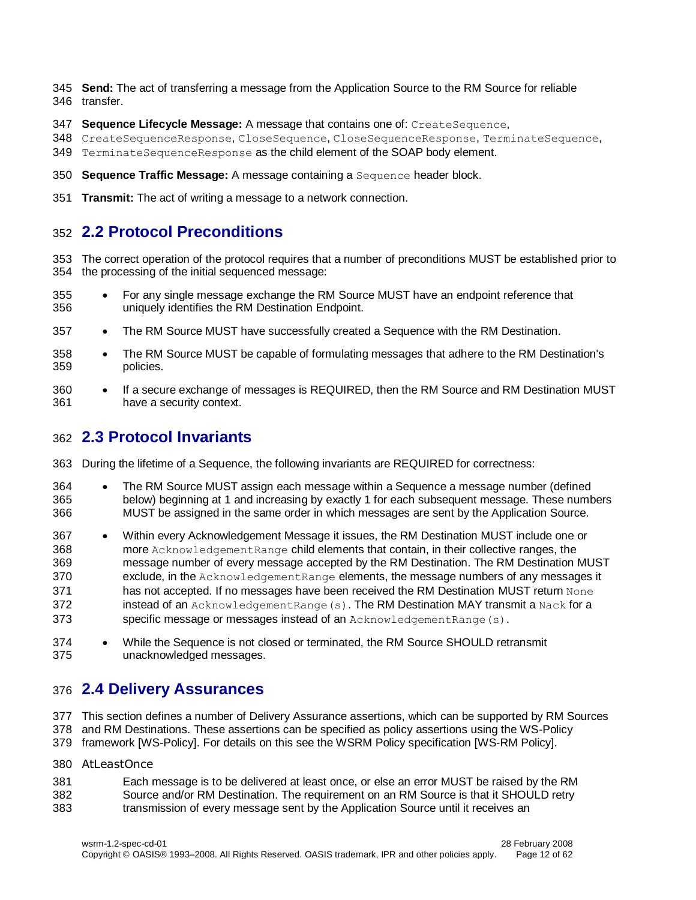- **Send:** The act of transferring a message from the Application Source to the RM Source for reliable transfer.
- **Sequence Lifecycle Message:** A message that contains one of: CreateSequence,
- 348 CreateSequenceResponse, CloseSequence, CloseSequenceResponse, TerminateSequence,
- 349 TerminateSequenceResponse as the child element of the SOAP body element.
- **Sequence Traffic Message:** A message containing a Sequence header block.
- **Transmit:** The act of writing a message to a network connection.

# <span id="page-11-0"></span>**2.2 Protocol Preconditions**

- The correct operation of the protocol requires that a number of preconditions MUST be established prior to the processing of the initial sequenced message:
- 355 For any single message exchange the RM Source MUST have an endpoint reference that uniquely identifies the RM Destination Endpoint.
- 357 The RM Source MUST have successfully created a Sequence with the RM Destination.
- 358 The RM Source MUST be capable of formulating messages that adhere to the RM Destination's policies.
- 360 If a secure exchange of messages is REQUIRED, then the RM Source and RM Destination MUST have a security context.

# <span id="page-11-1"></span>**2.3 Protocol Invariants**

- During the lifetime of a Sequence, the following invariants are REQUIRED for correctness:
- The RM Source MUST assign each message within a Sequence a message number (defined below) beginning at 1 and increasing by exactly 1 for each subsequent message. These numbers MUST be assigned in the same order in which messages are sent by the Application Source.
- Within every Acknowledgement Message it issues, the RM Destination MUST include one or more AcknowledgementRange child elements that contain, in their collective ranges, the message number of every message accepted by the RM Destination. The RM Destination MUST exclude, in the AcknowledgementRange elements, the message numbers of any messages it has not accepted. If no messages have been received the RM Destination MUST return None 372 instead of an AcknowledgementRange(s). The RM Destination MAY transmit a Nack for a 373 specific message or messages instead of an AcknowledgementRange(s).
- While the Sequence is not closed or terminated, the RM Source SHOULD retransmit unacknowledged messages.

# <span id="page-11-2"></span>**2.4 Delivery Assurances**

 This section defines a number of Delivery Assurance assertions, which can be supported by RM Sources and RM Destinations. These assertions can be specified as policy assertions using the WS-Policy

- framework [\[WS-Policy\]](#page-7-2). For details on this see the WSRM Policy specification [\[WS-RM Policy\]](#page-6-13).
- AtLeastOnce
- Each message is to be delivered at least once, or else an error MUST be raised by the RM Source and/or RM Destination. The requirement on an RM Source is that it SHOULD retry transmission of every message sent by the Application Source until it receives an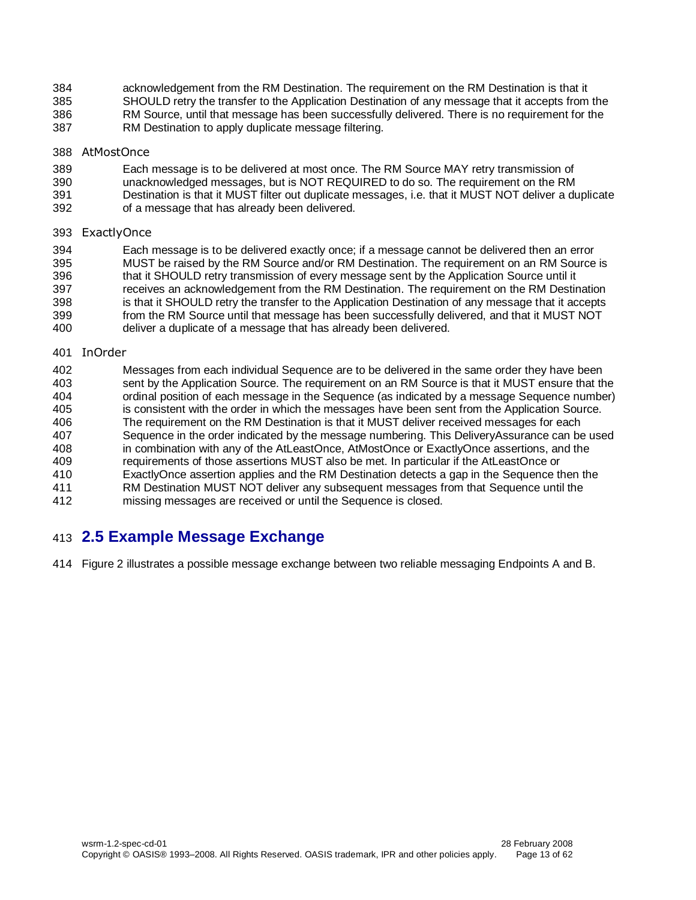- acknowledgement from the RM Destination. The requirement on the RM Destination is that it SHOULD retry the transfer to the Application Destination of any message that it accepts from the RM Source, until that message has been successfully delivered. There is no requirement for the
- RM Destination to apply duplicate message filtering.

#### AtMostOnce

- **Each message is to be delivered at most once**. The RM Source MAY retry transmission of 390 unacknowledged messages, but is NOT REQUIRED to do so. The requirement on the RM
- unacknowledged messages, but is NOT REQUIRED to do so. The requirement on the RM
- Destination is that it MUST filter out duplicate messages, i.e. that it MUST NOT deliver a duplicate
- of a message that has already been delivered.

#### ExactlyOnce

 Each message is to be delivered exactly once; if a message cannot be delivered then an error MUST be raised by the RM Source and/or RM Destination. The requirement on an RM Source is that it SHOULD retry transmission of every message sent by the Application Source until it receives an acknowledgement from the RM Destination. The requirement on the RM Destination is that it SHOULD retry the transfer to the Application Destination of any message that it accepts from the RM Source until that message has been successfully delivered, and that it MUST NOT deliver a duplicate of a message that has already been delivered.

#### InOrder

402 Messages from each individual Sequence are to be delivered in the same order they have been<br>403 sent by the Application Source. The requirement on an RM Source is that it MUST ensure that th sent by the Application Source. The requirement on an RM Source is that it MUST ensure that the ordinal position of each message in the Sequence (as indicated by a message Sequence number) is consistent with the order in which the messages have been sent from the Application Source. The requirement on the RM Destination is that it MUST deliver received messages for each Sequence in the order indicated by the message numbering. This DeliveryAssurance can be used in combination with any of the AtLeastOnce, AtMostOnce or ExactlyOnce assertions, and the requirements of those assertions MUST also be met. In particular if the AtLeastOnce or ExactlyOnce assertion applies and the RM Destination detects a gap in the Sequence then the RM Destination MUST NOT deliver any subsequent messages from that Sequence until the missing messages are received or until the Sequence is closed.

# <span id="page-12-0"></span>**2.5 Example Message Exchange**

Figure 2 illustrates a possible message exchange between two reliable messaging Endpoints A and B.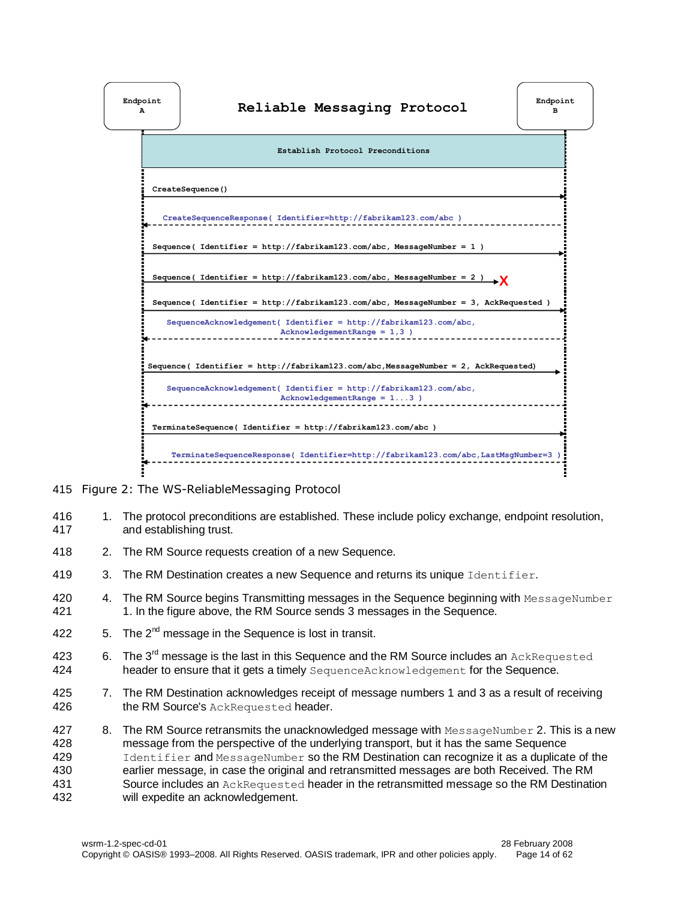

- 415 Figure 2: The WS-ReliableMessaging Protocol
- 416 1. The protocol preconditions are established. These include policy exchange, endpoint resolution, 417 and establishing trust.
- 418 2. The RM Source requests creation of a new Sequence.
- 419 3. The RM Destination creates a new Sequence and returns its unique Identifier.
- 420 4. The RM Source begins Transmitting messages in the Sequence beginning with MessageNumber 421 1. In the figure above, the RM Source sends 3 messages in the Sequence.
- 422  $\,$  5. The 2<sup>nd</sup> message in the Sequence is lost in transit.
- 423  $\,$  6. The 3<sup>rd</sup> message is the last in this Sequence and the RM Source includes an AckRequested 424 header to ensure that it gets a timely SequenceAcknowledgement for the Sequence.
- 425 7. The RM Destination acknowledges receipt of message numbers 1 and 3 as a result of receiving 426 the RM Source's AckRequested header.
- 427 8. The RM Source retransmits the unacknowledged message with MessageNumber 2. This is a new 428 message from the perspective of the underlying transport, but it has the same Sequence 429 Identifier and MessageNumber so the RM Destination can recognize it as a duplicate of the 430 earlier message, in case the original and retransmitted messages are both Received. The RM 431 Source includes an AckRequested header in the retransmitted message so the RM Destination 432 will expedite an acknowledgement.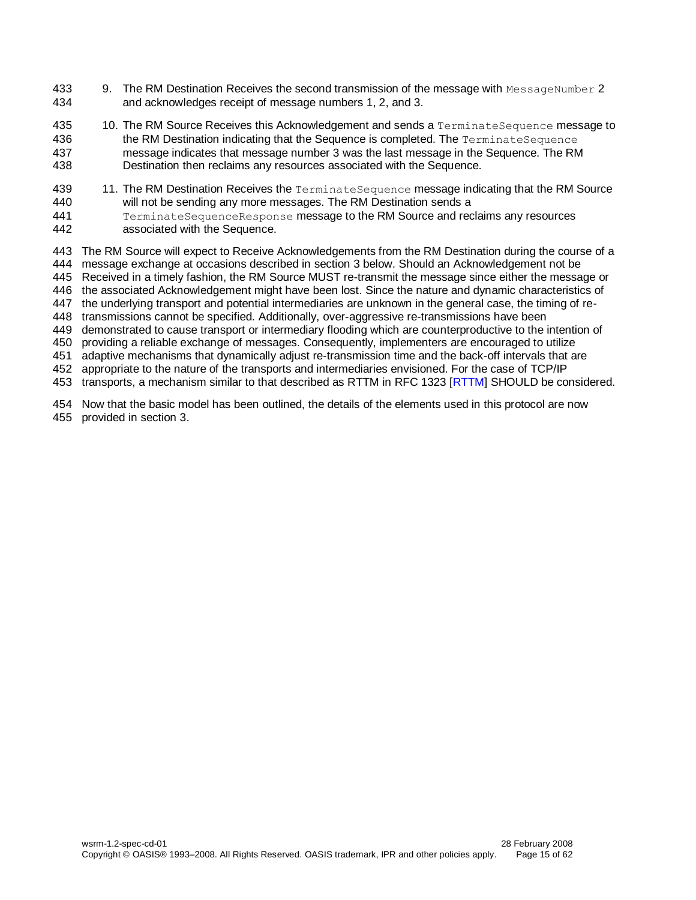- 433 9. The RM Destination Receives the second transmission of the message with MessageNumber 2 and acknowledges receipt of message numbers 1, 2, and 3.
- 435 10. The RM Source Receives this Acknowledgement and sends a TerminateSequence message to 436 the RM Destination indicating that the Sequence is completed. The TerminateSequence message indicates that message number 3 was the last message in the Sequence. The RM Destination then reclaims any resources associated with the Sequence.
- 439 11. The RM Destination Receives the TerminateSequence message indicating that the RM Source will not be sending any more messages. The RM Destination sends a TerminateSequenceResponse message to the RM Source and reclaims any resources
- associated with the Sequence.

 The RM Source will expect to Receive Acknowledgements from the RM Destination during the course of a message exchange at occasions described in section [3](#page-15-0) below. Should an Acknowledgement not be Received in a timely fashion, the RM Source MUST re-transmit the message since either the message or the associated Acknowledgement might have been lost. Since the nature and dynamic characteristics of the underlying transport and potential intermediaries are unknown in the general case, the timing of re- transmissions cannot be specified. Additionally, over-aggressive re-transmissions have been demonstrated to cause transport or intermediary flooding which are counterproductive to the intention of providing a reliable exchange of messages. Consequently, implementers are encouraged to utilize adaptive mechanisms that dynamically adjust re-transmission time and the back-off intervals that are appropriate to the nature of the transports and intermediaries envisioned. For the case of TCP/IP

transports, a mechanism similar to that described as RTTM in RFC 1323 [\[RTTM\]](#page-7-3) SHOULD be considered.

 Now that the basic model has been outlined, the details of the elements used in this protocol are now provided in section [3.](#page-15-0)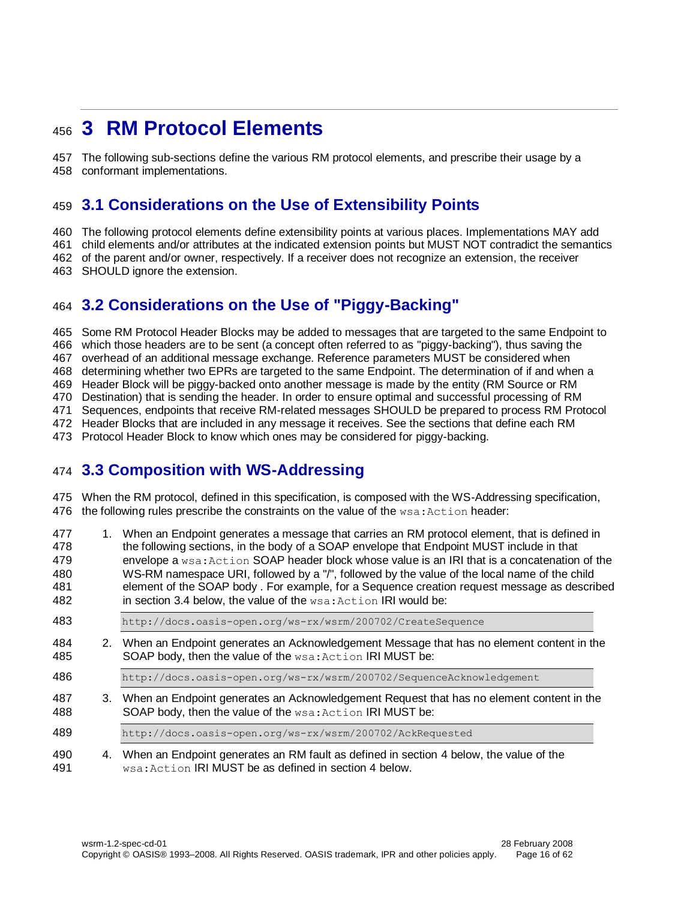# <span id="page-15-0"></span>**3 RM Protocol Elements**

 The following sub-sections define the various RM protocol elements, and prescribe their usage by a conformant implementations.

# <span id="page-15-1"></span>**3.1 Considerations on the Use of Extensibility Points**

The following protocol elements define extensibility points at various places. Implementations MAY add

child elements and/or attributes at the indicated extension points but MUST NOT contradict the semantics

of the parent and/or owner, respectively. If a receiver does not recognize an extension, the receiver

SHOULD ignore the extension.

# <span id="page-15-2"></span>**3.2 Considerations on the Use of "Piggy-Backing"**

 Some RM Protocol Header Blocks may be added to messages that are targeted to the same Endpoint to which those headers are to be sent (a concept often referred to as "piggy-backing"), thus saving the overhead of an additional message exchange. Reference parameters MUST be considered when determining whether two EPRs are targeted to the same Endpoint. The determination of if and when a Header Block will be piggy-backed onto another message is made by the entity (RM Source or RM Destination) that is sending the header. In order to ensure optimal and successful processing of RM Sequences, endpoints that receive RM-related messages SHOULD be prepared to process RM Protocol Header Blocks that are included in any message it receives. See the sections that define each RM Protocol Header Block to know which ones may be considered for piggy-backing.

# <span id="page-15-3"></span>**3.3 Composition with WS-Addressing**

 When the RM protocol, defined in this specification, is composed with the WS-Addressing specification, 476 the following rules prescribe the constraints on the value of the  $ws$  : Action header:

| 477<br>478<br>479<br>480<br>481<br>482 |  | 1. When an Endpoint generates a message that carries an RM protocol element, that is defined in<br>the following sections, in the body of a SOAP envelope that Endpoint MUST include in that<br>envelope a wsa: Action SOAP header block whose value is an IRI that is a concatenation of the<br>WS-RM namespace URI, followed by a "/", followed by the value of the local name of the child<br>element of the SOAP body. For example, for a Sequence creation request message as described<br>in section 3.4 below, the value of the wsa: Action IRI would be: |  |
|----------------------------------------|--|------------------------------------------------------------------------------------------------------------------------------------------------------------------------------------------------------------------------------------------------------------------------------------------------------------------------------------------------------------------------------------------------------------------------------------------------------------------------------------------------------------------------------------------------------------------|--|
| 483                                    |  | http://docs.oasis-open.org/ws-rx/wsrm/200702/CreateSequence                                                                                                                                                                                                                                                                                                                                                                                                                                                                                                      |  |
| 484<br>485                             |  | 2. When an Endpoint generates an Acknowledgement Message that has no element content in the<br>SOAP body, then the value of the wsa: Action IRI MUST be:                                                                                                                                                                                                                                                                                                                                                                                                         |  |
| 486                                    |  | http://docs.oasis-open.org/ws-rx/wsrm/200702/SequenceAcknowledgement                                                                                                                                                                                                                                                                                                                                                                                                                                                                                             |  |
| 487<br>488                             |  | 3. When an Endpoint generates an Acknowledgement Request that has no element content in the<br>SOAP body, then the value of the wsa: Action IRI MUST be:                                                                                                                                                                                                                                                                                                                                                                                                         |  |
| 489                                    |  | http://docs.oasis-open.org/ws-rx/wsrm/200702/AckRequested                                                                                                                                                                                                                                                                                                                                                                                                                                                                                                        |  |
| 490<br>491                             |  | 4. When an Endpoint generates an RM fault as defined in section 4 below, the value of the<br>wsa: Action IRI MUST be as defined in section 4 below.                                                                                                                                                                                                                                                                                                                                                                                                              |  |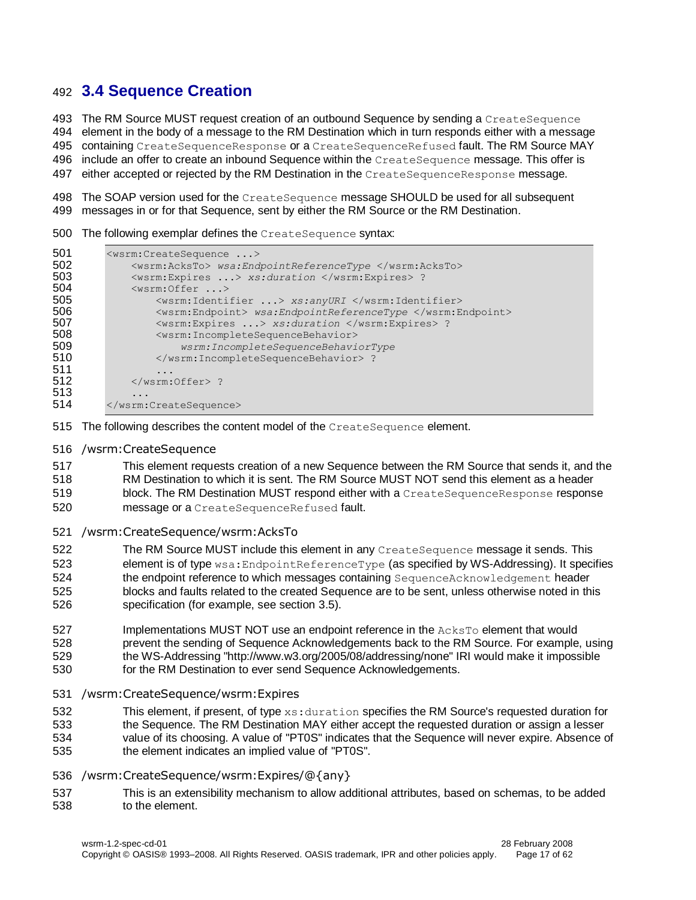# <span id="page-16-0"></span>**3.4 Sequence Creation**

493 The RM Source MUST request creation of an outbound Sequence by sending a CreateSequence element in the body of a message to the RM Destination which in turn responds either with a message containing CreateSequenceResponse or a CreateSequenceRefused fault. The RM Source MAY 496 include an offer to create an inbound Sequence within the CreateSequence message. This offer is 497 either accepted or rejected by the RM Destination in the CreateSequenceResponse message.

 The SOAP version used for the CreateSequence message SHOULD be used for all subsequent messages in or for that Sequence, sent by either the RM Source or the RM Destination.

The following exemplar defines the CreateSequence syntax:

```
501 <wsrm:CreateSequence ...>
502 <wsrm:AcksTo> wsa:EndpointReferenceType </wsrm:AcksTo><br>503 <wsrm:Expires ...> xs:duration </wsrm:Expires> ?
503 <wsrm:Expires ...> xs:duration </wsrm:Expires> ?<br>504 <wsrm:Offer ...>
504 <wsrm:Offer ...><br>505 <wsrm:Identi
                   505 <wsrm:Identifier ...> xs:anyURI </wsrm:Identifier>
506 <wsrm:Endpoint> wsa:EndpointReferenceType </wsrm:Endpoint>
507 <br>
Subsettion <wsrm:Expires ...> xs:duration </wsrm:Expires> ?<br>
508 <br>
Subsettion <wsrm:IncompleteSequenceBehavior>
508 <wsrm:IncompleteSequenceBehavior>
509 wsrm:IncompleteSequenceBehaviorType
                   510 </wsrm:IncompleteSequenceBehavior> ?
511<br>512
               512 </wsrm:Offer> ?
513 ...
514 </wsrm:CreateSequence>
```
- 515 The following describes the content model of the CreateSequence element.
- /wsrm:CreateSequence

 This element requests creation of a new Sequence between the RM Source that sends it, and the RM Destination to which it is sent. The RM Source MUST NOT send this element as a header

- block. The RM Destination MUST respond either with a CreateSequenceResponse response
- message or a CreateSequenceRefused fault.
- /wsrm:CreateSequence/wsrm:AcksTo
- The RM Source MUST include this element in any CreateSequence message it sends. This element is of type wsa:EndpointReferenceType (as specified by WS-Addressing). It specifies 524 the endpoint reference to which messages containing SequenceAcknowledgement header blocks and faults related to the created Sequence are to be sent, unless otherwise noted in this specification (for example, see section [3.5\)](#page-20-0).
- 527 Implementations MUST NOT use an endpoint reference in the AcksTo element that would prevent the sending of Sequence Acknowledgements back to the RM Source. For example, using the WS-Addressing "http://www.w3.org/2005/08/addressing/none" IRI would make it impossible for the RM Destination to ever send Sequence Acknowledgements.
- 
- /wsrm:CreateSequence/wsrm:Expires
- 532 This element, if present, of type xs: duration specifies the RM Source's requested duration for
- the Sequence. The RM Destination MAY either accept the requested duration or assign a lesser value of its choosing. A value of "PT0S" indicates that the Sequence will never expire. Absence of the element indicates an implied value of "PT0S".
- /wsrm:CreateSequence/wsrm:Expires/@{any}
- This is an extensibility mechanism to allow additional attributes, based on schemas, to be added to the element.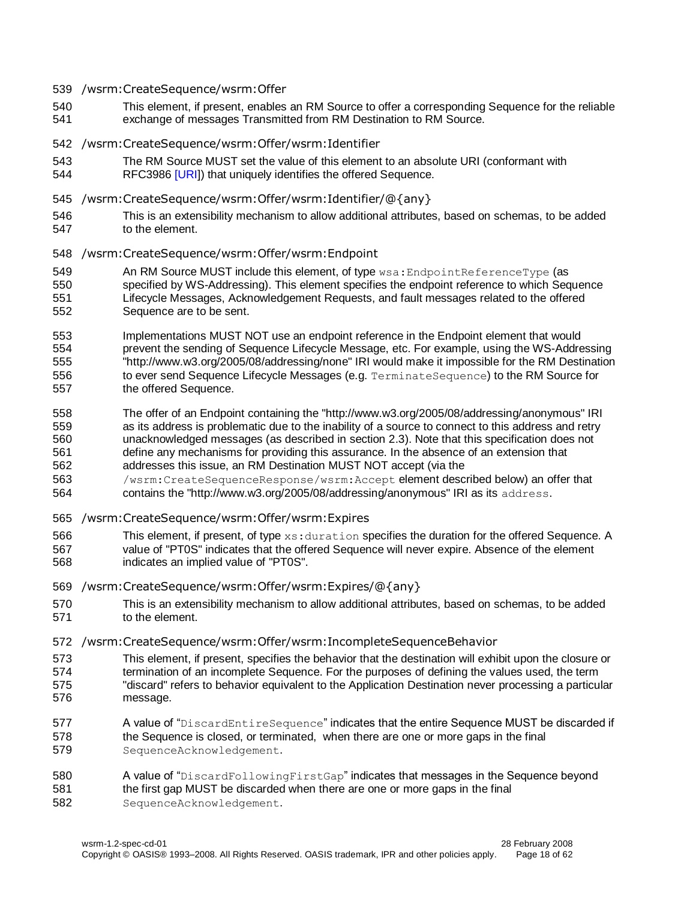#### /wsrm:CreateSequence/wsrm:Offer

 This element, if present, enables an RM Source to offer a corresponding Sequence for the reliable exchange of messages Transmitted from RM Destination to RM Source.

#### /wsrm:CreateSequence/wsrm:Offer/wsrm:Identifier

- The RM Source MUST set the value of this element to an absolute URI (conformant with
- RFC3986 [\[URI\]](#page-6-14)) that uniquely identifies the offered Sequence.
- /wsrm:CreateSequence/wsrm:Offer/wsrm:Identifier/@{any}
- This is an extensibility mechanism to allow additional attributes, based on schemas, to be added to the element.
- /wsrm:CreateSequence/wsrm:Offer/wsrm:Endpoint
- 549 An RM Source MUST include this element, of type wsa: EndpointReferenceType (as specified by WS-Addressing). This element specifies the endpoint reference to which Sequence Lifecycle Messages, Acknowledgement Requests, and fault messages related to the offered Sequence are to be sent.
- Implementations MUST NOT use an endpoint reference in the Endpoint element that would prevent the sending of Sequence Lifecycle Message, etc. For example, using the WS-Addressing "http://www.w3.org/2005/08/addressing/none" IRI would make it impossible for the RM Destination 556 to ever send Sequence Lifecycle Messages (e.g. TerminateSequence) to the RM Source for the offered Sequence.
- The offer of an Endpoint containing the "http://www.w3.org/2005/08/addressing/anonymous" IRI as its address is problematic due to the inability of a source to connect to this address and retry unacknowledged messages (as described in section [2.3\)](#page-11-1). Note that this specification does not define any mechanisms for providing this assurance. In the absence of an extension that addresses this issue, an RM Destination MUST NOT accept (via the
- /wsrm:CreateSequenceResponse/wsrm:Accept element described below) an offer that contains the "http://www.w3.org/2005/08/addressing/anonymous" IRI as its address.
- /wsrm:CreateSequence/wsrm:Offer/wsrm:Expires
- 566 This element, if present, of type xs: duration specifies the duration for the offered Sequence. A value of "PT0S" indicates that the offered Sequence will never expire. Absence of the element
- indicates an implied value of "PT0S".
- /wsrm:CreateSequence/wsrm:Offer/wsrm:Expires/@{any}
- This is an extensibility mechanism to allow additional attributes, based on schemas, to be added to the element.

#### /wsrm:CreateSequence/wsrm:Offer/wsrm:IncompleteSequenceBehavior

- This element, if present, specifies the behavior that the destination will exhibit upon the closure or termination of an incomplete Sequence. For the purposes of defining the values used, the term "discard" refers to behavior equivalent to the Application Destination never processing a particular message.
- **A value of** "DiscardEntireSequence" indicates that the entire Sequence MUST be discarded if the Sequence is closed, or terminated, when there are one or more gaps in the final SequenceAcknowledgement.
- 580 A value of "DiscardFollowingFirstGap" indicates that messages in the Sequence beyond the first gap MUST be discarded when there are one or more gaps in the final SequenceAcknowledgement.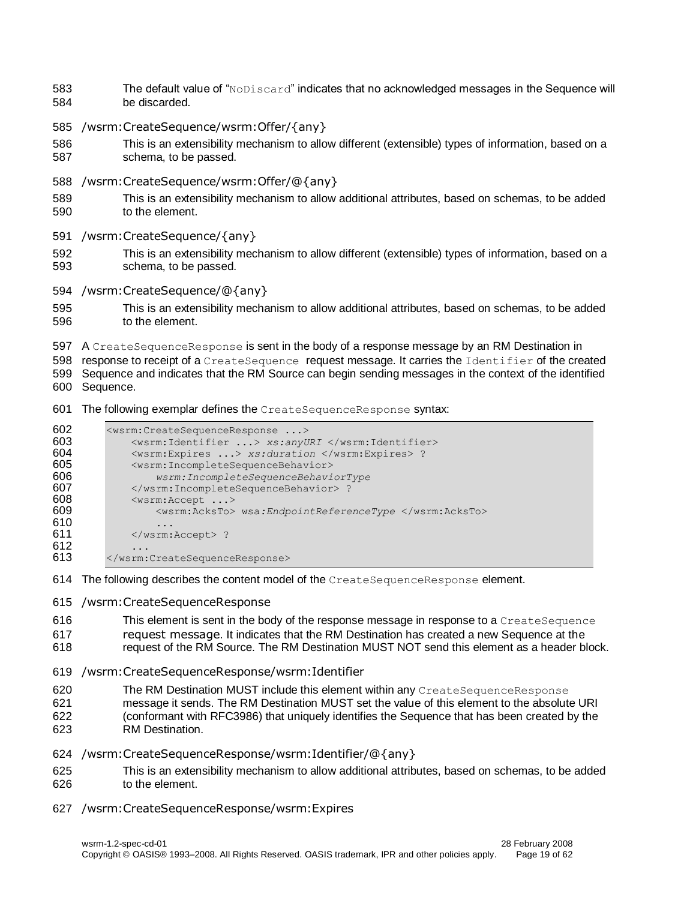- The default value of "NoDiscard" indicates that no acknowledged messages in the Sequence will be discarded.
- /wsrm:CreateSequence/wsrm:Offer/{any}
- This is an extensibility mechanism to allow different (extensible) types of information, based on a schema, to be passed.
- /wsrm:CreateSequence/wsrm:Offer/@{any}
- This is an extensibility mechanism to allow additional attributes, based on schemas, to be added to the element.
- /wsrm:CreateSequence/{any}
- This is an extensibility mechanism to allow different (extensible) types of information, based on a schema, to be passed.
- /wsrm:CreateSequence/@{any}
- This is an extensibility mechanism to allow additional attributes, based on schemas, to be added to the element.
- 597 A CreateSequenceResponse is sent in the body of a response message by an RM Destination in
- 598 response to receipt of a CreateSequence request message. It carries the Identifier of the created Sequence and indicates that the RM Source can begin sending messages in the context of the identified
- Sequence.
- The following exemplar defines the CreateSequenceResponse syntax:

| 602 | <wsrm:createsequenceresponse></wsrm:createsequenceresponse> |
|-----|-------------------------------------------------------------|
| 603 | <wsrm:identifier> xs:anyURI </wsrm:identifier>              |
| 604 | <wsrm:expires> xs:duration </wsrm:expires> ?                |
| 605 | <wsrm: incompletesequencebehavior=""></wsrm:>               |
| 606 | wsrm: IncompleteSequenceBehaviorType                        |
| 607 | ?                                                           |
| 608 | $\langle$ wsrm: Accept >                                    |
| 609 | <wsrm:acksto> wsa:EndpointReferenceType </wsrm:acksto>      |
| 610 | .                                                           |
| 611 | $\langle$ /wsrm:Accept> ?                                   |
| 612 | .                                                           |
| 613 |                                                             |

- 614 The following describes the content model of the CreateSequenceResponse element.
- /wsrm:CreateSequenceResponse
- 616 This element is sent in the body of the response message in response to a CreateSequence
- request message. It indicates that the RM Destination has created a new Sequence at the
- request of the RM Source. The RM Destination MUST NOT send this element as a header block.
- /wsrm:CreateSequenceResponse/wsrm:Identifier
- 620 The RM Destination MUST include this element within any CreateSequenceResponse
- message it sends. The RM Destination MUST set the value of this element to the absolute URI (conformant with RFC3986) that uniquely identifies the Sequence that has been created by the
- RM Destination.
- /wsrm:CreateSequenceResponse/wsrm:Identifier/@{any}
- This is an extensibility mechanism to allow additional attributes, based on schemas, to be added to the element.
- /wsrm:CreateSequenceResponse/wsrm:Expires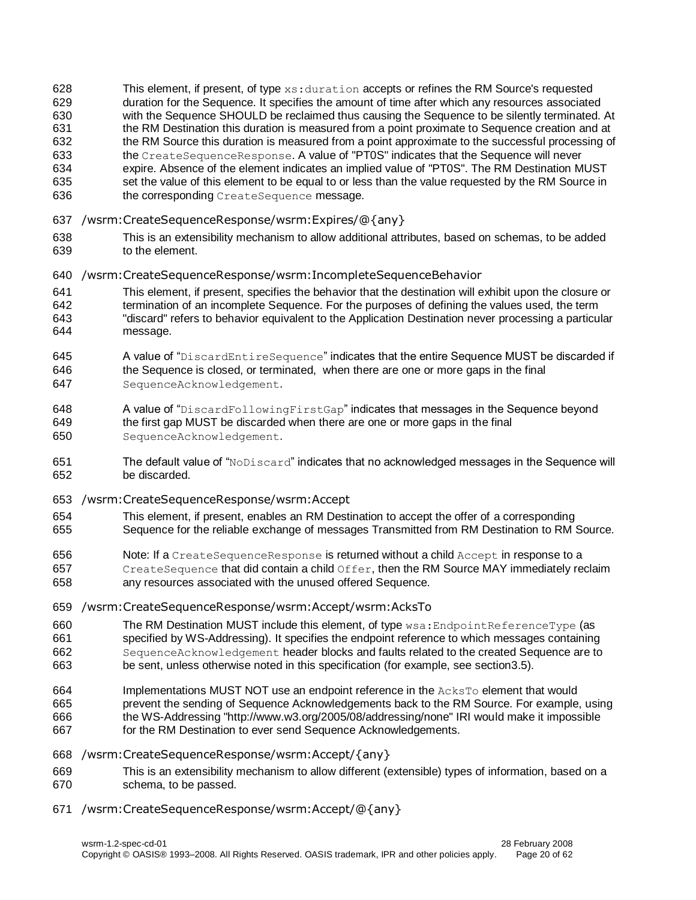628 This element, if present, of type  $xs:$  duration accepts or refines the RM Source's requested duration for the Sequence. It specifies the amount of time after which any resources associated with the Sequence SHOULD be reclaimed thus causing the Sequence to be silently terminated. At the RM Destination this duration is measured from a point proximate to Sequence creation and at 632 the RM Source this duration is measured from a point approximate to the successful processing of the CreateSequenceResponse. A value of "PT0S" indicates that the Sequence will never expire. Absence of the element indicates an implied value of "PT0S". The RM Destination MUST 635 set the value of this element to be equal to or less than the value requested by the RM Source in 636 the corresponding CreateSequence message.

- /wsrm:CreateSequenceResponse/wsrm:Expires/@{any}
- This is an extensibility mechanism to allow additional attributes, based on schemas, to be added to the element.
- /wsrm:CreateSequenceResponse/wsrm:IncompleteSequenceBehavior
- This element, if present, specifies the behavior that the destination will exhibit upon the closure or termination of an incomplete Sequence. For the purposes of defining the values used, the term "discard" refers to behavior equivalent to the Application Destination never processing a particular message.
- 645 A value of "DiscardEntireSequence" indicates that the entire Sequence MUST be discarded if the Sequence is closed, or terminated, when there are one or more gaps in the final
- SequenceAcknowledgement.
- 648 A value of "DiscardFollowingFirstGap" indicates that messages in the Sequence beyond the first gap MUST be discarded when there are one or more gaps in the final SequenceAcknowledgement.
- The default value of "NoDiscard" indicates that no acknowledged messages in the Sequence will be discarded.
- /wsrm:CreateSequenceResponse/wsrm:Accept
- This element, if present, enables an RM Destination to accept the offer of a corresponding
- Sequence for the reliable exchange of messages Transmitted from RM Destination to RM Source.
- Note: If a CreateSequenceResponse is returned without a child Accept in response to a 657 CreateSequence that did contain a child Offer, then the RM Source MAY immediately reclaim any resources associated with the unused offered Sequence.
- 
- /wsrm:CreateSequenceResponse/wsrm:Accept/wsrm:AcksTo
- 660 The RM Destination MUST include this element, of type wsa: EndpointReferenceType (as specified by WS-Addressing). It specifies the endpoint reference to which messages containing SequenceAcknowledgement header blocks and faults related to the created Sequence are to be sent, unless otherwise noted in this specification (for example, see sectio[n3.5\)](#page-20-0).
- Implementations MUST NOT use an endpoint reference in the AcksTo element that would prevent the sending of Sequence Acknowledgements back to the RM Source. For example, using the WS-Addressing "http://www.w3.org/2005/08/addressing/none" IRI would make it impossible
- 667 for the RM Destination to ever send Sequence Acknowledgements.
- /wsrm:CreateSequenceResponse/wsrm:Accept/{any}
- This is an extensibility mechanism to allow different (extensible) types of information, based on a schema, to be passed.
- /wsrm:CreateSequenceResponse/wsrm:Accept/@{any}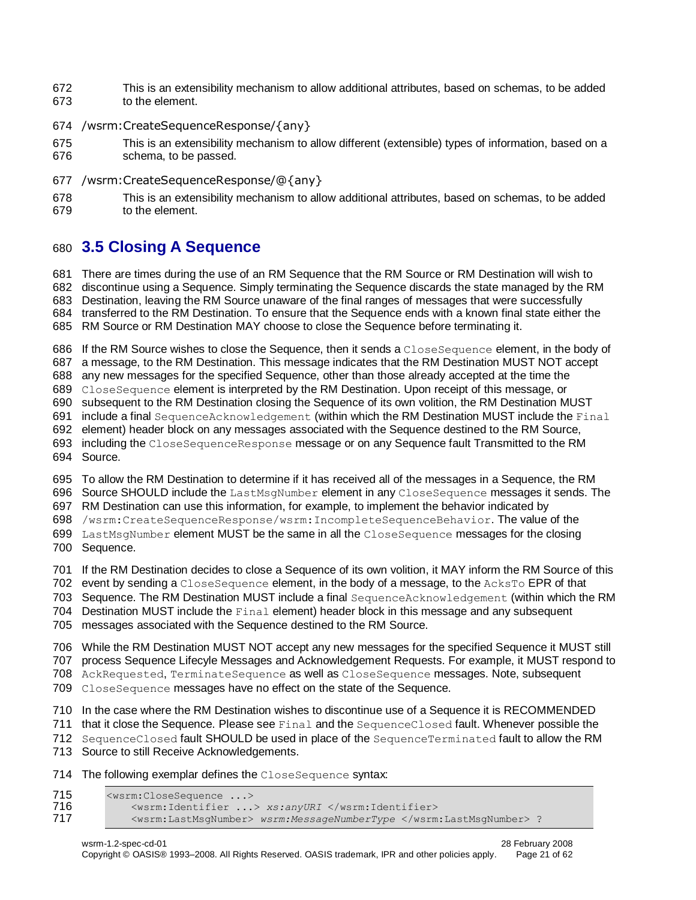- This is an extensibility mechanism to allow additional attributes, based on schemas, to be added to the element.
- /wsrm:CreateSequenceResponse/{any}
- This is an extensibility mechanism to allow different (extensible) types of information, based on a schema, to be passed.
- /wsrm:CreateSequenceResponse/@{any}

```
678 This is an extensibility mechanism to allow additional attributes, based on schemas, to be added 
679 to the element.
```
# <span id="page-20-0"></span>**3.5 Closing A Sequence**

 There are times during the use of an RM Sequence that the RM Source or RM Destination will wish to discontinue using a Sequence. Simply terminating the Sequence discards the state managed by the RM Destination, leaving the RM Source unaware of the final ranges of messages that were successfully transferred to the RM Destination. To ensure that the Sequence ends with a known final state either the RM Source or RM Destination MAY choose to close the Sequence before terminating it.

686 If the RM Source wishes to close the Sequence, then it sends a CloseSequence element, in the body of a message, to the RM Destination. This message indicates that the RM Destination MUST NOT accept

 any new messages for the specified Sequence, other than those already accepted at the time the CloseSequence element is interpreted by the RM Destination. Upon receipt of this message, or

subsequent to the RM Destination closing the Sequence of its own volition, the RM Destination MUST

include a final SequenceAcknowledgement (within which the RM Destination MUST include the Final

element) header block on any messages associated with the Sequence destined to the RM Source,

693 including the CloseSequenceResponse message or on any Sequence fault Transmitted to the RM

Source.

To allow the RM Destination to determine if it has received all of the messages in a Sequence, the RM

696 Source SHOULD include the LastMsgNumber element in any CloseSequence messages it sends. The

RM Destination can use this information, for example, to implement the behavior indicated by

/wsrm:CreateSequenceResponse/wsrm:IncompleteSequenceBehavior. The value of the

699 LastMsgNumber element MUST be the same in all the CloseSequence messages for the closing Sequence.

If the RM Destination decides to close a Sequence of its own volition, it MAY inform the RM Source of this

702 event by sending a CloseSequence element, in the body of a message, to the AcksTo EPR of that

Sequence. The RM Destination MUST include a final SequenceAcknowledgement (within which the RM

Destination MUST include the Final element) header block in this message and any subsequent

messages associated with the Sequence destined to the RM Source.

While the RM Destination MUST NOT accept any new messages for the specified Sequence it MUST still

process Sequence Lifecyle Messages and Acknowledgement Requests. For example, it MUST respond to

AckRequested, TerminateSequence as well as CloseSequence messages. Note, subsequent

CloseSequence messages have no effect on the state of the Sequence.

In the case where the RM Destination wishes to discontinue use of a Sequence it is RECOMMENDED

711 that it close the Sequence. Please see Final and the SequenceClosed fault. Whenever possible the

SequenceClosed fault SHOULD be used in place of the SequenceTerminated fault to allow the RM

Source to still Receive Acknowledgements.

714 The following exemplar defines the CloseSequence syntax:

| 715 | <wsrm:closesequence></wsrm:closesequence>                           |
|-----|---------------------------------------------------------------------|
| 716 | <wsrm:identifier> xs:anyURI </wsrm:identifier>                      |
| 717 | <wsrm:lastmsqnumber> wsrm:MessageNumberType </wsrm:lastmsqnumber> 1 |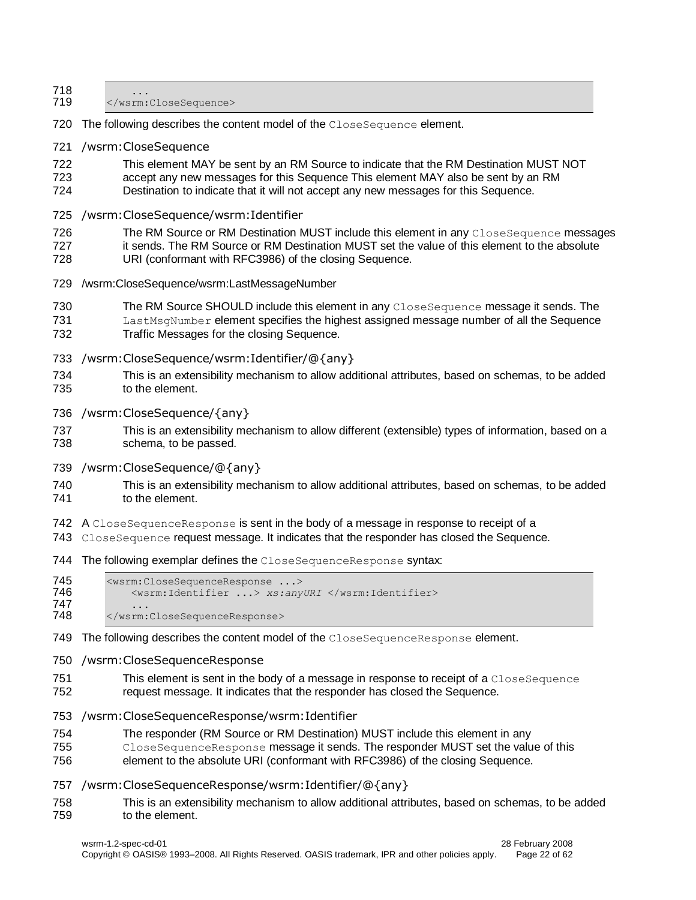| 718<br>719        |                                                                                                                                                                                                                                                                  |
|-------------------|------------------------------------------------------------------------------------------------------------------------------------------------------------------------------------------------------------------------------------------------------------------|
| 720               | The following describes the content model of the CloseSequence element.                                                                                                                                                                                          |
| 721               | /wsrm:CloseSequence                                                                                                                                                                                                                                              |
| 722<br>723<br>724 | This element MAY be sent by an RM Source to indicate that the RM Destination MUST NOT<br>accept any new messages for this Sequence This element MAY also be sent by an RM<br>Destination to indicate that it will not accept any new messages for this Sequence. |
| 725               | /wsrm:CloseSequence/wsrm:Identifier                                                                                                                                                                                                                              |
| 726<br>727<br>728 | The RM Source or RM Destination MUST include this element in any CloseSequence messages<br>it sends. The RM Source or RM Destination MUST set the value of this element to the absolute<br>URI (conformant with RFC3986) of the closing Sequence.                |
| 729               | /wsrm:CloseSequence/wsrm:LastMessageNumber                                                                                                                                                                                                                       |
| 730<br>731<br>732 | The RM Source SHOULD include this element in any CloseSequence message it sends. The<br>LastMsgNumber element specifies the highest assigned message number of all the Sequence<br>Traffic Messages for the closing Sequence.                                    |
| 733               | /wsrm:CloseSequence/wsrm:Identifier/@{any}                                                                                                                                                                                                                       |
| 734<br>735        | This is an extensibility mechanism to allow additional attributes, based on schemas, to be added<br>to the element.                                                                                                                                              |
| 736               | /wsrm:CloseSequence/{any}                                                                                                                                                                                                                                        |
| 737<br>738        | This is an extensibility mechanism to allow different (extensible) types of information, based on a<br>schema, to be passed.                                                                                                                                     |
| 739               | /wsrm:CloseSequence/@{any}                                                                                                                                                                                                                                       |
| 740<br>741        | This is an extensibility mechanism to allow additional attributes, based on schemas, to be added<br>to the element.                                                                                                                                              |
| 742<br>743        | A CloseSequenceResponse is sent in the body of a message in response to receipt of a<br>CloseSequence request message. It indicates that the responder has closed the Sequence.                                                                                  |
| 744               | The following exemplar defines the CloseSequenceResponse syntax:                                                                                                                                                                                                 |
| 745<br>746        | <wsrm:closesequenceresponse><br/><wsrm:identifier> xs:anyURI </wsrm:identifier></wsrm:closesequenceresponse>                                                                                                                                                     |
| 747<br>748        |                                                                                                                                                                                                                                                                  |
| 749               | The following describes the content model of the CloseSequenceResponse element.                                                                                                                                                                                  |
| 750               | /wsrm:CloseSequenceResponse                                                                                                                                                                                                                                      |
| 751<br>752        | This element is sent in the body of a message in response to receipt of a CloseSequence<br>request message. It indicates that the responder has closed the Sequence.                                                                                             |
| 753               | /wsrm:CloseSequenceResponse/wsrm:Identifier                                                                                                                                                                                                                      |
| 754               | The responder (RM Source or RM Destination) MUST include this element in any                                                                                                                                                                                     |

- CloseSequenceResponse message it sends. The responder MUST set the value of this element to the absolute URI (conformant with RFC3986) of the closing Sequence.
- /wsrm:CloseSequenceResponse/wsrm:Identifier/@{any}
- This is an extensibility mechanism to allow additional attributes, based on schemas, to be added to the element.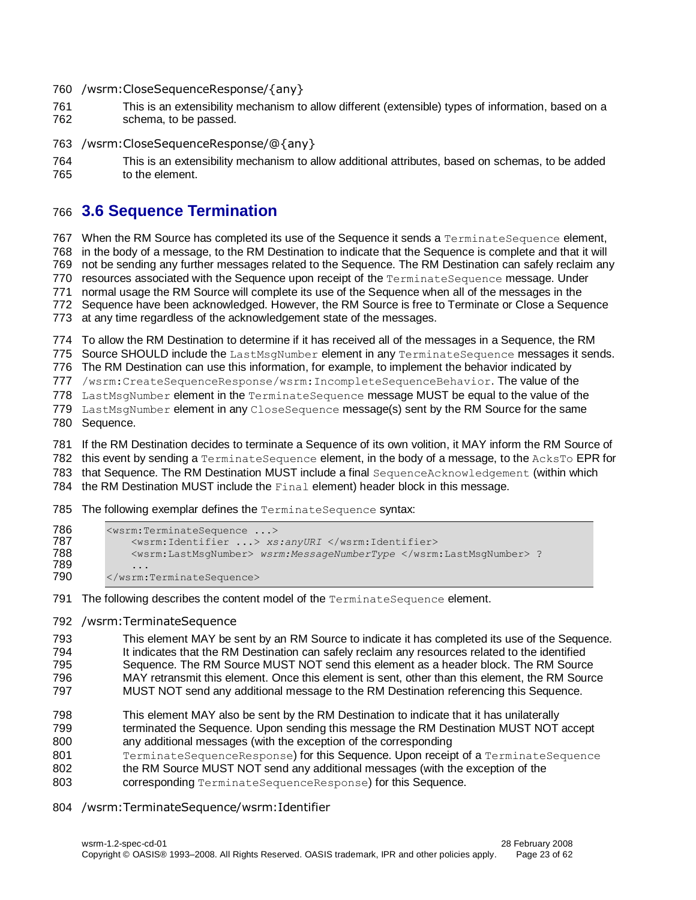/wsrm:CloseSequenceResponse/{any}

- This is an extensibility mechanism to allow different (extensible) types of information, based on a schema, to be passed.
- /wsrm:CloseSequenceResponse/@{any}

```
764 This is an extensibility mechanism to allow additional attributes, based on schemas, to be added 
765 to the element.
```
# <span id="page-22-0"></span>**3.6 Sequence Termination**

767 When the RM Source has completed its use of the Sequence it sends a TerminateSequence element, in the body of a message, to the RM Destination to indicate that the Sequence is complete and that it will not be sending any further messages related to the Sequence. The RM Destination can safely reclaim any 770 resources associated with the Sequence upon receipt of the TerminateSequence message. Under normal usage the RM Source will complete its use of the Sequence when all of the messages in the Sequence have been acknowledged. However, the RM Source is free to Terminate or Close a Sequence

at any time regardless of the acknowledgement state of the messages.

To allow the RM Destination to determine if it has received all of the messages in a Sequence, the RM

775 Source SHOULD include the LastMsgNumber element in any TerminateSequence messages it sends.

The RM Destination can use this information, for example, to implement the behavior indicated by

/wsrm:CreateSequenceResponse/wsrm:IncompleteSequenceBehavior. The value of the

778 LastMsgNumber element in the TerminateSequence message MUST be equal to the value of the

779 LastMsgNumber element in any CloseSequence message(s) sent by the RM Source for the same

Sequence.

If the RM Destination decides to terminate a Sequence of its own volition, it MAY inform the RM Source of

782 this event by sending a TerminateSequence element, in the body of a message, to the AcksTo EPR for

that Sequence. The RM Destination MUST include a final SequenceAcknowledgement (within which

the RM Destination MUST include the Final element) header block in this message.

785 The following exemplar defines the TerminateSequence syntax:

```
786 <wsrm:TerminateSequence ...><br>787 <wsrm:Identifier ...> xs
787 <wsrm:Identifier ...> xs:anyURI </wsrm:Identifier><br>788 <wsrm:LastMsqNumber> wsrm:MessageNumberType </wsrm
                  788 <wsrm:LastMsgNumber> wsrm:MessageNumberType </wsrm:LastMsgNumber> ?
789 ...<br>790 </wsrm:
             790 </wsrm:TerminateSequence>
```
791 The following describes the content model of the TerminateSequence element.

/wsrm:TerminateSequence

 This element MAY be sent by an RM Source to indicate it has completed its use of the Sequence. It indicates that the RM Destination can safely reclaim any resources related to the identified Sequence. The RM Source MUST NOT send this element as a header block. The RM Source MAY retransmit this element. Once this element is sent, other than this element, the RM Source

MUST NOT send any additional message to the RM Destination referencing this Sequence.

- This element MAY also be sent by the RM Destination to indicate that it has unilaterally terminated the Sequence. Upon sending this message the RM Destination MUST NOT accept any additional messages (with the exception of the corresponding
- 801 TerminateSequenceResponse) for this Sequence. Upon receipt of a TerminateSequence
- 802 the RM Source MUST NOT send any additional messages (with the exception of the
- **corresponding** TerminateSequenceResponse) for this Sequence.

#### /wsrm:TerminateSequence/wsrm:Identifier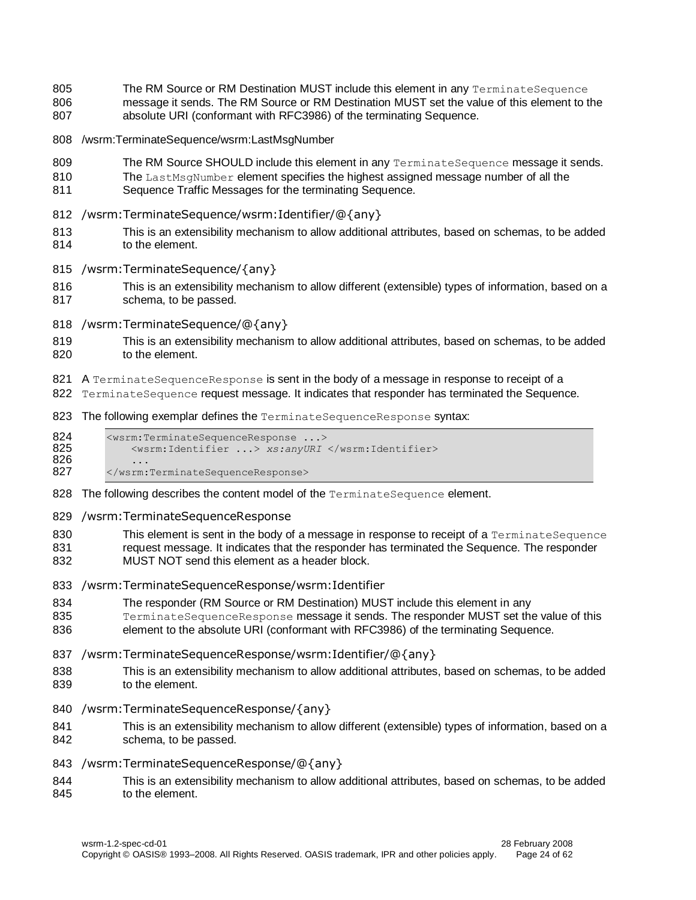- 805 The RM Source or RM Destination MUST include this element in any TerminateSequence
- message it sends. The RM Source or RM Destination MUST set the value of this element to the absolute URI (conformant with RFC3986) of the terminating Sequence.
- /wsrm:TerminateSequence/wsrm:LastMsgNumber
- 809 The RM Source SHOULD include this element in any TerminateSequence message it sends.
- 810 The LastMsgNumber element specifies the highest assigned message number of all the
- Sequence Traffic Messages for the terminating Sequence.
- /wsrm:TerminateSequence/wsrm:Identifier/@{any}
- This is an extensibility mechanism to allow additional attributes, based on schemas, to be added to the element.
- /wsrm:TerminateSequence/{any}
- This is an extensibility mechanism to allow different (extensible) types of information, based on a schema, to be passed.
- /wsrm:TerminateSequence/@{any}
- This is an extensibility mechanism to allow additional attributes, based on schemas, to be added 820 to the element.
- 821 A TerminateSequenceResponse is sent in the body of a message in response to receipt of a
- 822 TerminateSequence request message. It indicates that responder has terminated the Sequence.
- 823 The following exemplar defines the TerminateSequenceResponse syntax:
- 824 <wsrm:TerminateSequenceResponse ...><br>825 <wsrm:Identifier ...> xs:anyURI <wsrm:Identifier ...> *xs:anyURI* </wsrm:Identifier> 826 ...<br>827 </wsrm </wsrm:TerminateSequenceResponse>
- 828 The following describes the content model of the TerminateSequence element.
- /wsrm:TerminateSequenceResponse

830 This element is sent in the body of a message in response to receipt of a TerminateSequence 831 request message. It indicates that the responder has terminated the Sequence. The responder MUST NOT send this element as a header block.

- 
- /wsrm:TerminateSequenceResponse/wsrm:Identifier
- The responder (RM Source or RM Destination) MUST include this element in any
- 835 TerminateSequenceResponse message it sends. The responder MUST set the value of this
- element to the absolute URI (conformant with RFC3986) of the terminating Sequence.
- /wsrm:TerminateSequenceResponse/wsrm:Identifier/@{any}
- This is an extensibility mechanism to allow additional attributes, based on schemas, to be added 839 to the element.
- /wsrm:TerminateSequenceResponse/{any}
- This is an extensibility mechanism to allow different (extensible) types of information, based on a schema, to be passed.
- /wsrm:TerminateSequenceResponse/@{any}
- This is an extensibility mechanism to allow additional attributes, based on schemas, to be added 845 to the element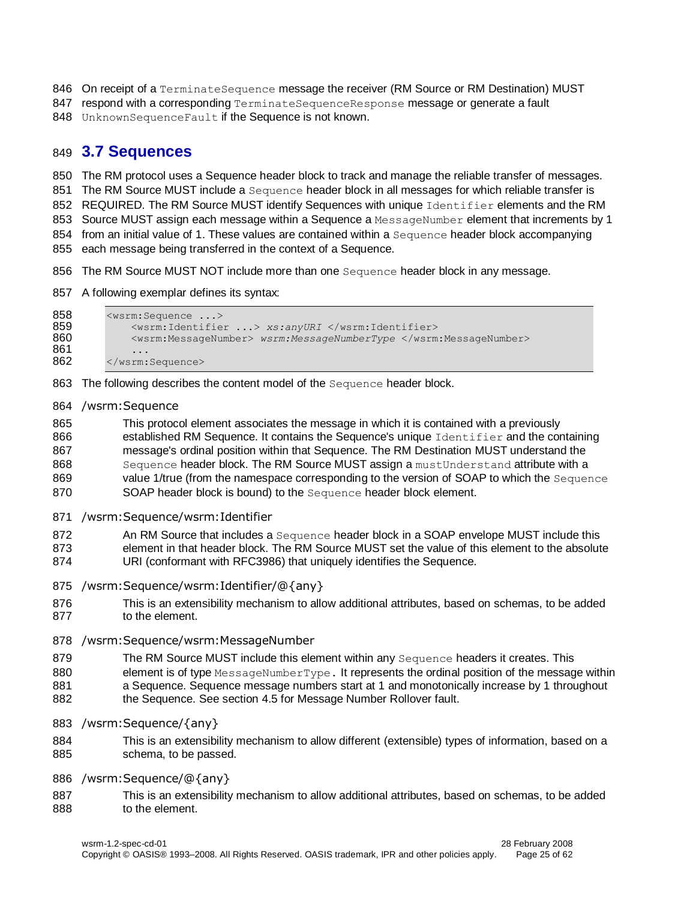846 On receipt of a TerminateSequence message the receiver (RM Source or RM Destination) MUST

- 847 respond with a corresponding TerminateSequenceResponse message or generate a fault
- 848 UnknownSequenceFault if the Sequence is not known.

### <span id="page-24-0"></span>849 **3.7 Sequences**

850 The RM protocol uses a Sequence header block to track and manage the reliable transfer of messages.

851 The RM Source MUST include a Sequence header block in all messages for which reliable transfer is

852 REQUIRED. The RM Source MUST identify Sequences with unique Identifier elements and the RM

853 Source MUST assign each message within a Sequence a MessageNumber element that increments by 1

854 from an initial value of 1. These values are contained within a Sequence header block accompanying

855 each message being transferred in the context of a Sequence.

- 856 The RM Source MUST NOT include more than one Sequence header block in any message.
- 857 A following exemplar defines its syntax:

```
858 <wsrm:Sequence ...><br>859 <wsrm:Identifie
859 <wsrm:Identifier ...> xs:anyURI </wsrm:Identifier>
              860 <wsrm:MessageNumber> wsrm:MessageNumberType </wsrm:MessageNumber>
861<br>862
          862 </wsrm:Sequence>
```
863 The following describes the content model of the Sequence header block.

#### 864 /wsrm:Sequence

865 This protocol element associates the message in which it is contained with a previously 866 established RM Sequence. It contains the Sequence's unique Identifier and the containing 867 message's ordinal position within that Sequence. The RM Destination MUST understand the 868 Sequence header block. The RM Source MUST assign a must Understand attribute with a 869 value 1/true (from the namespace corresponding to the version of SOAP to which the Sequence 870 SOAP header block is bound) to the Sequence header block element.

871 /wsrm:Sequence/wsrm:Identifier

872 An RM Source that includes a Sequence header block in a SOAP envelope MUST include this 873 element in that header block. The RM Source MUST set the value of this element to the absolute

- 874 URI (conformant with RFC3986) that uniquely identifies the Sequence.
- 875 /wsrm:Sequence/wsrm:Identifier/@{any}
- 876 This is an extensibility mechanism to allow additional attributes, based on schemas, to be added 877 to the element.
- 878 /wsrm:Sequence/wsrm:MessageNumber
- 879 The RM Source MUST include this element within any Sequence headers it creates. This
- 880 element is of type MessageNumberType. It represents the ordinal position of the message within
- 881 a Sequence. Sequence message numbers start at 1 and monotonically increase by 1 throughout
- 882 the Sequence. See section [4.5](#page-32-1) for Message Number Rollover fault.
- 883 /wsrm:Sequence/{any}
- 884 This is an extensibility mechanism to allow different (extensible) types of information, based on a 885 schema, to be passed.
- 886 /wsrm:Sequence/@{any}
- 887 This is an extensibility mechanism to allow additional attributes, based on schemas, to be added 888 to the element.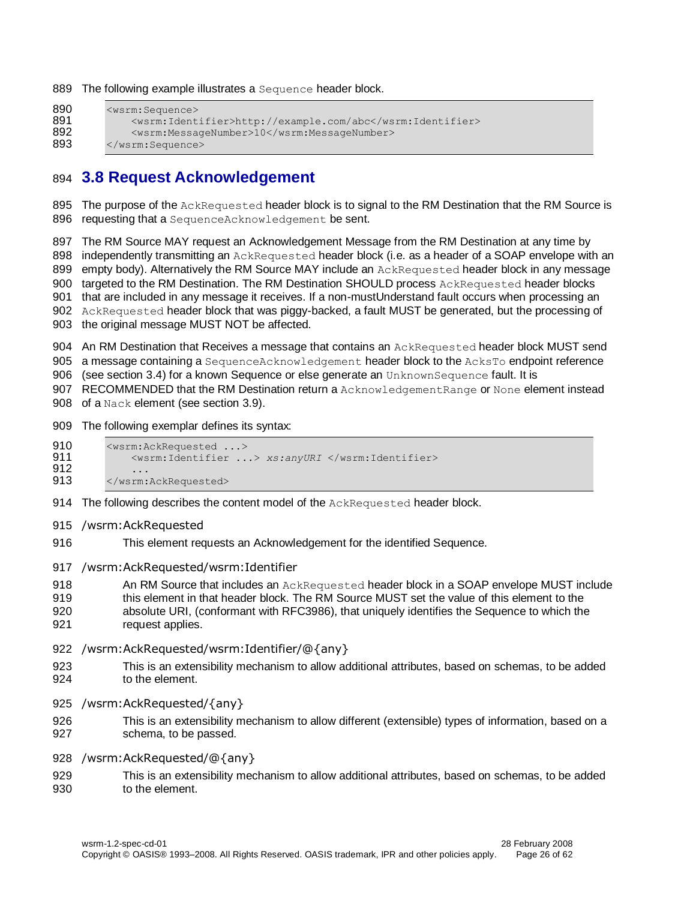889 The following example illustrates a Sequence header block.

```
890 <wsrm:Sequence><br>891 <wsrm:Ident
               891 <wsrm:Identifier>http://example.com/abc</wsrm:Identifier>
892 <wsrm:MessageNumber>10</wsrm:MessageNumber>893 </wsrm:Sequence>
          </wsrm:Sequence>
```
### <span id="page-25-0"></span>894 **3.8 Request Acknowledgement**

895 The purpose of the AckRequested header block is to signal to the RM Destination that the RM Source is 896 requesting that a SequenceAcknowledgement be sent.

897 The RM Source MAY request an Acknowledgement Message from the RM Destination at any time by 898 independently transmitting an AckRequested header block (i.e. as a header of a SOAP envelope with an 899 empty body). Alternatively the RM Source MAY include an AckRequested header block in any message 900 targeted to the RM Destination. The RM Destination SHOULD process AckRequested header blocks 901 that are included in any message it receives. If a non-mustUnderstand fault occurs when processing an 902 AckRequested header block that was piggy-backed, a fault MUST be generated, but the processing of

903 the original message MUST NOT be affected.

904 An RM Destination that Receives a message that contains an AckRequested header block MUST send

905 a message containing a SequenceAcknowledgement header block to the AcksTo endpoint reference

906 (see section [3.4\)](#page-16-0) for a known Sequence or else generate an UnknownSequence fault. It is

907 RECOMMENDED that the RM Destination return a Acknowledgement Range or None element instead 908 of a Nack element (see section [3.9\)](#page-26-0).

909 The following exemplar defines its syntax:

```
910 <wsrm:AckRequested ...><br>911 <wsrm:Identifier ..
                911 <wsrm:Identifier ...> xs:anyURI </wsrm:Identifier>
912 ...<br>913 </wsrm:
           913 </wsrm:AckRequested>
```
- 914 The following describes the content model of the AckRequested header block.
- 915 /wsrm:AckRequested
- 916 This element requests an Acknowledgement for the identified Sequence.
- 917 /wsrm:AckRequested/wsrm:Identifier

918 **An RM Source that includes an AckRequested header block in a SOAP envelope MUST include** 919 this element in that header block. The RM Source MUST set the value of this element to the 920 absolute URI, (conformant with RFC3986), that uniquely identifies the Sequence to which the

- 921 request applies.
- 922 /wsrm:AckRequested/wsrm:Identifier/@{any}
- 923 This is an extensibility mechanism to allow additional attributes, based on schemas, to be added 924 to the element.
- 925 /wsrm:AckRequested/{any}
- 926 This is an extensibility mechanism to allow different (extensible) types of information, based on a 927 schema, to be passed.
- 928 /wsrm:AckRequested/@{any}
- 929 This is an extensibility mechanism to allow additional attributes, based on schemas, to be added 930 to the element.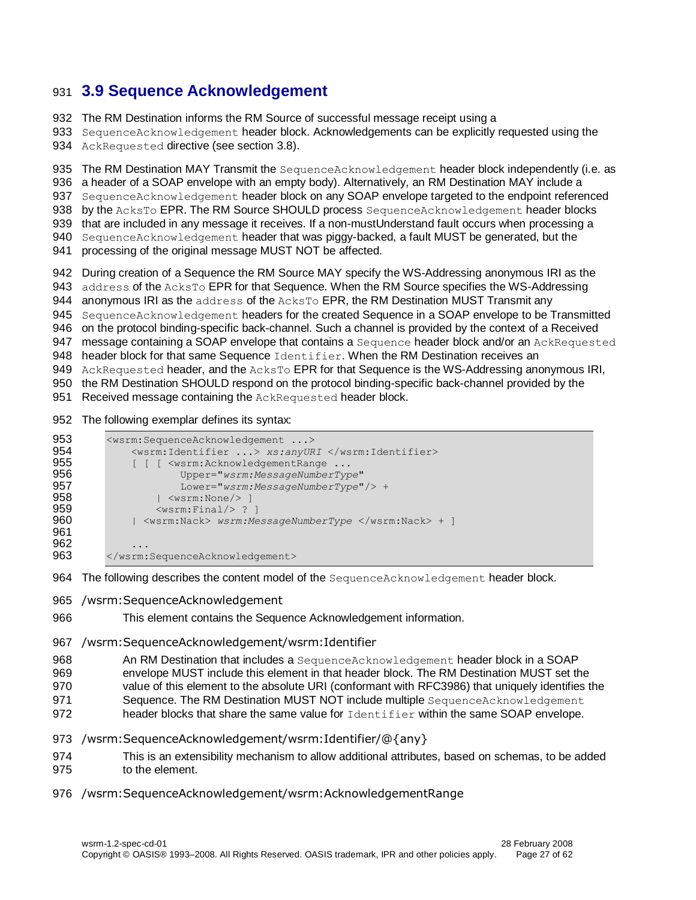# <span id="page-26-0"></span>931 **3.9 Sequence Acknowledgement**

932 The RM Destination informs the RM Source of successful message receipt using a

933 SequenceAcknowledgement header block. Acknowledgements can be explicitly requested using the 934 AckRequested directive (see section [3.8\)](#page-25-0).

935 The RM Destination MAY Transmit the SequenceAcknowledgement header block independently (i.e. as 936 a header of a SOAP envelope with an empty body). Alternatively, an RM Destination MAY include a 937 SequenceAcknowledgement header block on any SOAP envelope targeted to the endpoint referenced 938 by the AcksTo EPR. The RM Source SHOULD process SequenceAcknowledgement header blocks 939 that are included in any message it receives. If a non-mustUnderstand fault occurs when processing a 940 SequenceAcknowledgement header that was piggy-backed, a fault MUST be generated, but the

941 processing of the original message MUST NOT be affected.

942 During creation of a Sequence the RM Source MAY specify the WS-Addressing anonymous IRI as the 943 address of the AcksTo EPR for that Sequence. When the RM Source specifies the WS-Addressing 944 anonymous IRI as the address of the AcksTo EPR, the RM Destination MUST Transmit any 945 SequenceAcknowledgement headers for the created Sequence in a SOAP envelope to be Transmitted 946 on the protocol binding-specific back-channel. Such a channel is provided by the context of a Received 947 message containing a SOAP envelope that contains a Sequence header block and/or an AckRequested 948 header block for that same Sequence Identifier. When the RM Destination receives an 949 AckRequested header, and the AcksTo EPR for that Sequence is the WS-Addressing anonymous IRI, 950 the RM Destination SHOULD respond on the protocol binding-specific back-channel provided by the 951 Received message containing the AckRequested header block.

952 The following exemplar defines its syntax:

| 953 | <wsrm:sequenceacknowledgement></wsrm:sequenceacknowledgement> |
|-----|---------------------------------------------------------------|
| 954 | <wsrm:identifier> xs:anyURI </wsrm:identifier>                |
| 955 | [ [ [ <wsrm: <="" acknowledgement="" range="" th=""></wsrm:>  |
| 956 | Upper="wsrm:MessageNumberType"                                |
| 957 | Lower=" $wsrm$ : MessageNumberType" /> +                      |
| 958 | $ $ $\langle$ wsrm:None/> 1                                   |
| 959 | $<$ wsrm: Final/> ? 1                                         |
| 960 | <wsrm:nack> wsrm:MessageNumberType </wsrm:nack> + ]           |
| 961 |                                                               |
| 962 | .                                                             |
| 963 |                                                               |

964 The following describes the content model of the SequenceAcknowledgement header block.

- 965 /wsrm:SequenceAcknowledgement
- 966 This element contains the Sequence Acknowledgement information.
- 967 /wsrm:SequenceAcknowledgement/wsrm:Identifier
- 968 An RM Destination that includes a SequenceAcknowledgement header block in a SOAP
- 969 envelope MUST include this element in that header block. The RM Destination MUST set the
- 970 value of this element to the absolute URI (conformant with RFC3986) that uniquely identifies the
- 971 Sequence. The RM Destination MUST NOT include multiple SequenceAcknowledgement
- 972 header blocks that share the same value for Identifier within the same SOAP envelope.
- 973 /wsrm:SequenceAcknowledgement/wsrm:Identifier/@{any}
- 974 This is an extensibility mechanism to allow additional attributes, based on schemas, to be added 975 to the element
- 976 /wsrm:SequenceAcknowledgement/wsrm:AcknowledgementRange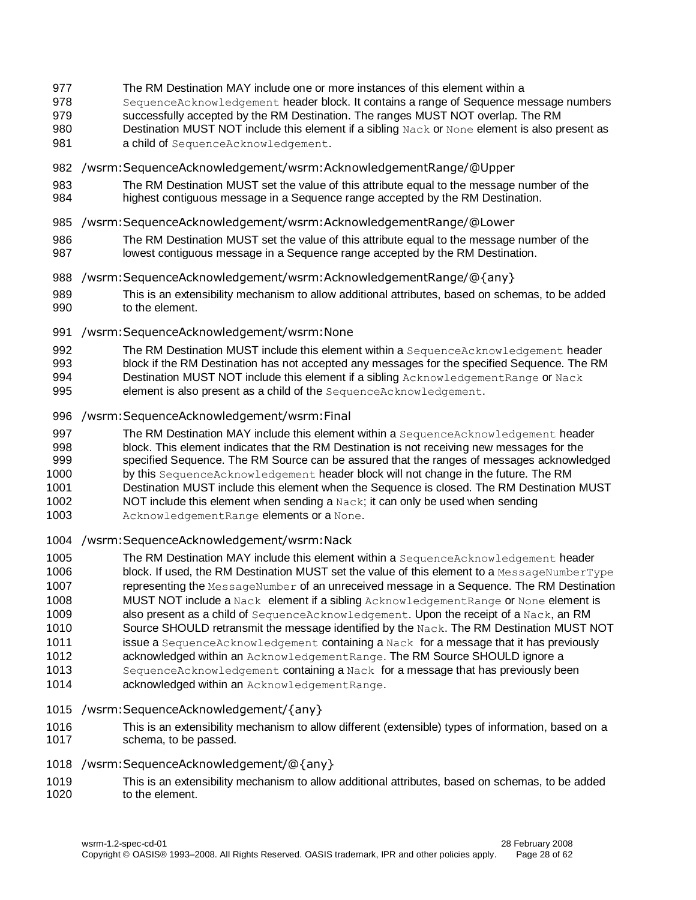- 977 The RM Destination MAY include one or more instances of this element within a
- 978 SequenceAcknowledgement header block. It contains a range of Sequence message numbers
- 979 successfully accepted by the RM Destination. The ranges MUST NOT overlap. The RM
- 980 Destination MUST NOT include this element if a sibling Nack or None element is also present as
- 981 **a child of** SequenceAcknowledgement.
- 982 /wsrm:SequenceAcknowledgement/wsrm:AcknowledgementRange/@Upper
- 983 The RM Destination MUST set the value of this attribute equal to the message number of the 984 highest contiguous message in a Sequence range accepted by the RM Destination.
- 985 /wsrm:SequenceAcknowledgement/wsrm:AcknowledgementRange/@Lower
- 986 The RM Destination MUST set the value of this attribute equal to the message number of the 987 lowest contiguous message in a Sequence range accepted by the RM Destination.
- 988 /wsrm:SequenceAcknowledgement/wsrm:AcknowledgementRange/@{any}
- 989 This is an extensibility mechanism to allow additional attributes, based on schemas, to be added to the element.
- 991 /wsrm:SequenceAcknowledgement/wsrm:None
- 992 The RM Destination MUST include this element within a SequenceAcknowledgement header 993 block if the RM Destination has not accepted any messages for the specified Sequence. The RM
- 994 Destination MUST NOT include this element if a sibling AcknowledgementRange or Nack
- 995 element is also present as a child of the SequenceAcknowledgement.
- 996 /wsrm:SequenceAcknowledgement/wsrm:Final
- 997 The RM Destination MAY include this element within a SequenceAcknowledgement header
- 998 block. This element indicates that the RM Destination is not receiving new messages for the
- 999 specified Sequence. The RM Source can be assured that the ranges of messages acknowledged 1000 by this SequenceAcknowledgement header block will not change in the future. The RM
- 1001 Destination MUST include this element when the Sequence is closed. The RM Destination MUST
- 1002 NOT include this element when sending a  $Nack$ ; it can only be used when sending
- 1003 AcknowledgementRange elements or a None.
- 1004 /wsrm:SequenceAcknowledgement/wsrm:Nack
- 1005 The RM Destination MAY include this element within a SequenceAcknowledgement header 1006 block. If used, the RM Destination MUST set the value of this element to a MessageNumberType 1007 representing the MessageNumber of an unreceived message in a Sequence. The RM Destination 1008 MUST NOT include a Nack element if a sibling Acknowledgement Range or None element is 1009 also present as a child of SequenceAcknowledgement. Upon the receipt of a Nack, an RM 1010 Source SHOULD retransmit the message identified by the Nack. The RM Destination MUST NOT
- 1011 issue a SequenceAcknowledgement containing a Nack for a message that it has previously
- 1012 **acknowledged within an** AcknowledgementRange. The RM Source SHOULD ignore a
- 1013 SequenceAcknowledgement containing a Nack for a message that has previously been
- 1014 **acknowledged within an AcknowledgementRange.**

#### 1015 /wsrm:SequenceAcknowledgement/{any}

- 1016 This is an extensibility mechanism to allow different (extensible) types of information, based on a 1017 schema, to be passed.
- 1018 /wsrm:SequenceAcknowledgement/@{any}
- 1019 This is an extensibility mechanism to allow additional attributes, based on schemas, to be added 1020 to the element.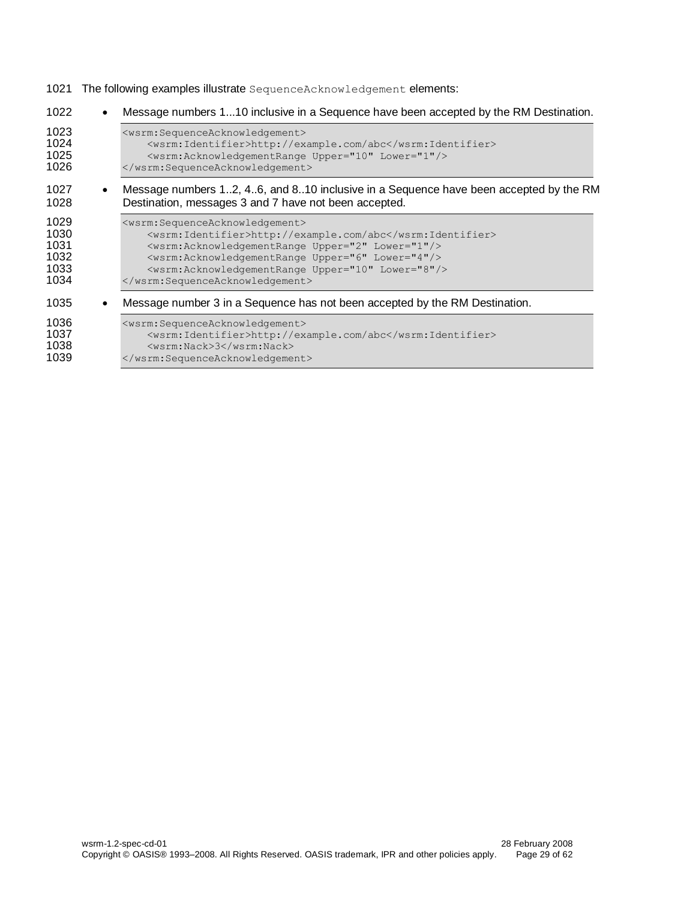1021 The following examples illustrate SequenceAcknowledgement elements:

| 1022                                         | $\bullet$ | Message numbers 110 inclusive in a Sequence have been accepted by the RM Destination.                                                                                                                                                                                                                                                                             |
|----------------------------------------------|-----------|-------------------------------------------------------------------------------------------------------------------------------------------------------------------------------------------------------------------------------------------------------------------------------------------------------------------------------------------------------------------|
| 1023<br>1024<br>1025<br>1026                 |           | <wsrm:sequenceacknowledgement><br/><wsrm:identifier>http://example.com/abc</wsrm:identifier><br/><wsrm:acknowledgementrange lower="1" upper="10"></wsrm:acknowledgementrange><br/></wsrm:sequenceacknowledgement>                                                                                                                                                 |
| 1027<br>1028                                 |           | Message numbers 12, 46, and 810 inclusive in a Sequence have been accepted by the RM<br>Destination, messages 3 and 7 have not been accepted.                                                                                                                                                                                                                     |
| 1029<br>1030<br>1031<br>1032<br>1033<br>1034 |           | <wsrm:sequenceacknowledgement><br/><wsrm:identifier>http://example.com/abc</wsrm:identifier><br/><wsrm:acknowledgementrange lower="1" upper="2"></wsrm:acknowledgementrange><br/><wsrm: acknowledgementrange="" lower="4" upper="6"></wsrm:><br/><wsrm:acknowledgementrange lower="8" upper="10"></wsrm:acknowledgementrange><br/></wsrm:sequenceacknowledgement> |
| 1035                                         |           | Message number 3 in a Sequence has not been accepted by the RM Destination.                                                                                                                                                                                                                                                                                       |
| 1036<br>1037<br>1038<br>1039                 |           | <wsrm:sequenceacknowledgement><br/><wsrm:identifier>http://example.com/abc</wsrm:identifier><br/><wsrm:nack>3</wsrm:nack><br/></wsrm:sequenceacknowledgement>                                                                                                                                                                                                     |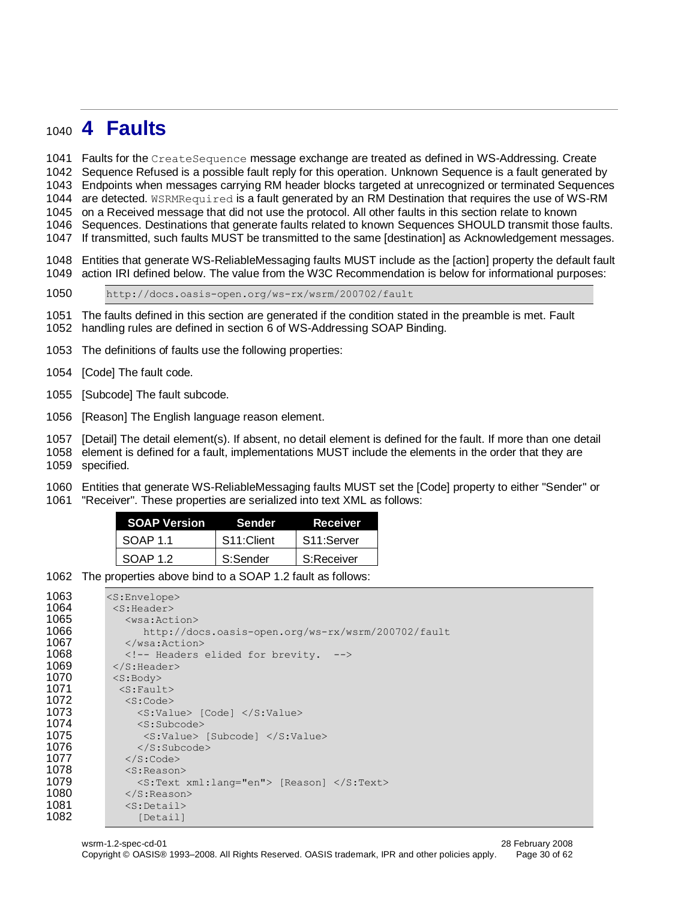# <span id="page-29-0"></span>**4 Faults**

Faults for the CreateSequence message exchange are treated as defined in WS-Addressing. Create

Sequence Refused is a possible fault reply for this operation. Unknown Sequence is a fault generated by

Endpoints when messages carrying RM header blocks targeted at unrecognized or terminated Sequences

1044 are detected. WSRMRequired is a fault generated by an RM Destination that requires the use of WS-RM on a Received message that did not use the protocol. All other faults in this section relate to known

Sequences. Destinations that generate faults related to known Sequences SHOULD transmit those faults.

If transmitted, such faults MUST be transmitted to the same [destination] as Acknowledgement messages.

 Entities that generate WS-ReliableMessaging faults MUST include as the [action] property the default fault action IRI defined below. The value from the W3C Recommendation is below for informational purposes:

http://docs.oasis-open.org/ws-rx/wsrm/200702/fault

 The faults defined in this section are generated if the condition stated in the preamble is met. Fault handling rules are defined in section 6 of WS-Addressing SOAP Binding.

The definitions of faults use the following properties:

[Code] The fault code.

[Subcode] The fault subcode.

[Reason] The English language reason element.

[Detail] The detail element(s). If absent, no detail element is defined for the fault. If more than one detail

element is defined for a fault, implementations MUST include the elements in the order that they are

specified.

Entities that generate WS-ReliableMessaging faults MUST set the [Code] property to either "Sender" or

"Receiver". These properties are serialized into text XML as follows:

| <b>SOAP Version</b> | <b>Sender</b> | Receiver   |
|---------------------|---------------|------------|
| SOAP 11             | S11:Client    | S11:Server |
| SOAP 1.2            | S:Sender      | S:Receiver |

The properties above bind to a SOAP 1.2 fault as follows:

| 1063 | $<$ S:Envelope $>$                                    |
|------|-------------------------------------------------------|
| 1064 | $<$ S:Header>                                         |
| 1065 | $<$ wsa:Action $>$                                    |
| 1066 | http://docs.oasis-open.org/ws-rx/wsrm/200702/fault    |
| 1067 | $\langle$ /wsa:Action>                                |
| 1068 | Headers elided for brevity.                           |
| 1069 | $\langle$ /S:Header>                                  |
| 1070 | $<$ S:Body>                                           |
| 1071 | $<$ S: Fault>                                         |
| 1072 | $<$ S:Code $>$                                        |
| 1073 | $\langle$ S:Value> [Code] $\langle$ /S:Value>         |
| 1074 | $\langle S:Subcode\rangle$                            |
| 1075 | <s:value> [Subcode] </s:value>                        |
| 1076 | $\langle$ /S: Subcode>                                |
| 1077 | $\langle$ /S:Code>                                    |
| 1078 | $<$ S: Reason>                                        |
| 1079 | $\leq$ S:Text xml:lang="en"> [Reason] $\leq$ /S:Text> |
| 1080 | $\langle$ /S: Reason>                                 |
| 1081 | $<$ S:Detail>                                         |
| 1082 | [Detail]                                              |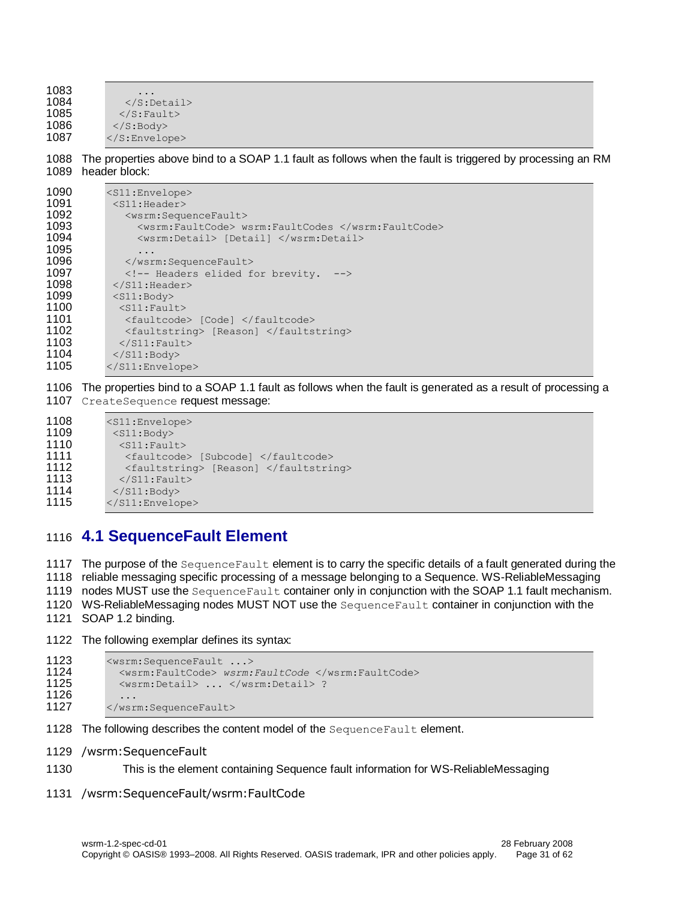1083<br>1084  $\langle$ S:Detail> 1085  $\langle$ S:Fault><br>1086  $\langle$ S:Body>  $\langle$ S:Body> 1087 </S:Envelope>

1088 The properties above bind to a SOAP 1.1 fault as follows when the fault is triggered by processing an RM 1089 header block:

| 1090 | $<$ S $11$ : Envelope $>$                          |
|------|----------------------------------------------------|
| 1091 | $<$ S11: Header>                                   |
| 1092 | <wsrm:sequencefault></wsrm:sequencefault>          |
| 1093 | <wsrm:faultcode> wsrm:FaultCodes </wsrm:faultcode> |
| 1094 | <wsrm:detail> [Detail] </wsrm:detail>              |
| 1095 | .                                                  |
| 1096 | $\langle$ /wsrm: Sequence Fault>                   |
| 1097 | <!-- Headers elided for brevity.<br>——>            |
| 1098 | $\langle$ /S11:Header>                             |
| 1099 | $<$ S $11$ : Body>                                 |
| 1100 | $<$ S11: Fault>                                    |
| 1101 | <faultcode> [Code] </faultcode>                    |
| 1102 | <faultstring> [Reason] </faultstring>              |
| 1103 | $\langle$ /S11: Fault>                             |
| 1104 | $\langle$ /S11:Body>                               |
| 1105 | $\langle$ /S11:Envelope>                           |

1106 The properties bind to a SOAP 1.1 fault as follows when the fault is generated as a result of processing a 1107 CreateSequence request message:

```
1108 <s11:Envelope><br>1109 <s11:Bodv>
           <S11:Body>
1110 <s11:Fault><br>1111 <faultcode
             1111 <faultcode> [Subcode] </faultcode>
1112 <faultstring> [Reason] </faultstring>
1113 </s11: Fault>
1114 </S11:Body>
1115 </S11:Envelope>
```
## <span id="page-30-0"></span>1116 **4.1 SequenceFault Element**

1117 The purpose of the Sequence Fault element is to carry the specific details of a fault generated during the 1118 reliable messaging specific processing of a message belonging to a Sequence. WS-ReliableMessaging

1119 nodes MUST use the Sequence Fault container only in conjunction with the SOAP 1.1 fault mechanism.

- 1120 WS-ReliableMessaging nodes MUST NOT use the Sequence Fault container in conjunction with the
- 1121 SOAP 1.2 binding.
- 1122 The following exemplar defines its syntax:

```
1123 <wsrm: Sequence Fault ...>
1124 <wsrm:FaultCode> wsrm:FaultCode </wsrm:FaultCode> 
1125 <wsrm:Detail> ... </wsrm:Detail> ?
1126 ...
1127 </wsrm:SequenceFault>
```
- 1128 The following describes the content model of the SequenceFault element.
- 1129 /wsrm:SequenceFault
- 1130 This is the element containing Sequence fault information for WS-ReliableMessaging
- 1131 /wsrm:SequenceFault/wsrm:FaultCode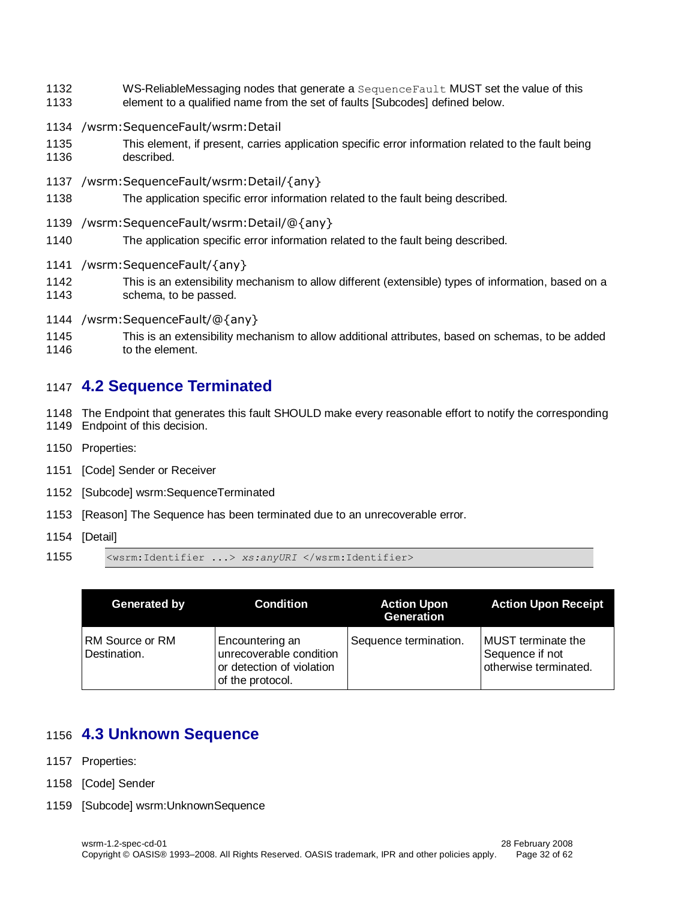- WS-ReliableMessaging nodes that generate a SequenceFault MUST set the value of this
- element to a qualified name from the set of faults [Subcodes] defined below.
- /wsrm:SequenceFault/wsrm:Detail
- This element, if present, carries application specific error information related to the fault being described.
- /wsrm:SequenceFault/wsrm:Detail/{any}
- The application specific error information related to the fault being described.
- /wsrm:SequenceFault/wsrm:Detail/@{any}
- The application specific error information related to the fault being described.
- /wsrm:SequenceFault/{any}
- This is an extensibility mechanism to allow different (extensible) types of information, based on a schema, to be passed.
- /wsrm:SequenceFault/@{any}
- This is an extensibility mechanism to allow additional attributes, based on schemas, to be added to the element.

# <span id="page-31-0"></span>**4.2 Sequence Terminated**

 The Endpoint that generates this fault SHOULD make every reasonable effort to notify the corresponding Endpoint of this decision.

- Properties:
- [Code] Sender or Receiver
- [Subcode] wsrm:SequenceTerminated
- [Reason] The Sequence has been terminated due to an unrecoverable error.
- [Detail]

```
1155 <wsrm:Identifier ...> xs:anyURI </wsrm:Identifier>
```

| Generated by                    | <b>Condition</b>                                                                            | <b>Action Upon</b><br>Generation | <b>Action Upon Receipt</b>                                     |
|---------------------------------|---------------------------------------------------------------------------------------------|----------------------------------|----------------------------------------------------------------|
| RM Source or RM<br>Destination. | Encountering an<br>unrecoverable condition<br>or detection of violation<br>of the protocol. | Sequence termination.            | MUST terminate the<br>Sequence if not<br>otherwise terminated. |

# <span id="page-31-1"></span>**4.3 Unknown Sequence**

- Properties:
- [Code] Sender
- [Subcode] wsrm:UnknownSequence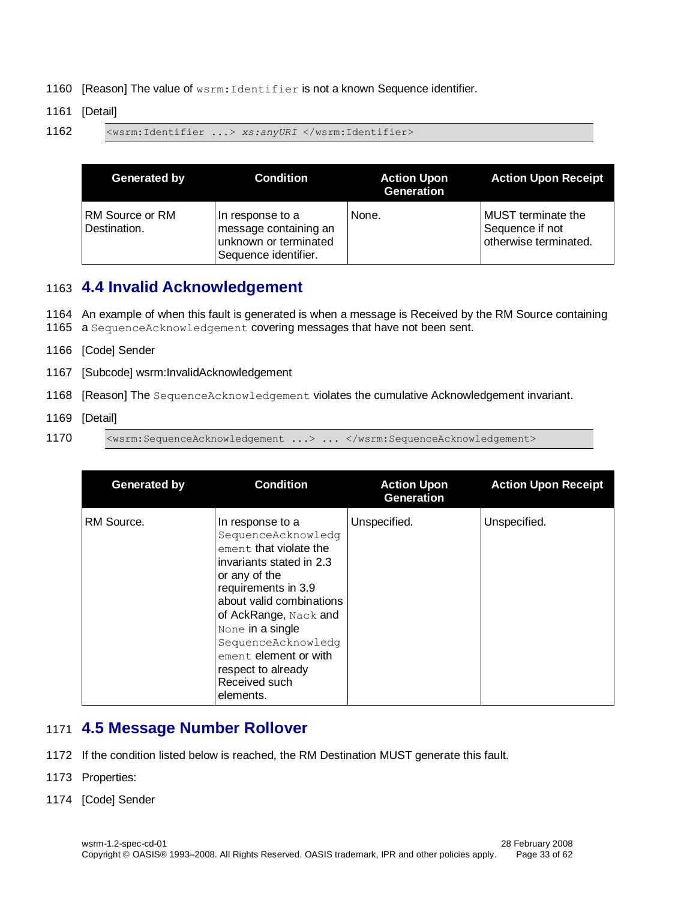- 1160 [Reason] The value of wsrm: Identifier is not a known Sequence identifier.
- 1161 [Detail]
- 1162 <wsrm:Identifier ...> *xs:anyURI* </wsrm:Identifier>

| Generated by                    | Condition                                                                                  | <b>Action Upon</b><br>Generation | <b>Action Upon Receipt</b>                                     |
|---------------------------------|--------------------------------------------------------------------------------------------|----------------------------------|----------------------------------------------------------------|
| RM Source or RM<br>Destination. | In response to a<br>message containing an<br>unknown or terminated<br>Sequence identifier. | None.                            | MUST terminate the<br>Sequence if not<br>otherwise terminated. |

# <span id="page-32-0"></span>1163 **4.4 Invalid Acknowledgement**

- 1164 An example of when this fault is generated is when a message is Received by the RM Source containing
- 1165 a SequenceAcknowledgement covering messages that have not been sent.
- 1166 [Code] Sender
- 1167 [Subcode] wsrm:InvalidAcknowledgement
- 1168 [Reason] The SequenceAcknowledgement violates the cumulative Acknowledgement invariant.
- 1169 [Detail]
- 1170 <wsrm: SequenceAcknowledgement ...> ... </wsrm: SequenceAcknowledgement>

| Generated by | <b>Condition</b>                                                                                                                                                                                                                                                                                                   | <b>Action Upon</b><br><b>Generation</b> | <b>Action Upon Receipt</b> |
|--------------|--------------------------------------------------------------------------------------------------------------------------------------------------------------------------------------------------------------------------------------------------------------------------------------------------------------------|-----------------------------------------|----------------------------|
| RM Source.   | In response to a<br>SequenceAcknowledg<br>ement, that violate the<br>invariants stated in 2.3<br>or any of the<br>requirements in 3.9<br>about valid combinations<br>of AckRange, Nack and<br>None in a single<br>SequenceAcknowledg<br>ement. element or with<br>respect to already<br>Received such<br>elements. | Unspecified.                            | Unspecified.               |

# <span id="page-32-1"></span>1171 **4.5 Message Number Rollover**

- 1172 If the condition listed below is reached, the RM Destination MUST generate this fault.
- 1173 Properties:
- 1174 [Code] Sender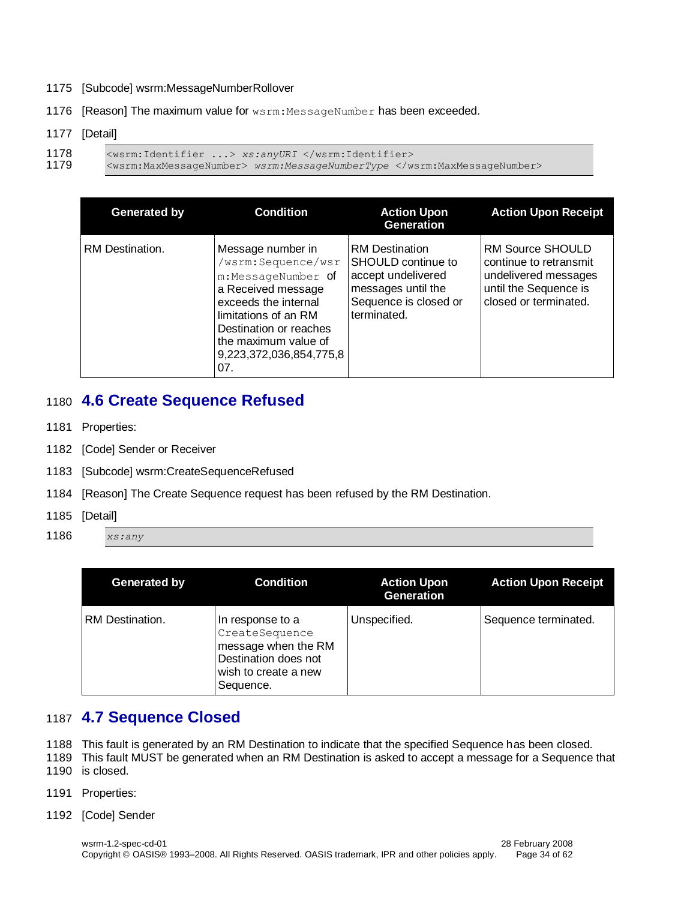- 1175 [Subcode] wsrm:MessageNumberRollover
- 1176 [Reason] The maximum value for wsrm: MessageNumber has been exceeded.

#### 1177 [Detail]

```
1178 <wsrm:Identifier ...> xs:anyURI </wsrm:Identifier><br>1179 <wsrm:MaxMessageNumber> wsrm:MessageNumberType </w
```
1179 <wsrm:MaxMessageNumber> *wsrm:MessageNumberType* </wsrm:MaxMessageNumber>

| <b>Generated by</b> | <b>Condition</b>                                                                                                                                                                                                        | <b>Action Upon</b><br>Generation                                                                                                | <b>Action Upon Receipt</b>                                                                                                  |
|---------------------|-------------------------------------------------------------------------------------------------------------------------------------------------------------------------------------------------------------------------|---------------------------------------------------------------------------------------------------------------------------------|-----------------------------------------------------------------------------------------------------------------------------|
| RM Destination.     | Message number in<br>/wsrm:Sequence/wsr<br>m:MessageNumber of<br>a Received message<br>exceeds the internal<br>limitations of an RM<br>Destination or reaches<br>the maximum value of<br>9,223,372,036,854,775,8<br>07. | <b>RM</b> Destination<br>SHOULD continue to<br>accept undelivered<br>messages until the<br>Sequence is closed or<br>terminated. | <b>RM Source SHOULD</b><br>continue to retransmit<br>undelivered messages<br>until the Sequence is<br>closed or terminated. |

## <span id="page-33-0"></span>1180 **4.6 Create Sequence Refused**

- 1181 Properties:
- 1182 [Code] Sender or Receiver
- 1183 [Subcode] wsrm:CreateSequenceRefused
- 1184 [Reason] The Create Sequence request has been refused by the RM Destination.
- 1185 [Detail]
- 1186 *xs:any*

| Generated by    | <b>Condition</b>                                                                                                       | <b>Action Upon</b><br><b>Generation</b> | <b>Action Upon Receipt</b> |
|-----------------|------------------------------------------------------------------------------------------------------------------------|-----------------------------------------|----------------------------|
| RM Destination. | In response to a<br>CreateSequence<br>message when the RM<br>Destination does not<br>wish to create a new<br>Sequence. | Unspecified.                            | Sequence terminated.       |

# <span id="page-33-1"></span>1187 **4.7 Sequence Closed**

- 1188 This fault is generated by an RM Destination to indicate that the specified Sequence has been closed.
- 1189 This fault MUST be generated when an RM Destination is asked to accept a message for a Sequence that 1190 is closed.
- 1191 Properties:
- 1192 [Code] Sender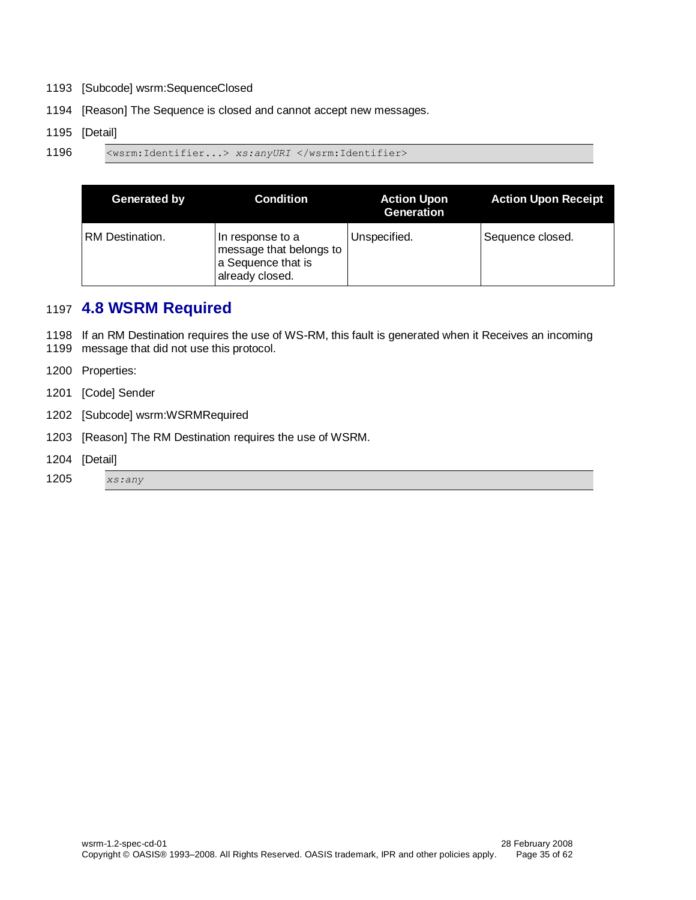- 1193 [Subcode] wsrm:SequenceClosed
- 1194 [Reason] The Sequence is closed and cannot accept new messages.

#### 1195 [Detail]

1196 <wsrm:Identifier...> *xs:anyURI* </wsrm:Identifier>

| Generated by    | <b>Condition</b>                                                                     | <b>Action Upon</b><br>Generation | <b>Action Upon Receipt</b> |
|-----------------|--------------------------------------------------------------------------------------|----------------------------------|----------------------------|
| RM Destination. | In response to a<br>message that belongs to<br>a Sequence that is<br>already closed. | Unspecified.                     | Sequence closed.           |

# <span id="page-34-0"></span>1197 **4.8 WSRM Required**

1198 If an RM Destination requires the use of WS-RM, this fault is generated when it Receives an incoming

- 1199 message that did not use this protocol.
- 1200 Properties:
- 1201 [Code] Sender
- 1202 [Subcode] wsrm:WSRMRequired
- 1203 [Reason] The RM Destination requires the use of WSRM.
- 1204 [Detail]

#### 1205 *xs:any*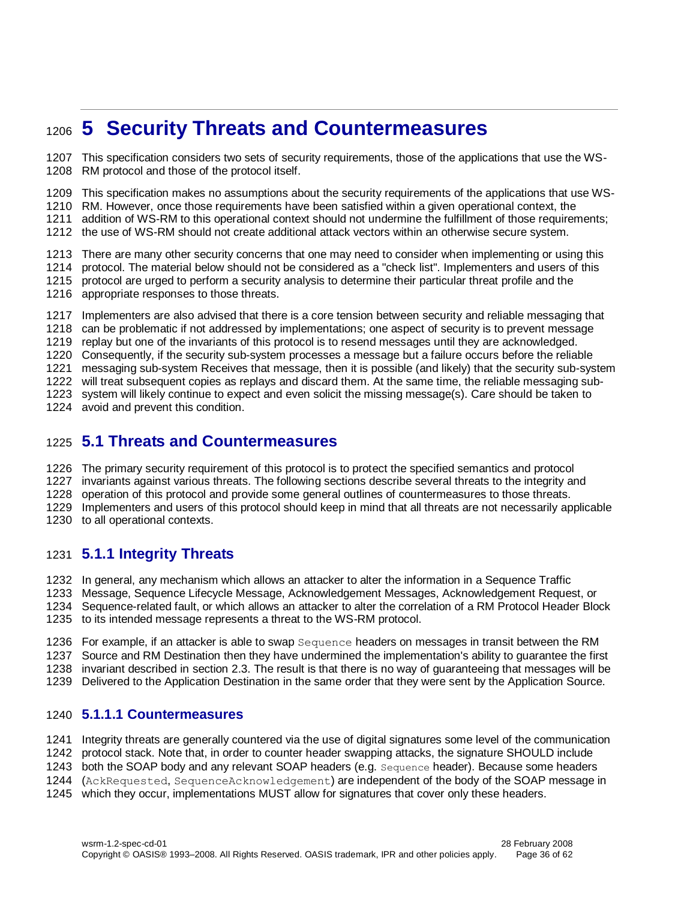# <span id="page-35-0"></span>**5 Security Threats and Countermeasures**

 This specification considers two sets of security requirements, those of the applications that use the WS-RM protocol and those of the protocol itself.

This specification makes no assumptions about the security requirements of the applications that use WS-

RM. However, once those requirements have been satisfied within a given operational context, the

addition of WS-RM to this operational context should not undermine the fulfillment of those requirements;

the use of WS-RM should not create additional attack vectors within an otherwise secure system.

 There are many other security concerns that one may need to consider when implementing or using this protocol. The material below should not be considered as a "check list". Implementers and users of this protocol are urged to perform a security analysis to determine their particular threat profile and the appropriate responses to those threats.

Implementers are also advised that there is a core tension between security and reliable messaging that

can be problematic if not addressed by implementations; one aspect of security is to prevent message

replay but one of the invariants of this protocol is to resend messages until they are acknowledged.

Consequently, if the security sub-system processes a message but a failure occurs before the reliable

messaging sub-system Receives that message, then it is possible (and likely) that the security sub-system

will treat subsequent copies as replays and discard them. At the same time, the reliable messaging sub-

system will likely continue to expect and even solicit the missing message(s). Care should be taken to

avoid and prevent this condition.

### <span id="page-35-1"></span>**5.1 Threats and Countermeasures**

The primary security requirement of this protocol is to protect the specified semantics and protocol

invariants against various threats. The following sections describe several threats to the integrity and

operation of this protocol and provide some general outlines of countermeasures to those threats.

Implementers and users of this protocol should keep in mind that all threats are not necessarily applicable

to all operational contexts.

### <span id="page-35-2"></span>**5.1.1 Integrity Threats**

In general, any mechanism which allows an attacker to alter the information in a Sequence Traffic

Message, Sequence Lifecycle Message, Acknowledgement Messages, Acknowledgement Request, or

Sequence-related fault, or which allows an attacker to alter the correlation of a RM Protocol Header Block

to its intended message represents a threat to the WS-RM protocol.

For example, if an attacker is able to swap Sequence headers on messages in transit between the RM

Source and RM Destination then they have undermined the implementation's ability to guarantee the first

 invariant described in section [2.3.](#page-11-1) The result is that there is no way of guaranteeing that messages will be Delivered to the Application Destination in the same order that they were sent by the Application Source.

#### **5.1.1.1 Countermeasures**

Integrity threats are generally countered via the use of digital signatures some level of the communication

protocol stack. Note that, in order to counter header swapping attacks, the signature SHOULD include

both the SOAP body and any relevant SOAP headers (e.g. Sequence header). Because some headers

(AckRequested, SequenceAcknowledgement) are independent of the body of the SOAP message in

which they occur, implementations MUST allow for signatures that cover only these headers.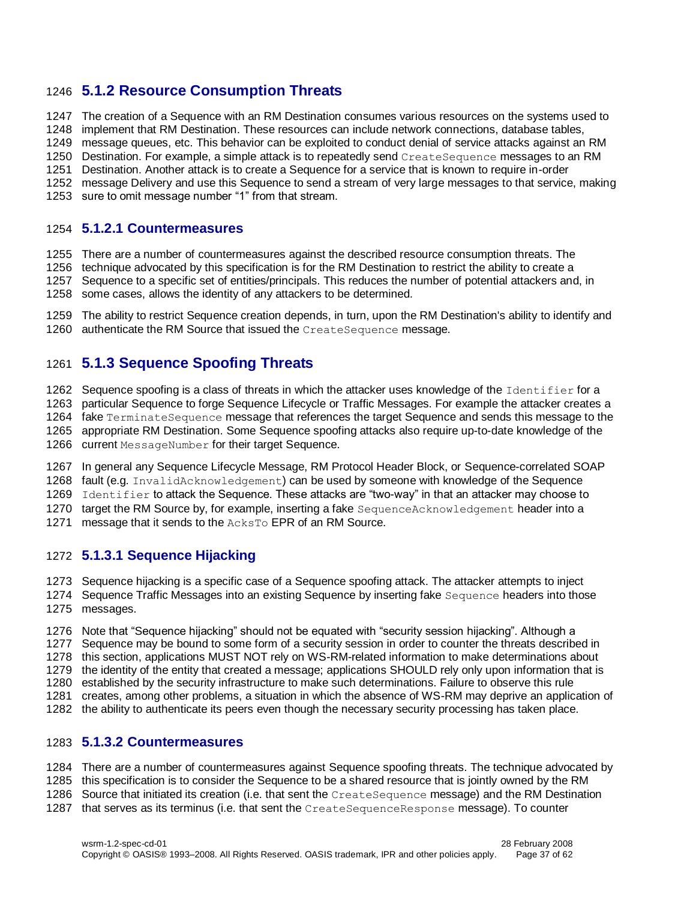### **5.1.2 Resource Consumption Threats**

The creation of a Sequence with an RM Destination consumes various resources on the systems used to

implement that RM Destination. These resources can include network connections, database tables,

message queues, etc. This behavior can be exploited to conduct denial of service attacks against an RM

1250 Destination. For example, a simple attack is to repeatedly send CreateSequence messages to an RM

Destination. Another attack is to create a Sequence for a service that is known to require in-order

message Delivery and use this Sequence to send a stream of very large messages to that service, making

sure to omit message number "1" from that stream.

#### <span id="page-36-0"></span>**5.1.2.1 Countermeasures**

There are a number of countermeasures against the described resource consumption threats. The

technique advocated by this specification is for the RM Destination to restrict the ability to create a

 Sequence to a specific set of entities/principals. This reduces the number of potential attackers and, in some cases, allows the identity of any attackers to be determined.

 The ability to restrict Sequence creation depends, in turn, upon the RM Destination's ability to identify and 1260 authenticate the RM Source that issued the CreateSequence message.

### **5.1.3 Sequence Spoofing Threats**

1262 Sequence spoofing is a class of threats in which the attacker uses knowledge of the Identifier for a

particular Sequence to forge Sequence Lifecycle or Traffic Messages. For example the attacker creates a

1264 fake TerminateSequence message that references the target Sequence and sends this message to the appropriate RM Destination. Some Sequence spoofing attacks also require up-to-date knowledge of the

- 1266 current MessageNumber for their target Sequence.
- In general any Sequence Lifecycle Message, RM Protocol Header Block, or Sequence-correlated SOAP

fault (e.g. InvalidAcknowledgement) can be used by someone with knowledge of the Sequence

1269 Identifier to attack the Sequence. These attacks are "two-way" in that an attacker may choose to

1270 target the RM Source by, for example, inserting a fake SequenceAcknowledgement header into a

1271 message that it sends to the AcksTo EPR of an RM Source.

### **5.1.3.1 Sequence Hijacking**

Sequence hijacking is a specific case of a Sequence spoofing attack. The attacker attempts to inject

1274 Sequence Traffic Messages into an existing Sequence by inserting fake Sequence headers into those messages.

 Note that "Sequence hijacking" should not be equated with "security session hijacking". Although a Sequence may be bound to some form of a security session in order to counter the threats described in

this section, applications MUST NOT rely on WS-RM-related information to make determinations about

the identity of the entity that created a message; applications SHOULD rely only upon information that is

established by the security infrastructure to make such determinations. Failure to observe this rule

creates, among other problems, a situation in which the absence of WS-RM may deprive an application of

the ability to authenticate its peers even though the necessary security processing has taken place.

#### <span id="page-36-1"></span>**5.1.3.2 Countermeasures**

There are a number of countermeasures against Sequence spoofing threats. The technique advocated by

- this specification is to consider the Sequence to be a shared resource that is jointly owned by the RM
- Source that initiated its creation (i.e. that sent the CreateSequence message) and the RM Destination
- that serves as its terminus (i.e. that sent the CreateSequenceResponse message). To counter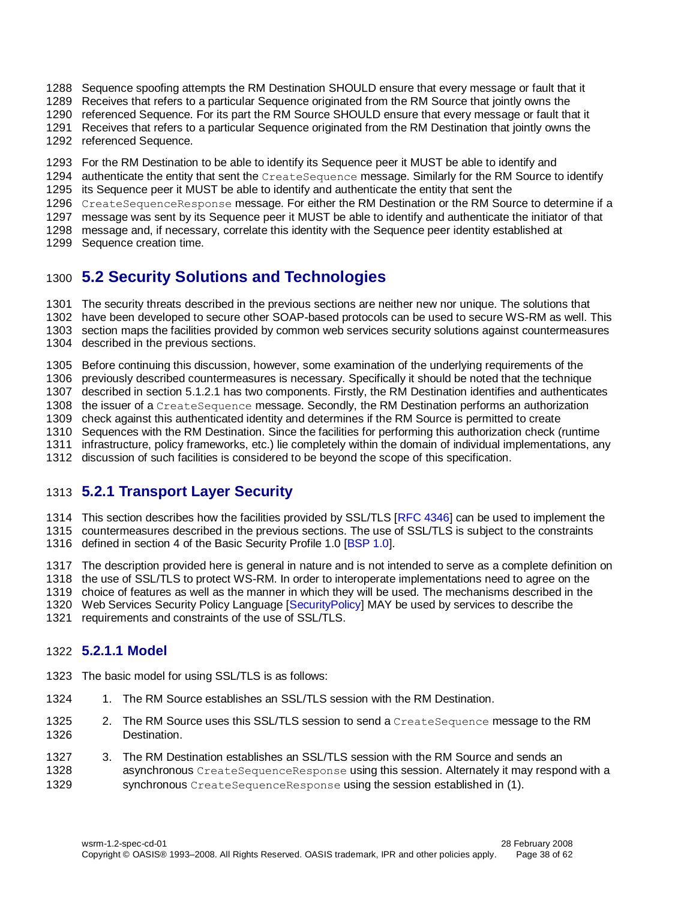- Sequence spoofing attempts the RM Destination SHOULD ensure that every message or fault that it
- Receives that refers to a particular Sequence originated from the RM Source that jointly owns the
- referenced Sequence. For its part the RM Source SHOULD ensure that every message or fault that it
- Receives that refers to a particular Sequence originated from the RM Destination that jointly owns the
- referenced Sequence.
- For the RM Destination to be able to identify its Sequence peer it MUST be able to identify and
- 1294 authenticate the entity that sent the CreateSequence message. Similarly for the RM Source to identify
- its Sequence peer it MUST be able to identify and authenticate the entity that sent the
- 1296 CreateSequenceResponse message. For either the RM Destination or the RM Source to determine if a
- message was sent by its Sequence peer it MUST be able to identify and authenticate the initiator of that
- message and, if necessary, correlate this identity with the Sequence peer identity established at
- Sequence creation time.

# <span id="page-37-0"></span>**5.2 Security Solutions and Technologies**

- The security threats described in the previous sections are neither new nor unique. The solutions that
- have been developed to secure other SOAP-based protocols can be used to secure WS-RM as well. This
- section maps the facilities provided by common web services security solutions against countermeasures
- described in the previous sections.
- Before continuing this discussion, however, some examination of the underlying requirements of the
- previously described countermeasures is necessary. Specifically it should be noted that the technique
- described in section [5.1.2.1](#page-36-0) has two components. Firstly, the RM Destination identifies and authenticates
- 1308 the issuer of a CreateSequence message. Secondly, the RM Destination performs an authorization
- check against this authenticated identity and determines if the RM Source is permitted to create
- Sequences with the RM Destination. Since the facilities for performing this authorization check (runtime
- infrastructure, policy frameworks, etc.) lie completely within the domain of individual implementations, any
- discussion of such facilities is considered to be beyond the scope of this specification.

# <span id="page-37-1"></span>**5.2.1 Transport Layer Security**

- 1314 This section describes how the facilities provided by SSL/TLS [\[RFC 4346\]](#page-7-4) can be used to implement the
- countermeasures described in the previous sections. The use of SSL/TLS is subject to the constraints
- defined in section 4 of the Basic Security Profile 1.0 [\[BSP 1.0\]](#page-6-15).
- The description provided here is general in nature and is not intended to serve as a complete definition on
- the use of SSL/TLS to protect WS-RM. In order to interoperate implementations need to agree on the
- choice of features as well as the manner in which they will be used. The mechanisms described in the
- 1320 Web Services Security Policy Language [Security Policy] MAY be used by services to describe the
- requirements and constraints of the use of SSL/TLS.

#### **5.2.1.1 Model**

- The basic model for using SSL/TLS is as follows:
- 1324 1. The RM Source establishes an SSL/TLS session with the RM Destination.
- 1325 2. The RM Source uses this SSL/TLS session to send a CreateSequence message to the RM Destination.
- 3. The RM Destination establishes an SSL/TLS session with the RM Source and sends an **asynchronous** CreateSequenceResponse using this session. Alternately it may respond with a 1329 synchronous CreateSequenceResponse using the session established in (1).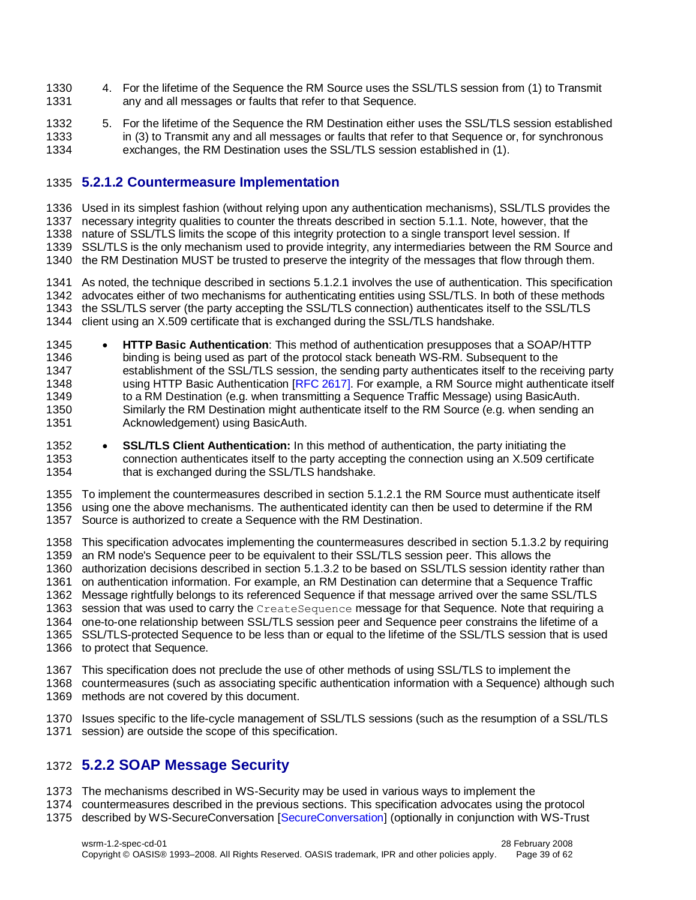- 4. For the lifetime of the Sequence the RM Source uses the SSL/TLS session from (1) to Transmit any and all messages or faults that refer to that Sequence.
- 5. For the lifetime of the Sequence the RM Destination either uses the SSL/TLS session established in (3) to Transmit any and all messages or faults that refer to that Sequence or, for synchronous exchanges, the RM Destination uses the SSL/TLS session established in (1).

### **5.2.1.2 Countermeasure Implementation**

 Used in its simplest fashion (without relying upon any authentication mechanisms), SSL/TLS provides the necessary integrity qualities to counter the threats described in section [5.1.1.](#page-35-2) Note, however, that the nature of SSL/TLS limits the scope of this integrity protection to a single transport level session. If SSL/TLS is the only mechanism used to provide integrity, any intermediaries between the RM Source and

the RM Destination MUST be trusted to preserve the integrity of the messages that flow through them.

 As noted, the technique described in sections [5.1.2.1](#page-36-0) involves the use of authentication. This specification advocates either of two mechanisms for authenticating entities using SSL/TLS. In both of these methods the SSL/TLS server (the party accepting the SSL/TLS connection) authenticates itself to the SSL/TLS client using an X.509 certificate that is exchanged during the SSL/TLS handshake.

- **HTTP Basic Authentication**: This method of authentication presupposes that a SOAP/HTTP binding is being used as part of the protocol stack beneath WS-RM. Subsequent to the establishment of the SSL/TLS session, the sending party authenticates itself to the receiving party using HTTP Basic Authentication [\[RFC 2617\].](#page-6-16) For example, a RM Source might authenticate itself 1349 to a RM Destination (e.g. when transmitting a Sequence Traffic Message) using BasicAuth. Similarly the RM Destination might authenticate itself to the RM Source (e.g. when sending an Acknowledgement) using BasicAuth.
- **SSL/TLS Client Authentication:** In this method of authentication, the party initiating the connection authenticates itself to the party accepting the connection using an X.509 certificate that is exchanged during the SSL/TLS handshake.

 To implement the countermeasures described in section [5.1.2.1](#page-36-0) the RM Source must authenticate itself using one the above mechanisms. The authenticated identity can then be used to determine if the RM Source is authorized to create a Sequence with the RM Destination.

 This specification advocates implementing the countermeasures described in section [5.1.3.2](#page-36-1) by requiring an RM node's Sequence peer to be equivalent to their SSL/TLS session peer. This allows the authorization decisions described in section [5.1.3.2](#page-36-1) to be based on SSL/TLS session identity rather than on authentication information. For example, an RM Destination can determine that a Sequence Traffic Message rightfully belongs to its referenced Sequence if that message arrived over the same SSL/TLS 1363 session that was used to carry the CreateSequence message for that Sequence. Note that requiring a one-to-one relationship between SSL/TLS session peer and Sequence peer constrains the lifetime of a SSL/TLS-protected Sequence to be less than or equal to the lifetime of the SSL/TLS session that is used to protect that Sequence.

- This specification does not preclude the use of other methods of using SSL/TLS to implement the
- countermeasures (such as associating specific authentication information with a Sequence) although such methods are not covered by this document.
- Issues specific to the life-cycle management of SSL/TLS sessions (such as the resumption of a SSL/TLS session) are outside the scope of this specification.

## **5.2.2 SOAP Message Security**

- The mechanisms described in WS-Security may be used in various ways to implement the
- countermeasures described in the previous sections. This specification advocates using the protocol
- described by WS-SecureConversation [\[SecureConversation\]](#page-7-6) (optionally in conjunction with WS-Trust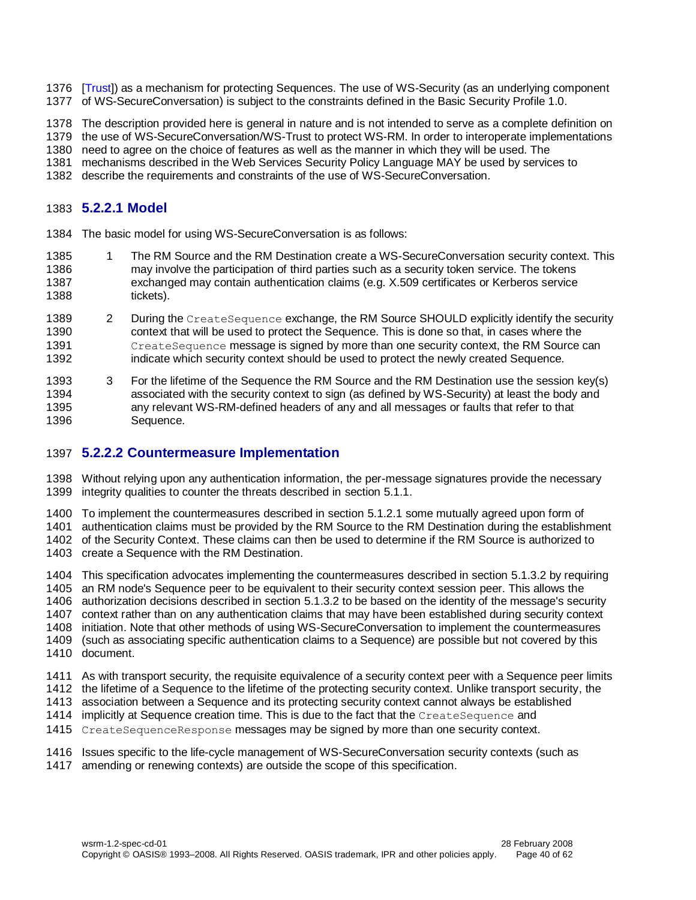- [\[Trust\]](#page-7-7)) as a mechanism for protecting Sequences. The use of WS-Security (as an underlying component of WS-SecureConversation) is subject to the constraints defined in the Basic Security Profile 1.0.
- The description provided here is general in nature and is not intended to serve as a complete definition on
- the use of WS-SecureConversation/WS-Trust to protect WS-RM. In order to interoperate implementations

need to agree on the choice of features as well as the manner in which they will be used. The

mechanisms described in the Web Services Security Policy Language MAY be used by services to

describe the requirements and constraints of the use of WS-SecureConversation.

### **5.2.2.1 Model**

- The basic model for using WS-SecureConversation is as follows:
- 1385 1 The RM Source and the RM Destination create a WS-SecureConversation security context. This may involve the participation of third parties such as a security token service. The tokens exchanged may contain authentication claims (e.g. X.509 certificates or Kerberos service tickets).
- 1389 2 During the CreateSequence exchange, the RM Source SHOULD explicitly identify the security context that will be used to protect the Sequence. This is done so that, in cases where the CreateSequence message is signed by more than one security context, the RM Source can indicate which security context should be used to protect the newly created Sequence.

 3 For the lifetime of the Sequence the RM Source and the RM Destination use the session key(s) associated with the security context to sign (as defined by WS-Security) at least the body and any relevant WS-RM-defined headers of any and all messages or faults that refer to that Sequence.

### **5.2.2.2 Countermeasure Implementation**

 Without relying upon any authentication information, the per-message signatures provide the necessary integrity qualities to counter the threats described in section [5.1.1.](#page-35-2)

To implement the countermeasures described in section [5.1.2.1](#page-36-0) some mutually agreed upon form of

authentication claims must be provided by the RM Source to the RM Destination during the establishment

 of the Security Context. These claims can then be used to determine if the RM Source is authorized to create a Sequence with the RM Destination.

- This specification advocates implementing the countermeasures described in section [5.1.3.2](#page-36-1) by requiring an RM node's Sequence peer to be equivalent to their security context session peer. This allows the authorization decisions described in section [5.1.3.2](#page-36-1) to be based on the identity of the message's security context rather than on any authentication claims that may have been established during security context initiation. Note that other methods of using WS-SecureConversation to implement the countermeasures (such as associating specific authentication claims to a Sequence) are possible but not covered by this document.
- As with transport security, the requisite equivalence of a security context peer with a Sequence peer limits
- the lifetime of a Sequence to the lifetime of the protecting security context. Unlike transport security, the
- association between a Sequence and its protecting security context cannot always be established
- 1414 implicitly at Sequence creation time. This is due to the fact that the CreateSequence and
- CreateSequenceResponse messages may be signed by more than one security context.
- Issues specific to the life-cycle management of WS-SecureConversation security contexts (such as
- amending or renewing contexts) are outside the scope of this specification.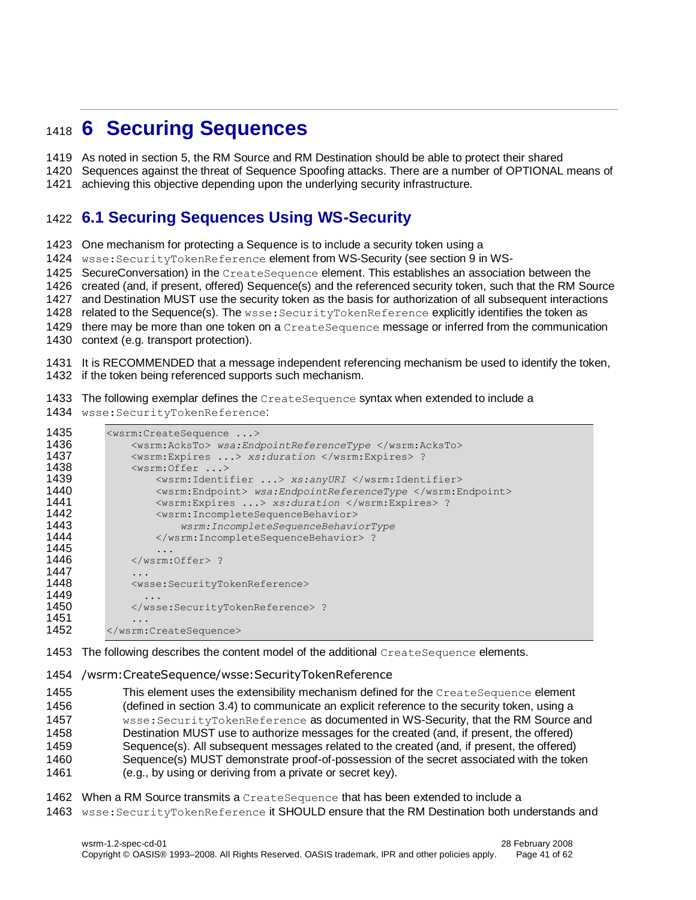# <span id="page-40-0"></span>**6 Securing Sequences**

As noted in section [5,](#page-35-0) the RM Source and RM Destination should be able to protect their shared

Sequences against the threat of Sequence Spoofing attacks. There are a number of OPTIONAL means of

achieving this objective depending upon the underlying security infrastructure.

# <span id="page-40-1"></span>**6.1 Securing Sequences Using WS-Security**

One mechanism for protecting a Sequence is to include a security token using a

1424 wsse: SecurityTokenReference element from WS-Security (see section 9 in WS-

SecureConversation) in the CreateSequence element. This establishes an association between the

created (and, if present, offered) Sequence(s) and the referenced security token, such that the RM Source

and Destination MUST use the security token as the basis for authorization of all subsequent interactions

1428 related to the Sequence(s). The wsse: SecurityTokenReference explicitly identifies the token as

there may be more than one token on a CreateSequence message or inferred from the communication

context (e.g. transport protection).

 It is RECOMMENDED that a message independent referencing mechanism be used to identify the token, if the token being referenced supports such mechanism.

1433 The following exemplar defines the CreateSequence syntax when extended to include a

wsse:SecurityTokenReference:

| 1435<br>1436<br>1437 | <wsrm:createsequence><br/><wsrm:acksto> wsa:EndpointReferenceType </wsrm:acksto><br/><wsrm:expires> xs:duration </wsrm:expires> ?</wsrm:createsequence> |
|----------------------|---------------------------------------------------------------------------------------------------------------------------------------------------------|
| 1438                 | $<$ wsrm: Offer $\ldots$                                                                                                                                |
| 1439                 | <wsrm:identifier> xs:anyURI </wsrm:identifier>                                                                                                          |
| 1440                 | <wsrm:endpoint> wsa:EndpointReferenceType </wsrm:endpoint>                                                                                              |
| 1441                 | <wsrm:expires> xs:duration </wsrm:expires> ?                                                                                                            |
| 1442                 | <wsrm: incompletesequencebehavior=""></wsrm:>                                                                                                           |
| 1443                 | wsrm: IncompleteSequenceBehaviorType                                                                                                                    |
| 1444                 | ?                                                                                                                                                       |
| 1445                 |                                                                                                                                                         |
| 1446                 | $\langle$ /wsrm:Offer> ?                                                                                                                                |
| 1447                 | .                                                                                                                                                       |
| 1448                 | <wsse:securitytokenreference></wsse:securitytokenreference>                                                                                             |
| 1449                 | .                                                                                                                                                       |
| 1450                 | ?                                                                                                                                                       |
| 1451                 |                                                                                                                                                         |
| 1452                 |                                                                                                                                                         |

1453 The following describes the content model of the additional CreateSequence elements.

#### /wsrm:CreateSequence/wsse:SecurityTokenReference

1455 This element uses the extensibility mechanism defined for the CreateSequence element (defined in section [3.4\)](#page-16-0) to communicate an explicit reference to the security token, using a wsse:SecurityTokenReference as documented in WS-Security, that the RM Source and Destination MUST use to authorize messages for the created (and, if present, the offered) Sequence(s). All subsequent messages related to the created (and, if present, the offered) Sequence(s) MUST demonstrate proof-of-possession of the secret associated with the token (e.g., by using or deriving from a private or secret key).

- When a RM Source transmits a CreateSequence that has been extended to include a
- 1463 wsse: SecurityTokenReference it SHOULD ensure that the RM Destination both understands and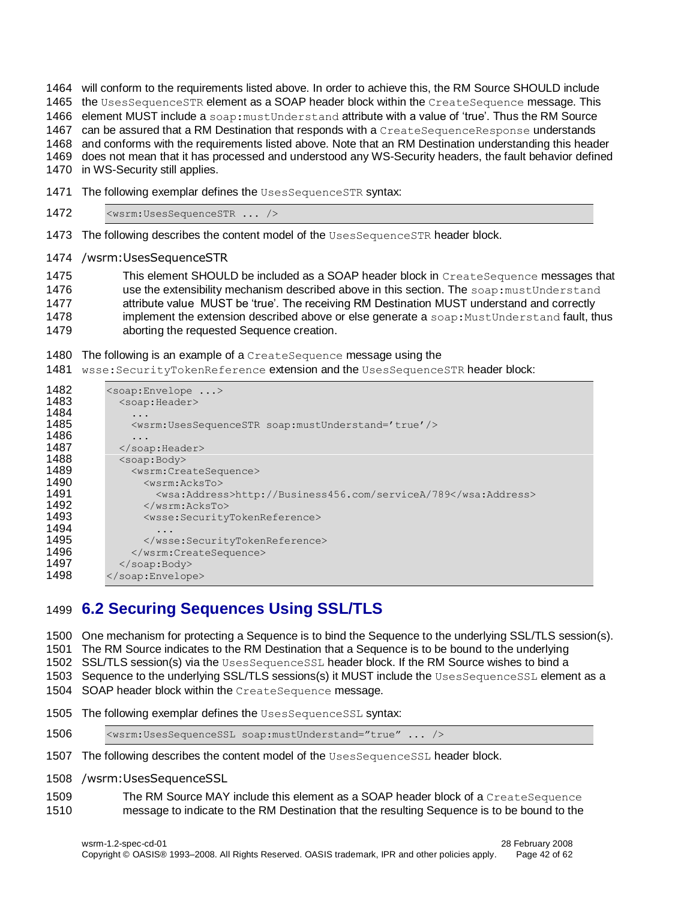will conform to the requirements listed above. In order to achieve this, the RM Source SHOULD include

1465 the UsesSequenceSTR element as a SOAP header block within the CreateSequence message. This

1466 element MUST include a soap: must Understand attribute with a value of 'true'. Thus the RM Source

1467 can be assured that a RM Destination that responds with a CreateSequenceResponse understands

 and conforms with the requirements listed above. Note that an RM Destination understanding this header does not mean that it has processed and understood any WS-Security headers, the fault behavior defined

in WS-Security still applies.

- 1471 The following exemplar defines the UsesSequenceSTR syntax:
- <wsrm:UsesSequenceSTR ... />
- 1473 The following describes the content model of the UsesSequenceSTR header block.
- /wsrm:UsesSequenceSTR

1475 This element SHOULD be included as a SOAP header block in CreateSequence messages that 1476 use the extensibility mechanism described above in this section. The soap: mustUnderstand **attribute value MUST be 'true'. The receiving RM Destination MUST understand and correctly** 1478 implement the extension described above or else generate a soap: MustUnderstand fault, thus aborting the requested Sequence creation.

#### 1480 The following is an example of a CreateSequence message using the

1481 wsse: SecurityTokenReference extension and the UsesSequenceSTR header block:

| 1482<br>1483 | $\langle$ soap:Envelope ><br><soap:header></soap:header>                 |
|--------------|--------------------------------------------------------------------------|
| 1484         | $\cdot$                                                                  |
| 1485         | <wsrm:usessequencestr soap:mustunderstand="true"></wsrm:usessequencestr> |
| 1486         | .                                                                        |
| 1487         | $\langle$ /soap:Header>                                                  |
| 1488         | $<$ soap:Body>                                                           |
| 1489         | <wsrm:createsequence></wsrm:createsequence>                              |
| 1490         | $<$ wsrm: $AcksTo$                                                       |
| 1491         | <wsa:address>http://Business456.com/serviceA/789</wsa:address>           |
| 1492         | $\langle$ /wsrm:AcksTo>                                                  |
| 1493         | <wsse:securitytokenreference></wsse:securitytokenreference>              |
| 1494         | .                                                                        |
| 1495         |                                                                          |
| 1496         |                                                                          |
| 1497         | $\langle$ /soap:Body>                                                    |
| 1498         |                                                                          |
|              |                                                                          |

# <span id="page-41-0"></span>**6.2 Securing Sequences Using SSL/TLS**

One mechanism for protecting a Sequence is to bind the Sequence to the underlying SSL/TLS session(s).

The RM Source indicates to the RM Destination that a Sequence is to be bound to the underlying

1502 SSL/TLS session(s) via the UsesSequenceSSL header block. If the RM Source wishes to bind a

1503 Sequence to the underlying SSL/TLS sessions(s) it MUST include the UsesSequenceSSL element as a

- 1504 SOAP header block within the CreateSequence message.
- 1505 The following exemplar defines the UsesSequenceSSL syntax:

| 1506 |  | $\leq$ wsrm:UsesSequenceSSL soap:mustUnderstand="true" $\geq$ |  |  |
|------|--|---------------------------------------------------------------|--|--|
|------|--|---------------------------------------------------------------|--|--|

- 1507 The following describes the content model of the UsesSequenceSSL header block.
- /wsrm:UsesSequenceSSL
- The RM Source MAY include this element as a SOAP header block of a CreateSequence message to indicate to the RM Destination that the resulting Sequence is to be bound to the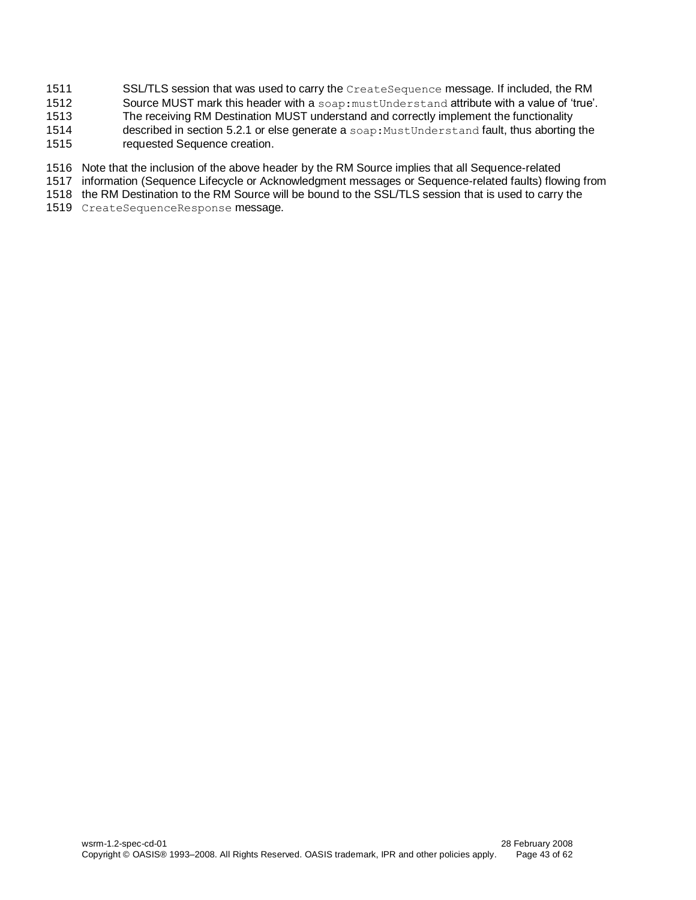- 1511 SSL/TLS session that was used to carry the CreateSequence message. If included, the RM
- 1512 Source MUST mark this header with a soap: mustUnderstand attribute with a value of 'true'.
- 1513 The receiving RM Destination MUST understand and correctly implement the functionality
- 1514 described in section [5.2.1](#page-37-1) or else generate a soap: MustUnderstand fault, thus aborting the
- 1515 requested Sequence creation.
- 1516 Note that the inclusion of the above header by the RM Source implies that all Sequence-related
- 1517 information (Sequence Lifecycle or Acknowledgment messages or Sequence-related faults) flowing from
- 1518 the RM Destination to the RM Source will be bound to the SSL/TLS session that is used to carry the
- 1519 CreateSequenceResponse message.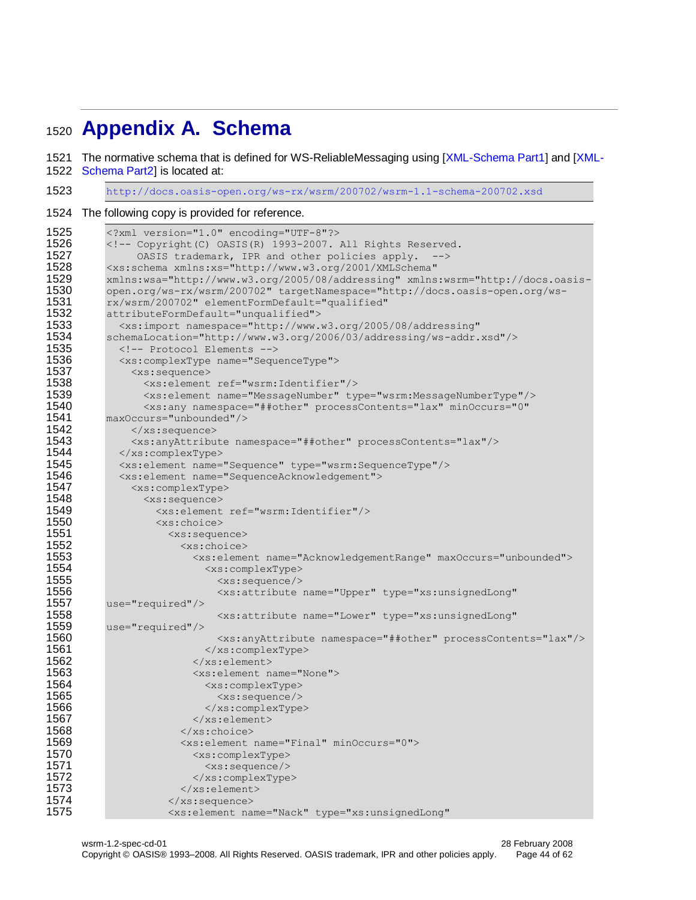# <span id="page-43-0"></span>**Appendix A. Schema**

The normative schema that is defined for WS-ReliableMessaging using [\[XML-Schema Part1\]](#page-6-10) and [\[XML-](#page-6-11)

[Schema Part2\]](#page-6-11) is located at:

<http://docs.oasis-open.org/ws-rx/wsrm/200702/wsrm-1.1-schema-200702.xsd>

The following copy is provided for reference.

```
1525 <?xml version="1.0" encoding="UTF-8"?><br>1526 <!-- Copyright(C) OASIS(R) 1993-2007.
1526 <!-- Copyright(C) OASIS(R) 1993-2007. All Rights Reserved.<br>1527 6 0ASIS trademark. IPR and other policies apply.
              OASIS trademark, IPR and other policies apply. -->
1528 <xs:schema xmlns:xs="http://www.w3.org/2001/XMLSchema" 
1529 xmlns:wsa="http://www.w3.org/2005/08/addressing" xmlns:wsrm="http://docs.oasis-
         1530 open.org/ws-rx/wsrm/200702" targetNamespace="http://docs.oasis-open.org/ws-
1531 rx/wsrm/200702" elementFormDefault="qualified"<br>1532 attributeFormDefault="unqualified">
1532 attributeFormDefault="unqualified"><br>1533 <xs:import namespace="http://www.
1533 <xs:import namespace="http://www.w3.org/2005/08/addressing" 
1534 schemaLocation="http://www.w3.org/2006/03/addressing/ws-addr.xsd"/><br>1535 <1-- Protocol Elements -->
           1535 <!-- Protocol Elements -->
1536 <xs:complexType name="SequenceType">
1537 <xs:sequence><br>1538 <xs:element
1538 <xs:element ref="wsrm:Identifier"/>
1539 <xs:element name="MessageNumber" type="wsrm:MessageNumberType"/>
1540 <xs:any namespace="##other" processContents="lax" minOccurs="0"<br>1541 maxOccurs="unbounded"/>
1541 maxOccurs="unbounded"/><br>1542 </xs:sequence>
             </xs:sequence>
1543 <xs:anyAttribute namespace="##other" processContents="lax"/>
1544 </xs:complexType><br>1545 <xs:element name=
1545 <xs:element name="Sequence" type="wsrm:SequenceType"/>
1546 <xs:element name="SequenceAcknowledgement">
1547 <xs:complexType>
1548 <xs:sequence>
                 1549 <xs:element ref="wsrm:Identifier"/>
1550 <xs:choice>
1551 <xs:sequence>
1552 <xs:choice>
1553 <xs:element name="AcknowledgementRange" maxOccurs="unbounded">
1554 <xs:complexType>
                           1555 <xs:sequence/>
1556 <xs:attribute name="Upper" type="xs:unsignedLong" 
         use="required"/>
1558 <xs:attribute name="Lower" type="xs:unsignedLong" 
1559 use="required"/>
1560 <xs:anyAttribute namespace="##other" processContents="lax"/>
1561 </xs:complexType>
                       </xs:element>
1563 <xs:element name="None">
1564 <xs:complexType>
                           <xs:sequence/1566 </xs:complexType><br>1567 </xs:element>
1567 </xs:element><br>1568 </xs:choice>
1568 </xs:choice>
1569 <xs:element name="Final" minOccurs="0"><br>1570 <xs:complexType>
                       1570 <xs:complexType>
1571 <xs:sequence/>
                       </xs:complexType>
1573 </xs:element>
1574 </xs:sequence>
                   1575 <xs:element name="Nack" type="xs:unsignedLong"
```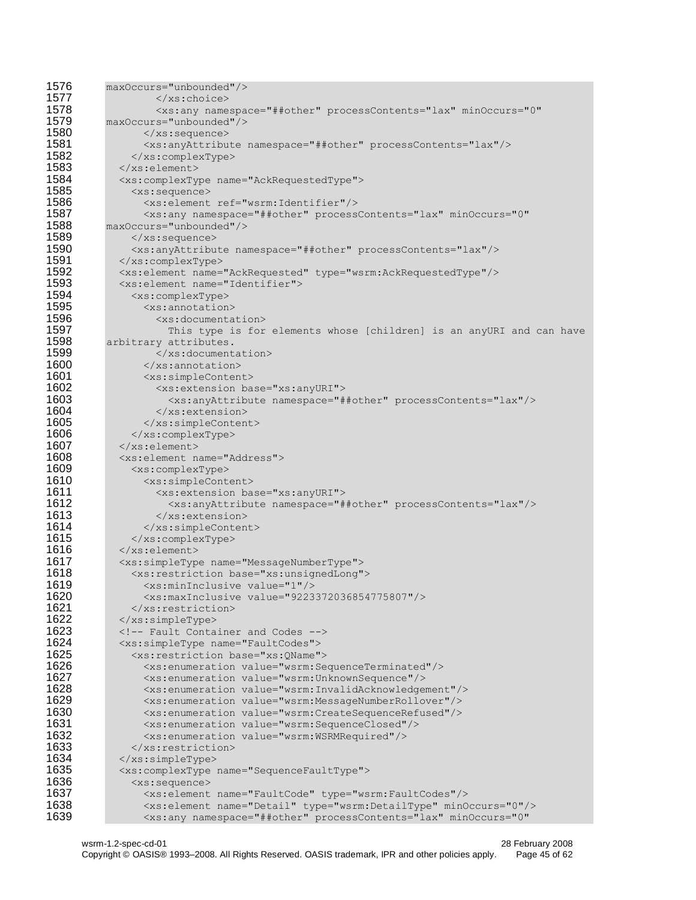| 1576         | $maxOccurs="unbounded"$                                                                                                                        |
|--------------|------------------------------------------------------------------------------------------------------------------------------------------------|
| 1577         | $\langle xs:choice\rangle$                                                                                                                     |
| 1578         | <xs:any <="" minoccurs="0" namespace="##other" processcontents="lax" th=""></xs:any>                                                           |
| 1579         | $maxOccurs="unbounded"$ />                                                                                                                     |
| 1580         | $\langle xs:sequence \rangle$                                                                                                                  |
| 1581         | <xs:anyattribute namespace="##other" processcontents="lax"></xs:anyattribute>                                                                  |
| 1582         | $\langle xs:complexType\rangle$                                                                                                                |
| 1583         |                                                                                                                                                |
| 1584         | <xs:complextype name="AckRequestedType"></xs:complextype>                                                                                      |
| 1585         | <xs:sequence></xs:sequence>                                                                                                                    |
| 1586         | <xs:element ref="wsrm:Identifier"></xs:element>                                                                                                |
| 1587         | <xs:any <="" minoccurs="0" namespace="##other" processcontents="lax" th=""></xs:any>                                                           |
| 1588         | maxOccurs="unbounded"/>                                                                                                                        |
| 1589         | $\langle xs:sequence \rangle$                                                                                                                  |
| 1590         | <xs:anyattribute namespace="##other" processcontents="lax"></xs:anyattribute>                                                                  |
| 1591         |                                                                                                                                                |
| 1592         | <xs:element name="AckRequested" type="wsrm:AckRequestedType"></xs:element>                                                                     |
| 1593         | <xs:element name="Identifier"></xs:element>                                                                                                    |
| 1594         | <xs:complextype></xs:complextype>                                                                                                              |
| 1595         | <xs:annotation></xs:annotation>                                                                                                                |
| 1596<br>1597 | <xs:documentation></xs:documentation>                                                                                                          |
| 1598         | This type is for elements whose [children] is an anyURI and can have                                                                           |
| 1599         | arbitrary attributes.<br>$\langle x s :$ documentation>                                                                                        |
| 1600         |                                                                                                                                                |
| 1601         | $\langle x s : \text{annotation} \rangle$<br><xs:simplecontent></xs:simplecontent>                                                             |
| 1602         | <xs:extension base="xs:anyURI"></xs:extension>                                                                                                 |
| 1603         | <xs:anyattribute namespace="##other" processcontents="lax"></xs:anyattribute>                                                                  |
| 1604         |                                                                                                                                                |
| 1605         |                                                                                                                                                |
| 1606         |                                                                                                                                                |
| 1607         |                                                                                                                                                |
| 1608         | <xs:element name="Address"></xs:element>                                                                                                       |
| 1609         | <xs:complextype></xs:complextype>                                                                                                              |
| 1610         | <xs:simplecontent></xs:simplecontent>                                                                                                          |
| 1611         | <xs:extension base="xs:anyURI"></xs:extension>                                                                                                 |
| 1612         | <xs:anyattribute namespace="##other" processcontents="lax"></xs:anyattribute>                                                                  |
| 1613         |                                                                                                                                                |
| 1614         |                                                                                                                                                |
| 1615         |                                                                                                                                                |
| 1616         | $\langle x s : \text{element} \rangle$                                                                                                         |
| 1617         | <xs:simpletype name="MessageNumberType"></xs:simpletype>                                                                                       |
| 1618         | <xs: base="xs: unsignedLong" restriction=""></xs:>                                                                                             |
| 1619         | <xs:mininclusive value="1"></xs:mininclusive>                                                                                                  |
| 1620         | <xs:maxinclusive value="9223372036854775807"></xs:maxinclusive>                                                                                |
| 1621         | $\langle xs:restriction$                                                                                                                       |
| 1622         |                                                                                                                                                |
| 1623         | Fault Container and Codes                                                                                                                      |
| 1624         | <xs:simpletype name="FaultCodes"></xs:simpletype>                                                                                              |
| 1625<br>1626 | <xs: base="xs: QName" restriction=""></xs:>                                                                                                    |
| 1627         | <xs:enumeration value="wsrm: SequenceTerminated"></xs:enumeration>                                                                             |
| 1628         | <xs:enumeration value="wsrm: UnknownSequence"></xs:enumeration>                                                                                |
| 1629         | <xs:enumeration value="wsrm: InvalidAcknowledgement"></xs:enumeration><br><xs:enumeration value="wsrm:MessageNumberRollover"></xs:enumeration> |
| 1630         | <xs:enumeration value="wsrm:CreateSequenceRefused"></xs:enumeration>                                                                           |
| 1631         | <xs:enumeration value="wsrm: SequenceClosed"></xs:enumeration>                                                                                 |
| 1632         | <xs:enumeration value="wsrm:WSRMRequired"></xs:enumeration>                                                                                    |
| 1633         | $\langle x \rangle$ xs: restriction>                                                                                                           |
| 1634         | $\langle x s :$ simpleType>                                                                                                                    |
| 1635         | <xs:complextype name="SequenceFaultType"></xs:complextype>                                                                                     |
| 1636         | $<$ xs: sequence>                                                                                                                              |
| 1637         | <xs:element name="FaultCode" type="wsrm:FaultCodes"></xs:element>                                                                              |
| 1638         | <xs:element minoccurs="0" name="Detail" type="wsrm:DetailType"></xs:element>                                                                   |
| 1639         | <xs:any <="" minoccurs="0" namespace="##other" processcontents="lax" th=""></xs:any>                                                           |
|              |                                                                                                                                                |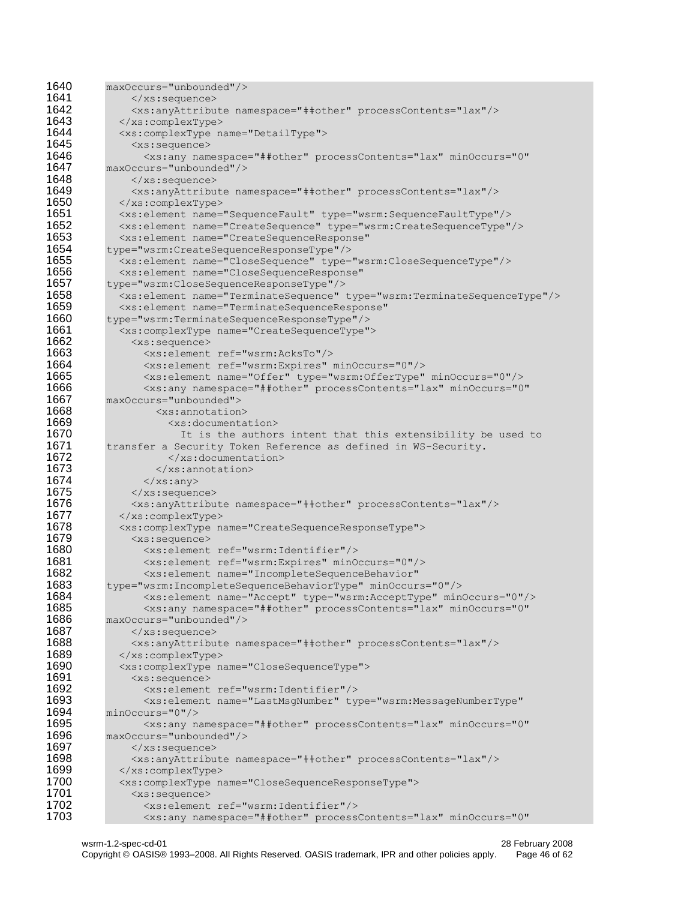```
1640 maxOccurs="unbounded"/><br>1641 </xs:sequence>
1641 </xs:sequence><br>1642 <xs:anvAttribu>
1642 <xs:anyAttribute namespace="##other" processContents="lax"/><br>1643 </xs:complexType>
1643 </xs:complexType>
            1644 <xs:complexType name="DetailType">
1645 <xs:sequence><br>1646 <xs:any name
1646 <xs:any namespace="##other" processContents="lax" minOccurs="0" 
          1647 maxOccurs="unbounded"/>
1648 </xs:sequence><br>1649 <xs:anvAttribu
1649 <xs:anyAttribute namespace="##other" processContents="lax"/>
1650 </xs:complexType>
1651 <xs:element name="SequenceFault" type="wsrm:SequenceFaultType"/>
1652 <xs:element name="CreateSequence" type="wsrm:CreateSequenceType"/>
1653 <xs:element name="CreateSequenceResponse"<br>1654 type="wsrm:CreateSequenceResponseType"/>
          1654 type="wsrm:CreateSequenceResponseType"/>
1655 <xs:element name="CloseSequence" type="wsrm:CloseSequenceType"/>
1656 <xs:element name="CloseSequenceResponse" 
1657 type="wsrm:CloseSequenceResponseType"/>
1658 <xs:element name="TerminateSequence" type="wsrm:TerminateSequenceType"/>
1659 <xs:element name="TerminateSequenceResponse"<br>1660 type="wsrm:TerminateSequenceResponseType"/>
1660 type="wsrm:TerminateSequenceResponseType"/>
1661 <xs:complexType name="CreateSequenceType"><br>1662 <xs:sequence>
              <xs:sequence>
1663 <xs:element ref="wsrm:AcksTo"/>
1664 <xs:element ref="wsrm:Expires" minOccurs="0"/>
1665 <xs:element name="Offer" type="wsrm:OfferType" minOccurs="0"/>
1666 \timesxs:any namespace="##other" processContents="lax" minOccurs="0"<br>1667 maxOccurs="unbounded">
1667 maxOccurs="unbounded"><br>1668 <xs:annotation
1668 <xs:annotation><br>1669 <xs:documenta
                     1669 <xs:documentation>
1670 It is the authors intent that this extensibility be used to
1671 transfer a Security Token Reference as defined in WS-Security.
                     </xs:documentation>
1673 \langle x \rangle \langle x \rangle \langle x \rangle annotation>
                \langle x \ranglexs:any>
1675 \langle x\text{ s}: \text{sequence}\rangle1676 <xs:anyAttribute namespace="##other" processContents="lax"/>
1677 \langle x s : \text{complexType} \rangle1678 <xs:complexType name="CreateSequenceResponseType"><br>1679 <xs:sequence>
1679 <xs:sequence>
1680 <xs:element ref="wsrm:Identifier"/>
1681 <xs:element ref="wsrm:Expires" minOccurs="0"/>
                 1682 <xs:element name="IncompleteSequenceBehavior" 
1683 type="wsrm:IncompleteSequenceBehaviorType" minOccurs="0"/>
1684 <xs:element name="Accept" type="wsrm:AcceptType" minOccurs="0"/>
1685 <xs:any namespace="##other" processContents="lax" minOccurs="0" 
1686 maxOccurs="unbounded"/><br>1687 </xs:sequence>
1687 </xs:sequence>
1688 <xs:anyAttribute namespace="##other" processContents="lax"/>
            1689 </xs:complexType>
1690 <xs:complexType name="CloseSequenceType">
1691 <xs:sequence><br>1692 <xs:element
1692 <xs:element ref="wsrm:Identifier"/>
1693 <xs:element name="LastMsgNumber" type="wsrm:MessageNumberType"<br>1694 minOccurs="0"/>
1694 minOccurs="0"/><br>1695 <xs:any n
1695 <xs:any namespace="##other" processContents="lax" minOccurs="0" 
1696 maxOccurs="unbounded"/><br>1697 </xs:sequence>
              1697 </xs:sequence>
1698 <xs:anyAttribute namespace="##other" processContents="lax"/><br>1699 </xs:complexType>
1699 </xs:complexType>
1700 <xs:complexType name="CloseSequenceResponseType"><br>1701 <xs:sequence>
1701 <xs:sequence>
                1702 <xs:element ref="wsrm:Identifier"/>
1703 <xs:any namespace="##other" processContents="lax" minOccurs="0"
```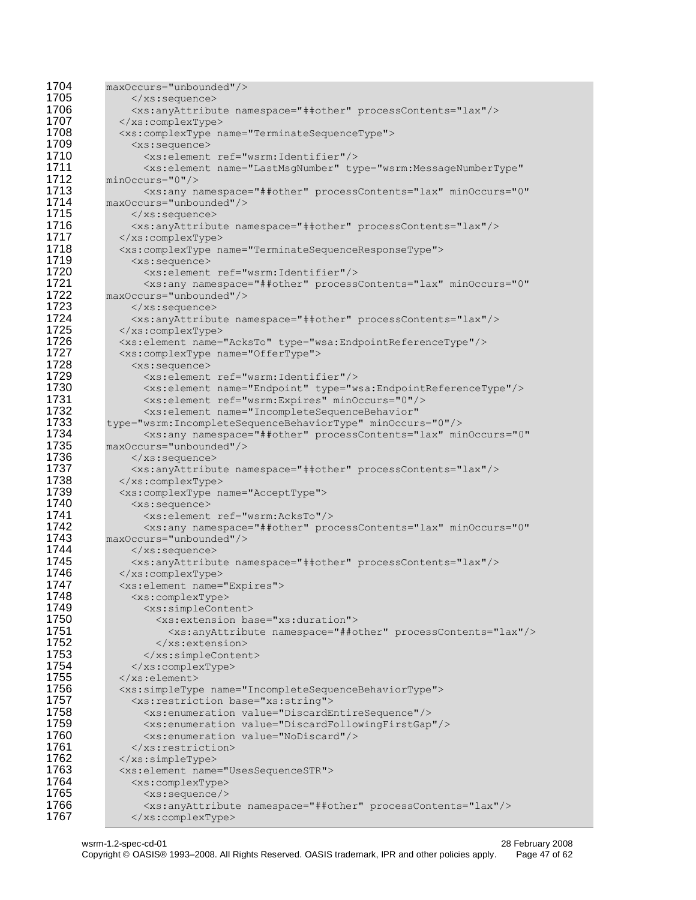```
1704 maxOccurs="unbounded"/><br>1705 </xs:sequence>
1705 </xs:sequence><br>1706 <xs:anvAttribu
1706 <xs:anyAttribute namespace="##other" processContents="lax"/><br>1707 </xs:complexType>
1707 </xs:complexType>
1708 <xs:complexType name="TerminateSequenceType"><br>1709 <xs:sequence>
1709 <xs:sequence>
1710 <xs:element ref="wsrm:Identifier"/>
                  1711 <xs:element name="LastMsgNumber" type="wsrm:MessageNumberType" 
1712 minOccurs="0"/><br>1713 <xs:any n
1713 <xs:any namespace="##other" processContents="lax" minOccurs="0"<br>1714 maxOccurs="unbounded"/>
1714 maxOccurs="unbounded"/><br>1715 </xs:sequence>
1715 </xs:sequence>
1716 <xs:anyAttribute namespace="##other" processContents="lax"/><br>1717 </xs:complexType>
1717 </xs:complexType><br>1718 <xs:complexType n
              1718 <xs:complexType name="TerminateSequenceResponseType">
1719 <xs:sequence>
1720 <xs:element ref="wsrm:Identifier"/>
1721 <xs:any namespace="##other" processContents="lax" minOccurs="0"<br>1722 maxOccurs="unbounded"/>
1722 maxOccurs="unbounded"/><br>1723 </xs:sequence>
1723 </xs:sequence><br>1724 <xs:anyAttribu
1724 <xs:anyAttribute namespace="##other" processContents="lax"/><br>1725 </xs:complexType>
1725 </xs:complexType><br>1726 <xs:element.name=
             1726 <xs:element name="AcksTo" type="wsa:EndpointReferenceType"/>
1727 <xs:complexType name="OfferType"><br>1728 <xs:sequence>
1728 <xs:sequence>
1729 <xs:element ref="wsrm:Identifier"/><br>1730 <xs:element name="Endpoint" type="w
1730 <xs:element name="Endpoint" type="wsa:EndpointReferenceType"/><br>1731 <xs:element ref="wsrm:Expires" minOccurs="0"/>
1731 <xs:element ref="wsrm:Expires" minOccurs="0"/><br>1732 <xs:element name="IncompleteSequenceBehavior"
1732 <xs:element name="IncompleteSequenceBehavior" 
           1733 type="wsrm:IncompleteSequenceBehaviorType" minOccurs="0"/>
1734 <xs:any namespace="##other" processContents="lax" minOccurs="0" 
1735 maxOccurs="unbounded"/><br>1736 </xs:sequence>
1736 </xs:sequence>
1737 <xs:anyAttribute namespace="##other" processContents="lax"/>
             1738 </xs:complexType>
1739 <xs:complexType name="AcceptType">
1740 <xs:sequence>
1741 <xs:element ref="wsrm:AcksTo"/><br>1742 <xs:any namespace="##other" pro
1742 <xs:any namespace="##other" processContents="lax" minOccurs="0" 
1743 maxOccurs="unbounded"/><br>1744 </xs:sequence>
1744 </xs:sequence>
1745 <xs:anyAttribute namespace="##other" processContents="lax"/>
              1746 </xs:complexType>
1747 <xs:element name="Expires"><br>1748 <xs:complexType>
1748 <xs:complexType>
1749 <xs:simpleContent>
1750 <xs:extension base="xs:duration">
1751 <xs:anyAttribute namespace="##other" processContents="lax"/><br>1752 </xs:extension>
1752 </xs:extension>
                  1753 </xs:simpleContent>
1754 </xs:complexType><br>1755 </xs:element><br>1756 <xs:simpleType name
             \langle xs: \text{element}\rangle1756 <xs:simpleType name="IncompleteSequenceBehaviorType"><br>1757 <xs:restriction base="xs:string">
1757 <xs:restriction base="xs:string"><br>1758 <xs:enumeration value="DiscardE
1758 <xs:enumeration value="DiscardEntireSequence"/>
1759 <xs:enumeration value="DiscardFollowingFirstGap"/>
1760 <xs:enumeration value="NoDiscard"/><br>1761 </xs:restriction>
                </xs:restriction>
1762 </xs:simpleType><br>1763 <xs:element name>
              1763 <xs:element name="UsesSequenceSTR">
1764 <xs:complexType><br>1765 <xs:sequence/>
1765 <xs:sequence/>
                  1766 <xs:anyAttribute namespace="##other" processContents="lax"/>
1767 </xs:complexType>
```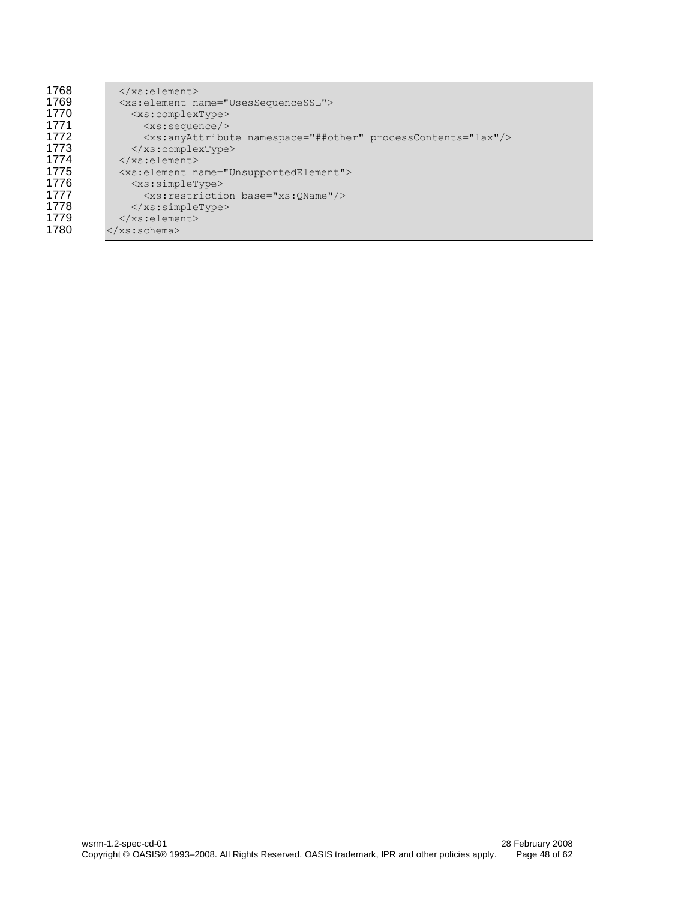| 1768 | $\langle x s : \text{element} \rangle$                                        |
|------|-------------------------------------------------------------------------------|
| 1769 | <xs:element name="UsesSequenceSSL"></xs:element>                              |
| 1770 | <xs:complextype></xs:complextype>                                             |
| 1771 | <xs:sequence></xs:sequence>                                                   |
| 1772 | <xs:anyattribute namespace="##other" processcontents="lax"></xs:anyattribute> |
| 1773 | $\langle xs:complexType \rangle$                                              |
| 1774 | $\langle xs : \text{element} \rangle$                                         |
| 1775 | <xs:element name="UnsupportedElement"></xs:element>                           |
| 1776 | $<$ xs: simpleType>                                                           |
| 1777 | <xs:restriction base="xs:0Name"></xs:restriction>                             |
| 1778 | $\langle x s : \text{simpleType} \rangle$                                     |
| 1779 | $\langle x s : \text{element} \rangle$                                        |
| 1780 | $\langle x s : \text{scheme}\rangle$                                          |
|      |                                                                               |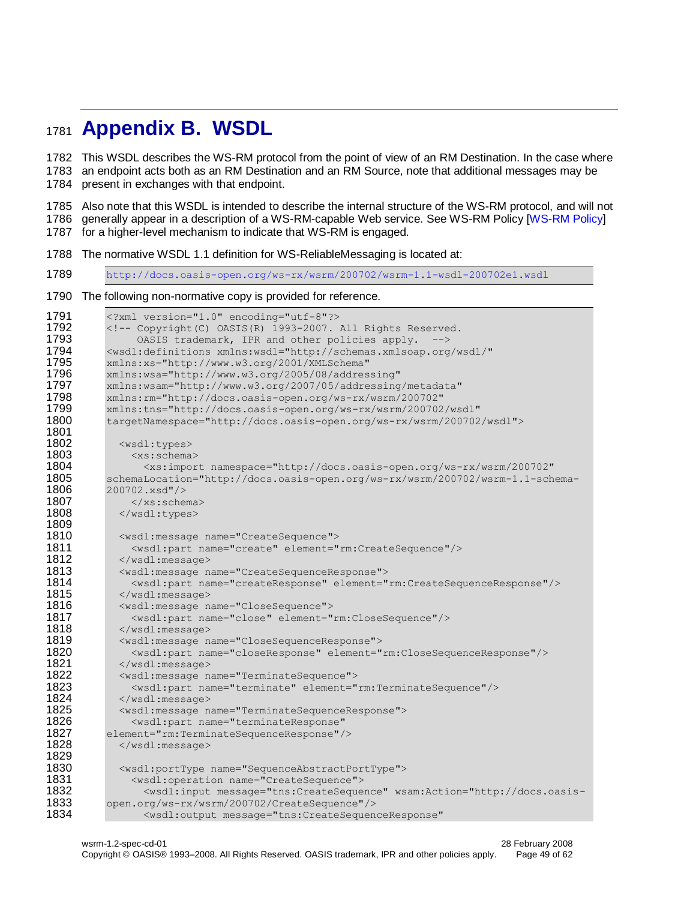# <span id="page-48-0"></span><sup>1781</sup> **Appendix B. WSDL**

1782 This WSDL describes the WS-RM protocol from the point of view of an RM Destination. In the case where 1783 an endpoint acts both as an RM Destination and an RM Source, note that additional messages may be 1784 present in exchanges with that endpoint.

1785 Also note that this WSDL is intended to describe the internal structure of the WS-RM protocol, and will not 1786 generally appear in a description of a WS-RM-capable Web service. See WS-RM Policy [\[WS-RM Policy\]](#page-6-13) 1787 for a higher-level mechanism to indicate that WS-RM is engaged.

1788 The normative WSDL 1.1 definition for WS-ReliableMessaging is located at:

1789 [http://docs.oasis-open.org/ws-rx/wsrm/200702/wsrm-1.1-wsdl-200702e1.wsdl](http://docs.oasis-open.org/ws-rx/wsrm/200702/wsrm-1.1-wsdl-200702.wsdl) 1790 The following non-normative copy is provided for reference.

```
1791 <?xml version="1.0" encoding="utf-8"?><br>1792 <1-- Copyright (C) QASIS(R) 1993-2007.
1792 <!-- Copyright(C) OASIS(R) 1993-2007. All Rights Reserved.<br>1793 6851S trademark. IPR and other policies apply. -->
                 OASIS trademark, IPR and other policies apply. -->
1794 <wsdl:definitions xmlns:wsdl="http://schemas.xmlsoap.org/wsdl/" 
1795 xmlns:xs="http://www.w3.org/2001/XMLSchema"<br>1796 xmlns:wsa="http://www.w3.org/2005/08/addres
           xmlns:wsa="http://www.w3.org/2005/08/addressing"
1797 xmlns:wsam="http://www.w3.org/2007/05/addressing/metadata" 
1798 xmlns:rm="http://docs.oasis-open.org/ws-rx/wsrm/200702" 
1799 xmlns:tns="http://docs.oasis-open.org/ws-rx/wsrm/200702/wsdl" 
           1800 targetNamespace="http://docs.oasis-open.org/ws-rx/wsrm/200702/wsdl">
1801
1802 <wsdl:types>
                <xs:schema>
1804 <xs:import namespace="http://docs.oasis-open.org/ws-rx/wsrm/200702" 
1805 schemaLocation="http://docs.oasis-open.org/ws-rx/wsrm/200702/wsrm-1.1-schema-
1806 200702.xsd"/><br>1807 - 1807
1807 \langle x \rangle /xs:schema><br>1808 \langle y \rangle /wsdl:types>
              </wsdl:types>
1809
              1810 <wsdl:message name="CreateSequence">
1811 <wsdl:part name="create" element="rm:CreateSequence"/>
1812 </wsdl:message><br>1813 <wsdl:message n
              1813 <wsdl:message name="CreateSequenceResponse">
1814 <wsdl:part name="createResponse" element="rm:CreateSequenceResponse"/><br>1815 </wsdl:message>
1815 </wsdl:message><br>1816 <wsdl:message n
              1816 <wsdl:message name="CloseSequence">
1817 <wsdl:part name="close" element="rm:CloseSequence"/><br>1818 </wsdl:message>
              \langle/wsdl:message>
1819 <wsdl:message name="CloseSequenceResponse"><br>1820 <wsdl:part name="closeResponse" element="
1820 <wsdl:part name="closeResponse" element="rm:CloseSequenceResponse"/>
1821 </wsdl:message>
1822 <wsdl:message name="TerminateSequence"><br>1823 <wsdl:part name="terminate" element="
1823 <wsdl:part name="terminate" element="rm:TerminateSequence"/><br>1824 </wsdl:message>
              1824 </wsdl:message>
1825 <wsdl:message name="TerminateSequenceResponse"><br>1826 <wsdl:part name="terminateResponse"
1826 <wsdl:part name="terminateResponse" 
1827 element="rm:TerminateSequenceResponse"/>
              </wsdl:message>
1829
1830 <wsdl:portType name="SequenceAbstractPortType"><br>1831 <wsdl:operation name="CreateSequence">
                1831 <wsdl:operation name="CreateSequence">
1832 <wsdl:input message="tns:CreateSequence" wsam:Action="http://docs.oasis-
1833 open.org/ws-rx/wsrm/200702/CreateSequence"/>
                  1834 <wsdl:output message="tns:CreateSequenceResponse"
```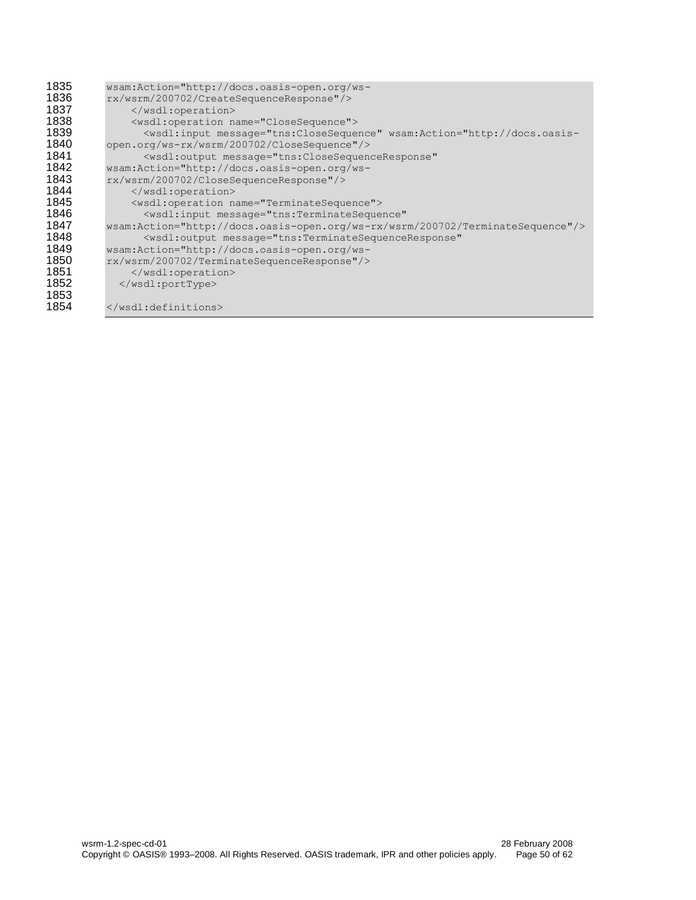| 1835 | wsam:Action="http://docs.oasis-open.org/ws-                                                                                                                                                             |
|------|---------------------------------------------------------------------------------------------------------------------------------------------------------------------------------------------------------|
| 1836 | rx/wsrm/200702/CreateSequenceResponse"/>                                                                                                                                                                |
| 1837 |                                                                                                                                                                                                         |
| 1838 | <wsdl:operation name="CloseSequence"></wsdl:operation>                                                                                                                                                  |
| 1839 | <wsdl:input action="http://docs.oasis-&lt;/th&gt;&lt;/tr&gt;&lt;tr&gt;&lt;th&gt;1840&lt;/th&gt;&lt;th&gt;open.org/ws-rx/wsrm/200702/CloseSequence" message="tns: Close Sequence" wsam:=""></wsdl:input> |
| 1841 | <wsdl:output <="" message="tns:CloseSequenceResponse" th=""></wsdl:output>                                                                                                                              |
| 1842 | wsam:Action="http://docs.oasis-open.org/ws-                                                                                                                                                             |
| 1843 | rx/wsrm/200702/CloseSequenceResponse"/>                                                                                                                                                                 |
| 1844 | $\langle$ /wsdl:operation>                                                                                                                                                                              |
| 1845 | <wsdl:operation name="TerminateSequence"></wsdl:operation>                                                                                                                                              |
| 1846 | <wsdl:input <="" message="tns:TerminateSequence" th=""></wsdl:input>                                                                                                                                    |
| 1847 | wsam:Action="http://docs.oasis-open.org/ws-rx/wsrm/200702/TerminateSequence"/>                                                                                                                          |
| 1848 | <wsdl:output <="" message="tns:TerminateSequenceResponse" th=""></wsdl:output>                                                                                                                          |
| 1849 | wsam:Action="http://docs.oasis-open.org/ws-                                                                                                                                                             |
| 1850 | rx/wsrm/200702/TerminateSequenceResponse"/>                                                                                                                                                             |
| 1851 |                                                                                                                                                                                                         |
| 1852 |                                                                                                                                                                                                         |
| 1853 |                                                                                                                                                                                                         |
| 1854 |                                                                                                                                                                                                         |
|      |                                                                                                                                                                                                         |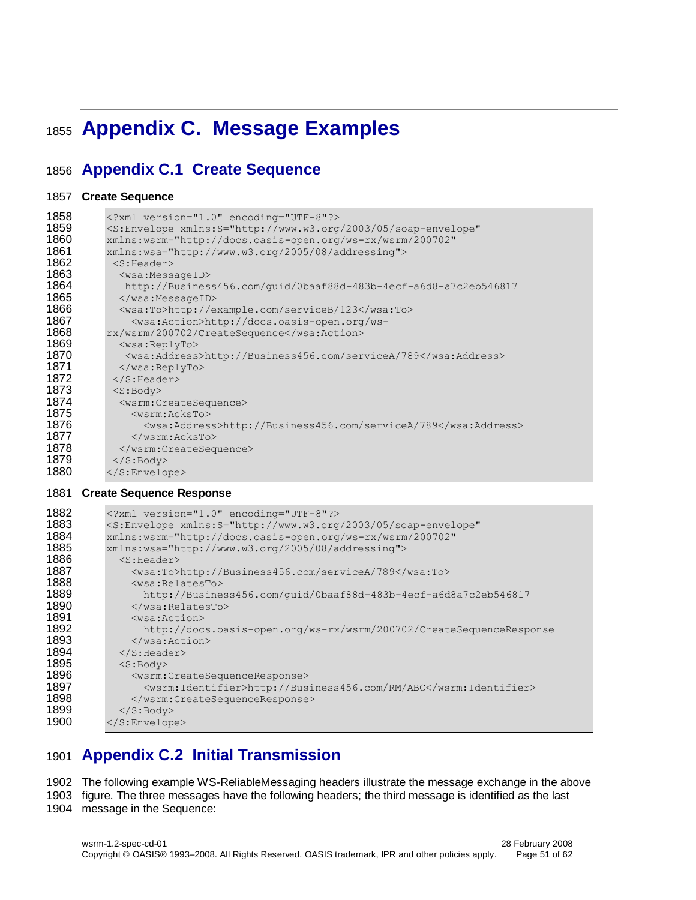# <span id="page-50-0"></span>**Appendix C. Message Examples**

# <span id="page-50-1"></span>**Appendix C.1 Create Sequence**

#### **Create Sequence**

| 1858 | xml version="1.0" encoding="UTF-8"?                                                    |
|------|----------------------------------------------------------------------------------------|
| 1859 | <s:envelope <="" th="" xmlns:s="http://www.w3.org/2003/05/soap-envelope"></s:envelope> |
| 1860 | xmlns:wsrm="http://docs.oasis-open.org/ws-rx/wsrm/200702"                              |
| 1861 | xmlns:wsa="http://www.w3.org/2005/08/addressing">                                      |
| 1862 | $<$ S: Header>                                                                         |
| 1863 | <wsa:messageid></wsa:messageid>                                                        |
| 1864 | http://Business456.com/guid/0baaf88d-483b-4ecf-a6d8-a7c2eb546817                       |
| 1865 |                                                                                        |
| 1866 | <wsa:to>http://example.com/serviceB/123</wsa:to>                                       |
| 1867 | <wsa:action>http://docs.oasis-open.org/ws-</wsa:action>                                |
| 1868 | rx/wsrm/200702/CreateSequence                                                          |
| 1869 | <wsa:replyto></wsa:replyto>                                                            |
| 1870 | <wsa:address>http://Business456.com/serviceA/789</wsa:address>                         |
| 1871 | $\langle$ /wsa:ReplyTo>                                                                |
| 1872 | $\langle$ /S:Header>                                                                   |
| 1873 | $<$ S:Body>                                                                            |
| 1874 | <wsrm:createsequence></wsrm:createsequence>                                            |
| 1875 | <wsrm:acksto></wsrm:acksto>                                                            |
| 1876 | <wsa:address>http://Business456.com/serviceA/789</wsa:address>                         |
| 1877 | $\langle$ /wsrm:AcksTo>                                                                |
| 1878 |                                                                                        |
| 1879 | $\langle$ /S:Body>                                                                     |
| 1880 |                                                                                        |
| 1881 | <b>Create Sequence Response</b>                                                        |
| 1882 | xml version="1.0" encoding="UTF-8"?                                                    |
| 1883 | <s:envelope <="" th="" xmlns:s="http://www.w3.org/2003/05/soap-envelope"></s:envelope> |
| 1884 | xmlns:wsrm="http://docs.oasis-open.org/ws-rx/wsrm/200702"                              |
| 1885 | $xmlns:wsa="http://www.w3.org/2005/08/addressing"$                                     |

```
1885 xmlns:wsa="http://www.w3.org/2005/08/addressing">
1886 <s: Header><br>1887 < wsa: To
1887 <wsa:To>http://Business456.com/serviceA/789</wsa:To>
1888 <wsa:RelatesTo><br>1889 http://Busine.
1889 http://Business456.com/guid/0baaf88d-483b-4ecf-a6d8a7c2eb546817<br>1890 </wsa:RelatesTo>
1890 </wsa:RelatesTo><br>1891 <wsa:Action>
                <wsa:Action>
1892 http://docs.oasis-open.org/ws-rx/wsrm/200702/CreateSequenceResponse<br>1893 </wsa:Action>
1893 </wsa:Action><br>1894 </s:Header>
1894 \langle/S:Header><br>1895 \langleS:Body>
1895 <s:Body><br>1896 <wsrm:
1896 <wsrm:CreateSequenceResponse>
1897 <wsrm:Identifier>http://Business456.com/RM/ABC</wsrm:Identifier><br>1898 </wsrm:CreateSequenceResponse>
                </wsrm:CreateSequenceResponse>
1899 </S:Body><br>1900 </S:Envelop
           </S:Envelope>
```
# <span id="page-50-2"></span>**Appendix C.2 Initial Transmission**

The following example WS-ReliableMessaging headers illustrate the message exchange in the above

 figure. The three messages have the following headers; the third message is identified as the last message in the Sequence: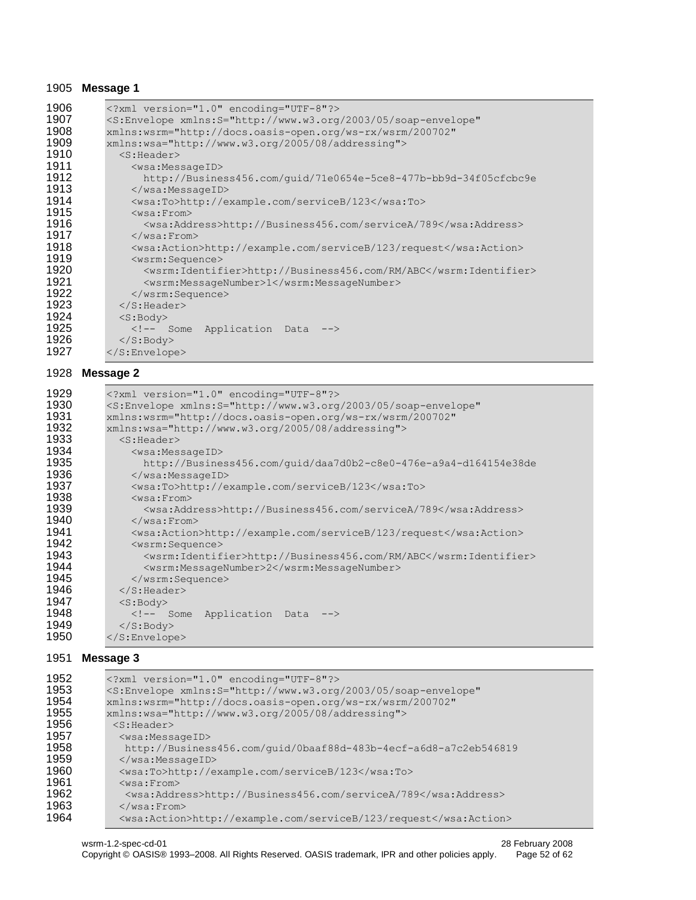#### **Message 1**

| 1906 | xml version="1.0" encoding="UTF-8"?                                                    |
|------|----------------------------------------------------------------------------------------|
| 1907 | <s:envelope <="" th="" xmlns:s="http://www.w3.org/2003/05/soap-envelope"></s:envelope> |
| 1908 | xmlns:wsrm="http://docs.oasis-open.org/ws-rx/wsrm/200702"                              |
| 1909 | xmlns:wsa="http://www.w3.org/2005/08/addressing">                                      |
| 1910 | $<$ S:Header>                                                                          |
| 1911 | <wsa:messageid></wsa:messageid>                                                        |
| 1912 | http://Business456.com/quid/71e0654e-5ce8-477b-bb9d-34f05cfcbc9e                       |
| 1913 |                                                                                        |
| 1914 | <wsa:to>http://example.com/serviceB/123</wsa:to>                                       |
| 1915 | $<$ wsa: From>                                                                         |
| 1916 | <wsa:address>http://Business456.com/serviceA/789</wsa:address>                         |
| 1917 | $\langle$ /wsa:From>                                                                   |
| 1918 | <wsa:action>http://example.com/serviceB/123/request</wsa:action>                       |
| 1919 | <wsrm:sequence></wsrm:sequence>                                                        |
| 1920 | <wsrm:identifier>http://Business456.com/RM/ABC</wsrm:identifier>                       |
| 1921 | <wsrm:messagenumber>1</wsrm:messagenumber>                                             |
| 1922 |                                                                                        |
| 1923 | $\langle$ /S: Header>                                                                  |
| 1924 | $<$ S:Body>                                                                            |
| 1925 | Some Application Data                                                                  |
| 1926 | $\langle$ S: Body>                                                                     |
| 1927 | $\langle$ /S:Envelope>                                                                 |

#### **Message 2**

| 1929 | xml version="1.0" encoding="UTF-8"?                                                    |
|------|----------------------------------------------------------------------------------------|
| 1930 | <s:envelope <="" th="" xmlns:s="http://www.w3.org/2003/05/soap-envelope"></s:envelope> |
| 1931 | xmlns:wsrm="http://docs.oasis-open.org/ws-rx/wsrm/200702"                              |
| 1932 | xmlns:wsa="http://www.w3.org/2005/08/addressing">                                      |
| 1933 | $<$ S:Header>                                                                          |
| 1934 | <wsa:messageid></wsa:messageid>                                                        |
| 1935 | http://Business456.com/quid/daa7d0b2-c8e0-476e-a9a4-d164154e38de                       |
| 1936 |                                                                                        |
| 1937 | <wsa:to>http://example.com/serviceB/123</wsa:to>                                       |
| 1938 | $<$ wsa: From $>$                                                                      |
| 1939 | <wsa:address>http://Business456.com/serviceA/789</wsa:address>                         |
| 1940 | $\langle$ /wsa:From>                                                                   |
| 1941 | <wsa:action>http://example.com/serviceB/123/request</wsa:action>                       |
| 1942 | <wsrm:sequence></wsrm:sequence>                                                        |
| 1943 | <wsrm:identifier>http://Business456.com/RM/ABC</wsrm:identifier>                       |
| 1944 | <wsrm:messagenumber>2</wsrm:messagenumber>                                             |
| 1945 |                                                                                        |
| 1946 | $\langle$ /S: Header>                                                                  |
| 1947 | $<$ S:Body>                                                                            |
| 1948 | Some Application Data                                                                  |
| 1949 | $\langle$ /S: Body>                                                                    |
| 1950 | $\langle$ /S:Envelope>                                                                 |

#### **Message 3**

| 1952 | xml version="1.0" encoding="UTF-8"?                                                    |
|------|----------------------------------------------------------------------------------------|
| 1953 | <s:envelope <="" th="" xmlns:s="http://www.w3.org/2003/05/soap-envelope"></s:envelope> |
| 1954 | xmlns:wsrm="http://docs.oasis-open.org/ws-rx/wsrm/200702"                              |
| 1955 | xmlns:wsa="http://www.w3.org/2005/08/addressing">                                      |
| 1956 | $<$ S: Header>                                                                         |
| 1957 | $<$ wsa:MessageID>                                                                     |
| 1958 | http://Business456.com/quid/0baaf88d-483b-4ecf-a6d8-a7c2eb546819                       |
| 1959 | $\langle$ /wsa:MessageID>                                                              |
| 1960 | <wsa:to>http://example.com/serviceB/123</wsa:to>                                       |
| 1961 | $<$ wsa: $From$                                                                        |
| 1962 | <wsa:address>http://Business456.com/serviceA/789</wsa:address>                         |
| 1963 | $\langle$ /wsa:From>                                                                   |
| 1964 | <wsa:action>http://example.com/serviceB/123/request</wsa:action>                       |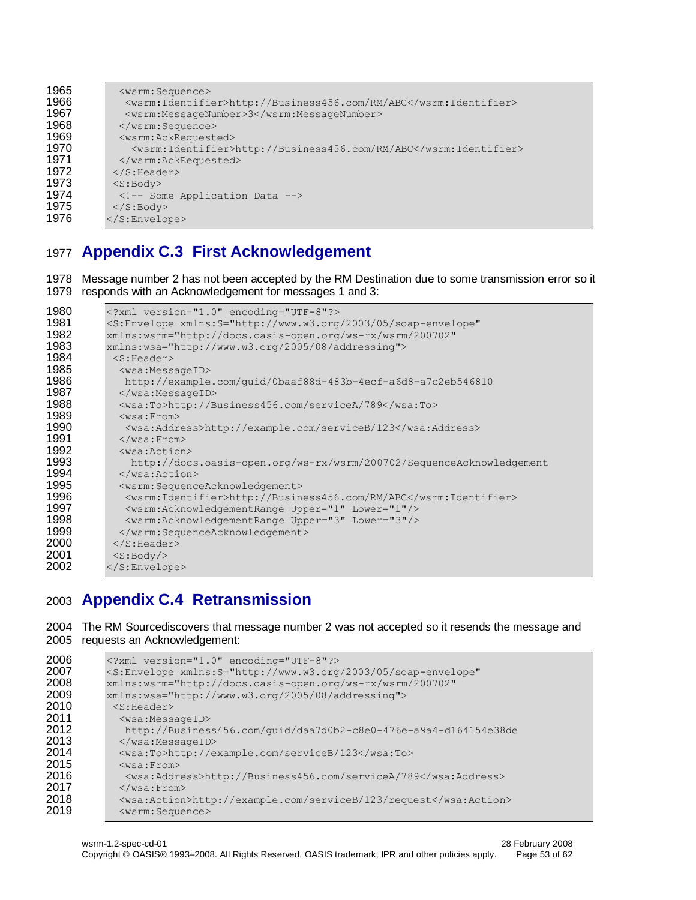| 1965 | <wsrm:sequence></wsrm:sequence>                                  |
|------|------------------------------------------------------------------|
| 1966 | <wsrm:identifier>http://Business456.com/RM/ABC</wsrm:identifier> |
| 1967 | <wsrm:messagenumber>3</wsrm:messagenumber>                       |
| 1968 | $\langle$ /wsrm:Sequence>                                        |
| 1969 | <wsrm:ackrequested></wsrm:ackrequested>                          |
| 1970 | <wsrm:identifier>http://Business456.com/RM/ABC</wsrm:identifier> |
| 1971 |                                                                  |
| 1972 | $\langle$ S:Header>                                              |
| 1973 | $<$ S:Body>                                                      |
| 1974 | Some Application Data                                            |
| 1975 | $\langle$ /S:Body>                                               |
| 1976 | $\langle$ /S:Envelope>                                           |
|      |                                                                  |

## <span id="page-52-0"></span>**Appendix C.3 First Acknowledgement**

 Message number 2 has not been accepted by the RM Destination due to some transmission error so it responds with an Acknowledgement for messages 1 and 3:

```
1980 <?xml version="1.0" encoding="UTF-8"?><br>1981 <S:Envelope xmlns:S="http://www.w3.org
1981 < S: Envelope xmlns: S="http://www.w3.org/2003/05/soap-envelope"<br>1982 xmlns: wsrm="http://docs.oasis-open.org/ws-rx/wsrm/200702"
1982 xmlns:wsrm="http://docs.oasis-open.org/ws-rx/wsrm/200702"<br>1983 xmlns:wsa="http://www.w3.org/2005/08/addressing">
1983 xmlns:wsa="http://www.w3.org/2005/08/addressing">
1984 <S:Header>
1985 <wsa:MessageID><br>1986 http://example
1986 http://example.com/guid/0baaf88d-483b-4ecf-a6d8-a7c2eb546810<br>1987 </wsa:MessageID>
              </wsa:MessageID>
1988 <wsa:To>http://Business456.com/serviceA/789</wsa:To><br>1989 <wsa:From>
1989 <wsa:From>
1990 <wsa:Address>http://example.com/serviceB/123</wsa:Address>
1991 </wsa:From><br>1992 <wsa:Action
1992 <wsa:Action><br>1993 http://doc
1993 http://docs.oasis-open.org/ws-rx/wsrm/200702/SequenceAcknowledgement<br>1994 </wsa:Action>
              </wsa:Action>
1995 <wsrm:SequenceAcknowledgement>
1996 <wsrm:Identifier>http://Business456.com/RM/ABC</wsrm:Identifier>
1997 <wsrm:AcknowledgementRange Upper="1" Lower="1"/>
1998 <wsrm:AcknowledgementRange Upper="3" Lower="3"/><br>1999 </wsrm:SequenceAcknowledgement>
1999 </wsrm:SequenceAcknowledgement><br>2000 </S:Header>
2000 \langle/S:Header><br>2001 \langleS:Body/>
             <S:Body/>
2002 </S:Envelope>
```
## <span id="page-52-1"></span>**Appendix C.4 Retransmission**

 The RM Sourcediscovers that message number 2 was not accepted so it resends the message and requests an Acknowledgement:

| 2006 | xml version="1.0" encoding="UTF-8"?                                                    |
|------|----------------------------------------------------------------------------------------|
| 2007 | <s:envelope <="" th="" xmlns:s="http://www.w3.org/2003/05/soap-envelope"></s:envelope> |
| 2008 | xmlns:wsrm="http://docs.oasis-open.org/ws-rx/wsrm/200702"                              |
| 2009 | xmlns:wsa="http://www.w3.org/2005/08/addressing">                                      |
| 2010 | $<$ S:Header>                                                                          |
| 2011 | <wsa:messageid></wsa:messageid>                                                        |
| 2012 | http://Business456.com/quid/daa7d0b2-c8e0-476e-a9a4-d164154e38de                       |
| 2013 | $\langle$ /wsa:MessageID>                                                              |
| 2014 | <wsa:to>http://example.com/serviceB/123</wsa:to>                                       |
| 2015 | $<$ wsa: $From$                                                                        |
| 2016 | <wsa:address>http://Business456.com/serviceA/789</wsa:address>                         |
| 2017 | $\langle$ /wsa: From>                                                                  |
| 2018 | <wsa:action>http://example.com/serviceB/123/request</wsa:action>                       |
| 2019 | <wsrm:sequence></wsrm:sequence>                                                        |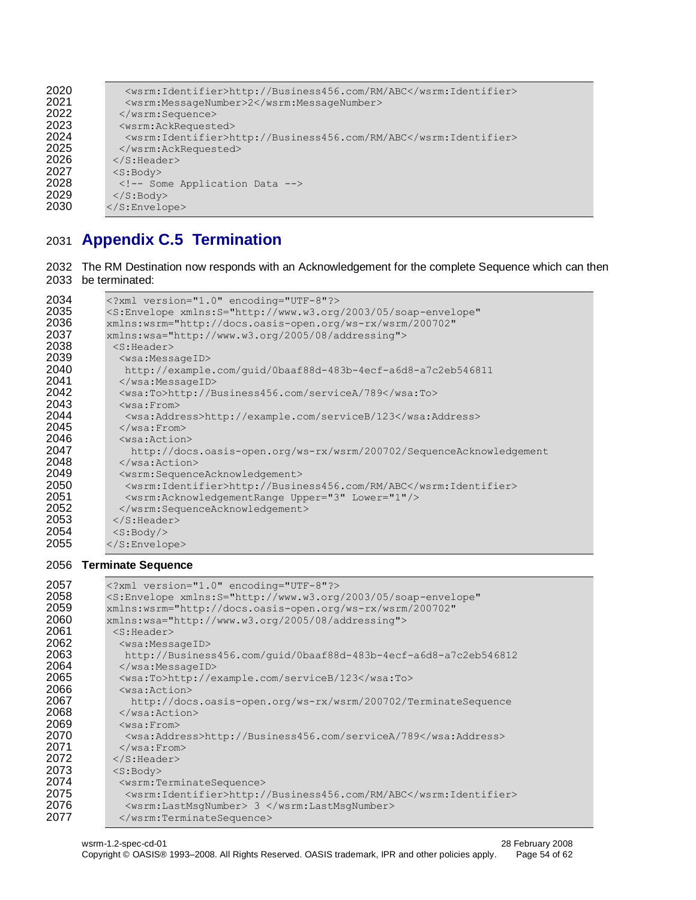| 2020 | <wsrm:identifier>http://Business456.com/RM/ABC</wsrm:identifier> |
|------|------------------------------------------------------------------|
| 2021 | <wsrm:messagenumber>2</wsrm:messagenumber>                       |
| 2022 | $\langle$ /wsrm:Sequence>                                        |
| 2023 | <wsrm:ackrequested></wsrm:ackrequested>                          |
| 2024 | <wsrm:identifier>http://Business456.com/RM/ABC</wsrm:identifier> |
| 2025 |                                                                  |
| 2026 | $\langle$ /S:Header>                                             |
| 2027 | $<$ S:Body>                                                      |
| 2028 | Some Application Data                                            |
| 2029 | $\langle$ /S:Body>                                               |
| 2030 | $\langle$ /S:Envelope>                                           |
|      |                                                                  |

# <span id="page-53-0"></span>**Appendix C.5 Termination**

```
2032 The RM Destination now responds with an Acknowledgement for the complete Sequence which can then 
2033 be terminated:
```

| 2034 | xml version="1.0" encoding="UTF-8"?                                                    |
|------|----------------------------------------------------------------------------------------|
| 2035 | <s:envelope <="" th="" xmlns:s="http://www.w3.org/2003/05/soap-envelope"></s:envelope> |
| 2036 | xmlns:wsrm="http://docs.oasis-open.org/ws-rx/wsrm/200702"                              |
| 2037 | xmlns:wsa="http://www.w3.org/2005/08/addressing">                                      |
| 2038 | $<$ S: Header>                                                                         |
| 2039 | <wsa:messageid></wsa:messageid>                                                        |
| 2040 | http://example.com/quid/0baaf88d-483b-4ecf-a6d8-a7c2eb546811                           |
| 2041 | $\langle$ /wsa:MessageID>                                                              |
| 2042 | <wsa:to>http://Business456.com/serviceA/789</wsa:to>                                   |
| 2043 | $<$ wsa: From $>$                                                                      |
| 2044 | <wsa:address>http://example.com/serviceB/123</wsa:address>                             |
| 2045 | $\langle$ /wsa:From>                                                                   |
| 2046 | $<$ wsa: Action $>$                                                                    |
| 2047 | http://docs.oasis-open.org/ws-rx/wsrm/200702/SequenceAcknowledgement                   |
| 2048 | $\langle$ /wsa:Action>                                                                 |
| 2049 | <wsrm:sequenceacknowledgement></wsrm:sequenceacknowledgement>                          |
| 2050 | <wsrm:identifier>http://Business456.com/RM/ABC</wsrm:identifier>                       |
| 2051 | <wsrm:acknowledgementrange lower="1" upper="3"></wsrm:acknowledgementrange>            |
| 2052 |                                                                                        |
| 2053 | $\langle$ /S:Header>                                                                   |
| 2054 | $<$ S:Body/>                                                                           |
| 2055 | $\langle$ /S:Envelope>                                                                 |

#### **Terminate Sequence**

| 2057 | xml version="1.0" encoding="UTF-8"?                                                    |
|------|----------------------------------------------------------------------------------------|
| 2058 | <s:envelope <="" th="" xmlns:s="http://www.w3.org/2003/05/soap-envelope"></s:envelope> |
| 2059 | xmlns:wsrm="http://docs.oasis-open.org/ws-rx/wsrm/200702"                              |
| 2060 | xmlns:wsa="http://www.w3.org/2005/08/addressing">                                      |
| 2061 | $<$ S: Header>                                                                         |
| 2062 | <wsa:messageid></wsa:messageid>                                                        |
| 2063 | http://Business456.com/quid/0baaf88d-483b-4ecf-a6d8-a7c2eb546812                       |
| 2064 |                                                                                        |
| 2065 | <wsa:to>http://example.com/serviceB/123</wsa:to>                                       |
| 2066 | $<$ wsa: Action $>$                                                                    |
| 2067 | http://docs.oasis-open.org/ws-rx/wsrm/200702/TerminateSequence                         |
| 2068 |                                                                                        |
| 2069 | $<$ wsa: $From$                                                                        |
| 2070 | <wsa:address>http://Business456.com/serviceA/789</wsa:address>                         |
| 2071 | $\langle$ /wsa:From>                                                                   |
| 2072 | $\langle$ /S:Header>                                                                   |
| 2073 | $<$ S: Body>                                                                           |
| 2074 | <wsrm:terminatesequence></wsrm:terminatesequence>                                      |
| 2075 | <wsrm:identifier>http://Business456.com/RM/ABC</wsrm:identifier>                       |
| 2076 | <wsrm:lastmsqnumber> 3 </wsrm:lastmsqnumber>                                           |
| 2077 |                                                                                        |
|      |                                                                                        |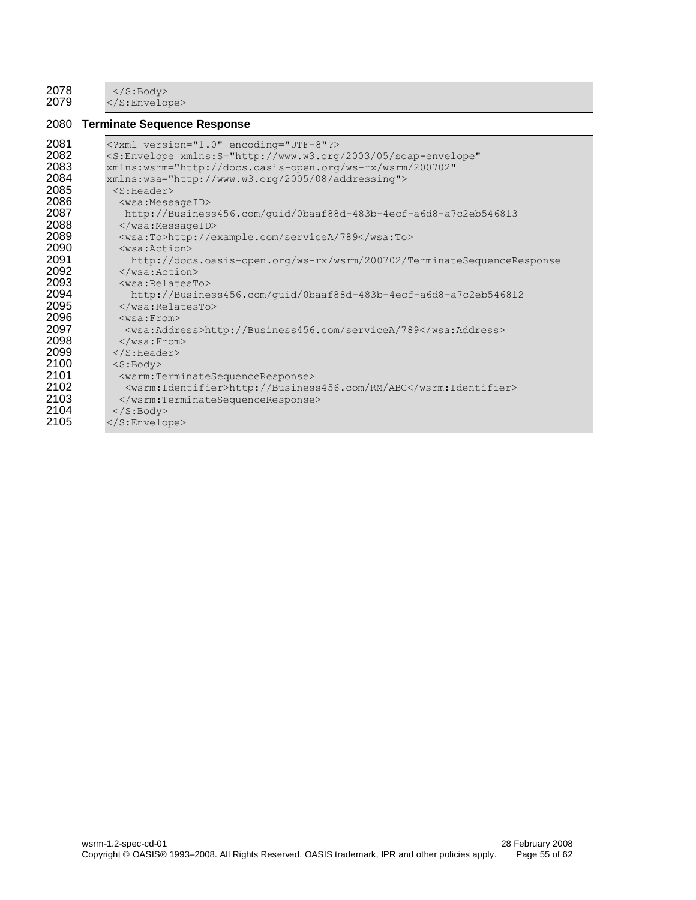2078 </S:Body><br>2079 </S:Envelop  $\langle$ /S:Envelope>

#### **Terminate Sequence Response**

| 2081 | xml version="1.0" encoding="UTF-8"?                                                    |
|------|----------------------------------------------------------------------------------------|
| 2082 | <s:envelope <="" th="" xmlns:s="http://www.w3.org/2003/05/soap-envelope"></s:envelope> |
| 2083 | xmlns:wsrm="http://docs.oasis-open.org/ws-rx/wsrm/200702"                              |
| 2084 | xmlns:wsa="http://www.w3.org/2005/08/addressing">                                      |
| 2085 | $<$ S:Header>                                                                          |
| 2086 | <wsa:messageid></wsa:messageid>                                                        |
| 2087 | http://Business456.com/quid/0baaf88d-483b-4ecf-a6d8-a7c2eb546813                       |
| 2088 |                                                                                        |
| 2089 | <wsa:to>http://example.com/serviceA/789</wsa:to>                                       |
| 2090 | $<$ wsa: Action $>$                                                                    |
| 2091 | http://docs.oasis-open.org/ws-rx/wsrm/200702/TerminateSequenceResponse                 |
| 2092 | $\langle$ /wsa:Action>                                                                 |
| 2093 | $<$ wsa:RelatesTo $>$                                                                  |
| 2094 | http://Business456.com/quid/0baaf88d-483b-4ecf-a6d8-a7c2eb546812                       |
| 2095 | $\langle$ /wsa:RelatesTo>                                                              |
| 2096 | $<$ wsa: $From$ >                                                                      |
| 2097 | <wsa:address>http://Business456.com/serviceA/789</wsa:address>                         |
| 2098 | $\langle$ /wsa: From>                                                                  |
| 2099 | $\langle$ /S:Header>                                                                   |
| 2100 | $<$ S: Body>                                                                           |
| 2101 | <wsrm:terminatesequenceresponse></wsrm:terminatesequenceresponse>                      |
| 2102 | <wsrm:identifier>http://Business456.com/RM/ABC</wsrm:identifier>                       |
| 2103 |                                                                                        |
| 2104 | $\langle$ /S:Body>                                                                     |
| 2105 | $\langle$ /S:Envelope>                                                                 |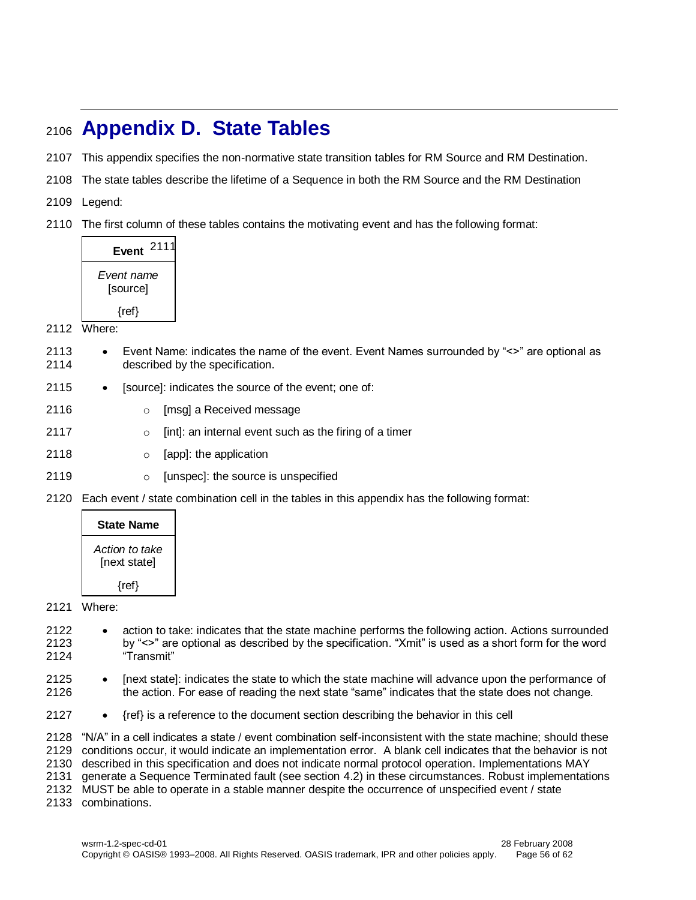# <span id="page-55-0"></span>**Appendix D. State Tables**

- This appendix specifies the non-normative state transition tables for RM Source and RM Destination.
- The state tables describe the lifetime of a Sequence in both the RM Source and the RM Destination
- Legend:
- The first column of these tables contains the motivating event and has the following format:

| 2111<br><b>Event</b>   |
|------------------------|
| Event name<br>[source] |
| $\{ref\}$              |

- Where:
- Event Name: indicates the name of the event. Event Names surrounded by "<>" are optional as described by the specification.
- 2115 [source]: indicates the source of the event; one of:
- **b c** [msg] a Received message
- o [int]: an internal event such as the firing of a timer
- o [app]: the application
- **b c** [unspec]: the source is unspecified
- Each event / state combination cell in the tables in this appendix has the following format:

| <b>State Name</b>              |
|--------------------------------|
| Action to take<br>[next state] |
| $\{ref\}$                      |

#### Where:

- 2122 action to take: indicates that the state machine performs the following action. Actions surrounded by "<>" are optional as described by the specification. "Xmit" is used as a short form for the word "Transmit"
- 2125 [next state]: indicates the state to which the state machine will advance upon the performance of the action. For ease of reading the next state "same" indicates that the state does not change.
- 2127  $\bullet$  {ref} is a reference to the document section describing the behavior in this cell

 "N/A" in a cell indicates a state / event combination self-inconsistent with the state machine; should these conditions occur, it would indicate an implementation error. A blank cell indicates that the behavior is not described in this specification and does not indicate normal protocol operation. Implementations MAY generate a Sequence Terminated fault (see section [4.2\)](#page-31-0) in these circumstances. Robust implementations MUST be able to operate in a stable manner despite the occurrence of unspecified event / state combinations.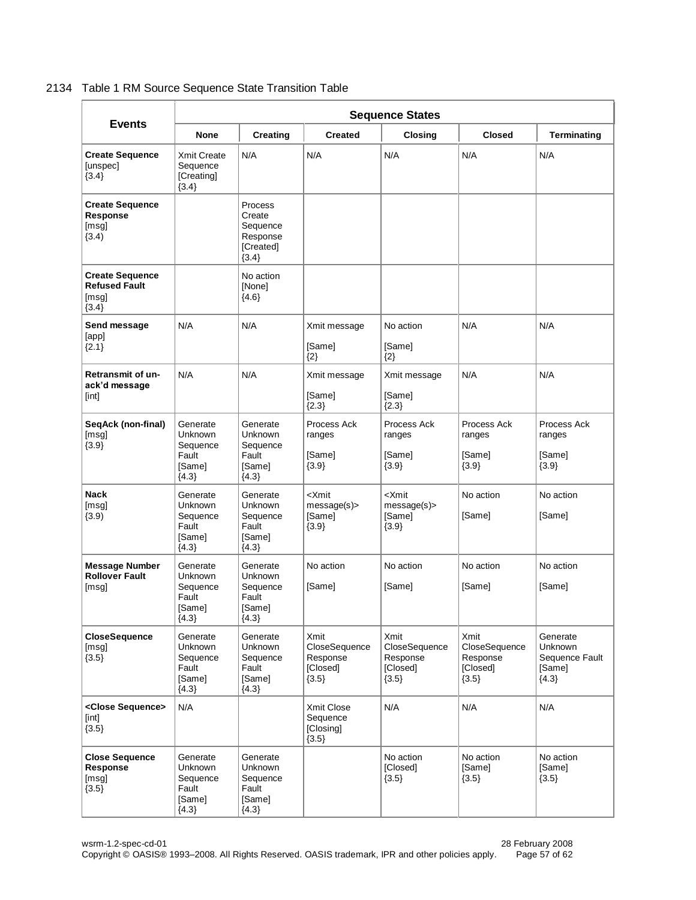#### 2134 Table 1 RM Source Sequence State Transition Table

|                                                                    | <b>Sequence States</b>                                               |                                                                      |                                                                 |                                                                 |                                                          |                                                            |
|--------------------------------------------------------------------|----------------------------------------------------------------------|----------------------------------------------------------------------|-----------------------------------------------------------------|-----------------------------------------------------------------|----------------------------------------------------------|------------------------------------------------------------|
| <b>Events</b>                                                      | <b>None</b>                                                          | <b>Creating</b>                                                      | <b>Created</b>                                                  | <b>Closing</b>                                                  | <b>Closed</b>                                            | <b>Terminating</b>                                         |
| <b>Create Sequence</b><br>[unspec]<br>${3.4}$                      | <b>Xmit Create</b><br>Sequence<br><b>[Creating]</b><br>${3.4}$       | N/A                                                                  | N/A                                                             | N/A                                                             | N/A                                                      | N/A                                                        |
| <b>Create Sequence</b><br>Response<br>[msg]<br>(3.4)               |                                                                      | Process<br>Create<br>Sequence<br>Response<br>[Created]<br>${3.4}$    |                                                                 |                                                                 |                                                          |                                                            |
| <b>Create Sequence</b><br><b>Refused Fault</b><br>[msq]<br>${3.4}$ |                                                                      | No action<br>[None]<br>${4.6}$                                       |                                                                 |                                                                 |                                                          |                                                            |
| Send message<br>[app]<br>${2.1}$                                   | N/A                                                                  | N/A                                                                  | Xmit message<br>[Same]<br>${2}$                                 | No action<br>[Same]<br>$\{2\}$                                  | N/A                                                      | N/A                                                        |
| <b>Retransmit of un-</b><br>ack'd message<br>[int]                 | N/A                                                                  | N/A                                                                  | Xmit message<br>[Same]<br>${2.3}$                               | Xmit message<br>[Same]<br>${2.3}$                               | N/A                                                      | N/A                                                        |
| SeqAck (non-final)<br>[msq]<br>${3.9}$                             | Generate<br><b>Unknown</b><br>Sequence<br>Fault<br>[Same]<br>${4.3}$ | Generate<br>Unknown<br>Sequence<br>Fault<br>[Same]<br>${4.3}$        | Process Ack<br>ranges<br>[Same]<br>${3.9}$                      | Process Ack<br>ranges<br>[Same]<br>${3.9}$                      | Process Ack<br>ranges<br>[Same]<br>${3.9}$               | Process Ack<br>ranges<br>[Same]<br>${3.9}$                 |
| <b>Nack</b><br>[msq]<br>(3.9)                                      | Generate<br><b>Unknown</b><br>Sequence<br>Fault<br>[Same]<br>${4.3}$ | Generate<br><b>Unknown</b><br>Sequence<br>Fault<br>[Same]<br>${4.3}$ | <xmit<br>message(s)<br/>[Same]<br/><math>{3.9}</math></xmit<br> | <xmit<br>message(s)<br/>[Same]<br/><math>{3.9}</math></xmit<br> | No action<br>[Same]                                      | No action<br>[Same]                                        |
| <b>Message Number</b><br><b>Rollover Fault</b><br>[msg]            | Generate<br><b>Unknown</b><br>Sequence<br>Fault<br>[Same]<br>${4.3}$ | Generate<br><b>Unknown</b><br>Sequence<br>Fault<br>[Same]<br>${4.3}$ | No action<br>[Same]                                             | No action<br>[Same]                                             | No action<br>[Same]                                      | No action<br>[Same]                                        |
| <b>CloseSequence</b><br>[msg]<br>${3.5}$                           | Generate<br>Unknown<br>Sequence<br>Fault<br>[Same]<br>${4.3}$        | Generate<br>Unknown<br>Sequence<br>Fault<br>[Same]<br>${4.3}$        | Xmit<br>CloseSequence<br>Response<br>[Closed]<br>${3.5}$        | Xmit<br>CloseSequence<br>Response<br>[Closed]<br>${3.5}$        | Xmit<br>CloseSequence<br>Response<br>[Closed]<br>${3.5}$ | Generate<br>Unknown<br>Sequence Fault<br>[Same]<br>${4.3}$ |
| <close sequence=""><br/>[int]<br/><math>{3.5}</math></close>       | N/A                                                                  |                                                                      | Xmit Close<br>Sequence<br>[Closing]<br>${3.5}$                  | N/A                                                             | N/A                                                      | N/A                                                        |
| <b>Close Sequence</b><br>Response<br>[msg]<br>${3.5}$              | Generate<br>Unknown<br>Sequence<br>Fault<br>[Same]<br>${4.3}$        | Generate<br>Unknown<br>Sequence<br>Fault<br>[Same]<br>${4.3}$        |                                                                 | No action<br>[Closed]<br>${3.5}$                                | No action<br>[Same]<br>${3.5}$                           | No action<br>[Same]<br>${3.5}$                             |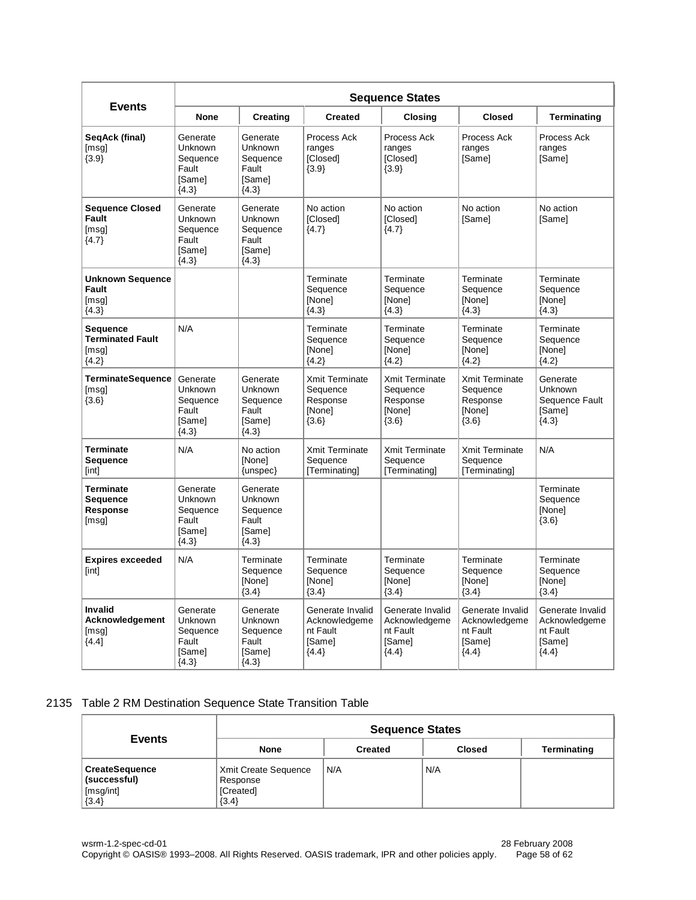|                                                             | <b>Sequence States</b>                                               |                                                                      |                                                                    |                                                                    |                                                                    |                                                                    |
|-------------------------------------------------------------|----------------------------------------------------------------------|----------------------------------------------------------------------|--------------------------------------------------------------------|--------------------------------------------------------------------|--------------------------------------------------------------------|--------------------------------------------------------------------|
| <b>Events</b>                                               | <b>None</b>                                                          | <b>Creating</b>                                                      | <b>Created</b>                                                     | <b>Closing</b>                                                     | <b>Closed</b>                                                      | <b>Terminating</b>                                                 |
| SeqAck (final)<br>[msg]<br>${3.9}$                          | Generate<br><b>Unknown</b><br>Sequence<br>Fault<br>[Same]<br>${4.3}$ | Generate<br><b>Unknown</b><br>Sequence<br>Fault<br>[Same]<br>${4.3}$ | Process Ack<br>ranges<br>[Closed]<br>${3.9}$                       | Process Ack<br>ranges<br>[Closed]<br>${3.9}$                       | Process Ack<br>ranges<br>[Same]                                    | Process Ack<br>ranges<br>[Same]                                    |
| <b>Sequence Closed</b><br>Fault<br>[msg]<br>${4.7}$         | Generate<br><b>Unknown</b><br>Sequence<br>Fault<br>[Same]<br>${4.3}$ | Generate<br><b>Unknown</b><br>Sequence<br>Fault<br>[Same]<br>${4.3}$ | No action<br>[Closed]<br>${4.7}$                                   | No action<br>[Closed]<br>${4.7}$                                   | No action<br>[Same]                                                | No action<br>[Same]                                                |
| <b>Unknown Sequence</b><br><b>Fault</b><br>[msg]<br>${4.3}$ |                                                                      |                                                                      | Terminate<br>Sequence<br>[None]<br>${4.3}$                         | Terminate<br>Sequence<br>[None]<br>${4.3}$                         | Terminate<br>Sequence<br>[None]<br>${4.3}$                         | Terminate<br>Sequence<br>[None]<br>${4.3}$                         |
| Sequence<br><b>Terminated Fault</b><br>[msq]<br>${4.2}$     | N/A                                                                  |                                                                      | Terminate<br>Sequence<br>[None]<br>${4.2}$                         | Terminate<br>Sequence<br>[None]<br>${4.2}$                         | Terminate<br>Sequence<br>[None]<br>${4.2}$                         | Terminate<br>Sequence<br>[None]<br>${4.2}$                         |
| <b>TerminateSequence</b><br>[msq]<br>${3.6}$                | Generate<br>Unknown<br>Sequence<br>Fault<br>[Same]<br>${4.3}$        | Generate<br><b>Unknown</b><br>Sequence<br>Fault<br>[Same]<br>${4.3}$ | <b>Xmit Terminate</b><br>Sequence<br>Response<br>[None]<br>${3.6}$ | Xmit Terminate<br>Sequence<br>Response<br>[None]<br>${3.6}$        | Xmit Terminate<br>Sequence<br>Response<br>[None]<br>${3.6}$        | Generate<br>Unknown<br>Sequence Fault<br>[Same]<br>${4.3}$         |
| <b>Terminate</b><br>Sequence<br>[int]                       | N/A                                                                  | No action<br>[None]<br>$\{unspec\}$                                  | Xmit Terminate<br>Sequence<br>[Terminating]                        | Xmit Terminate<br>Sequence<br>[Terminating]                        | Xmit Terminate<br>Sequence<br>[Terminating]                        | N/A                                                                |
| Terminate<br>Sequence<br>Response<br>[msg]                  | Generate<br><b>Unknown</b><br>Sequence<br>Fault<br>[Same]<br>${4.3}$ | Generate<br><b>Unknown</b><br>Sequence<br>Fault<br>[Same]<br>${4.3}$ |                                                                    |                                                                    |                                                                    | Terminate<br>Sequence<br>[None]<br>$\{3.6\}$                       |
| <b>Expires exceeded</b><br>[int]                            | N/A                                                                  | Terminate<br>Sequence<br>[None]<br>${3.4}$                           | Terminate<br>Sequence<br>[None]<br>${3.4}$                         | Terminate<br>Sequence<br>[None]<br>${3.4}$                         | Terminate<br>Sequence<br>[None]<br>${3.4}$                         | Terminate<br>Sequence<br>[None]<br>${3.4}$                         |
| Invalid<br>Acknowledgement<br>[msg]<br>${4.4}$              | Generate<br>Unknown<br>Sequence<br>Fault<br>[Same]<br>${4.3}$        | Generate<br>Unknown<br>Sequence<br>Fault<br>[Same]<br>${4.3}$        | Generate Invalid<br>Acknowledgeme<br>nt Fault<br>[Same]<br>${4.4}$ | Generate Invalid<br>Acknowledgeme<br>nt Fault<br>[Same]<br>${4.4}$ | Generate Invalid<br>Acknowledgeme<br>nt Fault<br>[Same]<br>${4.4}$ | Generate Invalid<br>Acknowledgeme<br>nt Fault<br>[Same]<br>${4.4}$ |

#### 2135 Table 2 RM Destination Sequence State Transition Table

| <b>Events</b>                                                 | <b>Sequence States</b>                                            |                |               |             |  |
|---------------------------------------------------------------|-------------------------------------------------------------------|----------------|---------------|-------------|--|
|                                                               | <b>None</b>                                                       | <b>Created</b> | <b>Closed</b> | Terminating |  |
| <b>CreateSequence</b><br>(successful)<br>[msg/int]<br>${3.4}$ | <b>Xmit Create Sequence</b><br>Response<br>[Created]<br>$\{3.4\}$ | N/A            | N/A           |             |  |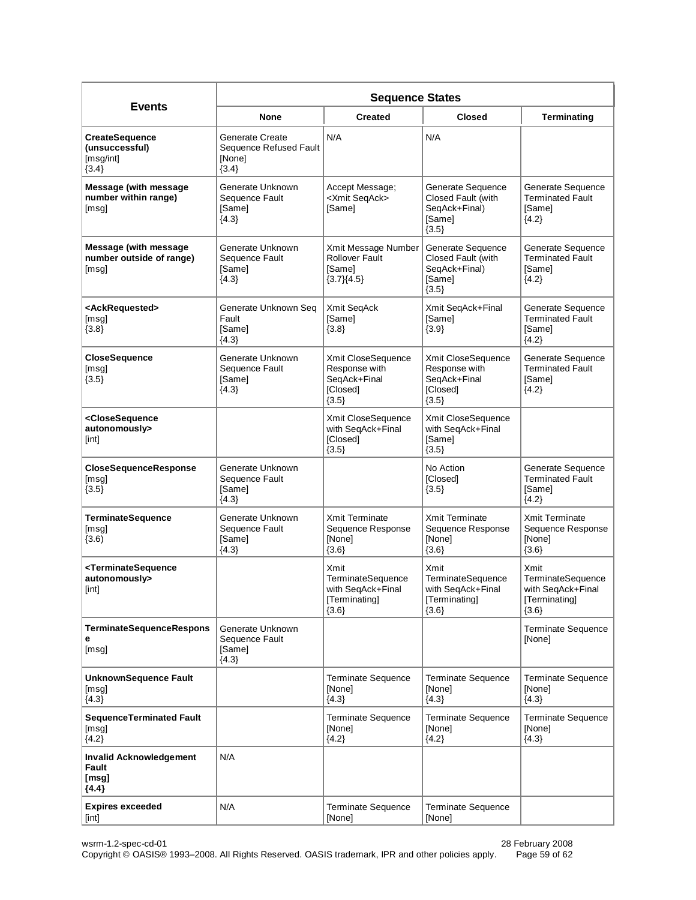|                                                                         | <b>Sequence States</b>                                                |                                                                            |                                                                               |                                                                            |  |  |
|-------------------------------------------------------------------------|-----------------------------------------------------------------------|----------------------------------------------------------------------------|-------------------------------------------------------------------------------|----------------------------------------------------------------------------|--|--|
| <b>Events</b>                                                           | <b>None</b>                                                           | <b>Created</b>                                                             | <b>Closed</b>                                                                 | <b>Terminating</b>                                                         |  |  |
| <b>CreateSequence</b><br>(unsuccessful)<br>[msg/int]<br>${3.4}$         | <b>Generate Create</b><br>Sequence Refused Fault<br>[None]<br>${3.4}$ | N/A                                                                        | N/A                                                                           |                                                                            |  |  |
| <b>Message (with message</b><br>number within range)<br>[msg]           | Generate Unknown<br>Sequence Fault<br>[Same]<br>${4.3}$               | Accept Message;<br><xmit seqack=""><br/>[Same]</xmit>                      | Generate Sequence<br>Closed Fault (with<br>SeqAck+Final)<br>[Same]<br>${3.5}$ | Generate Sequence<br><b>Terminated Fault</b><br>[Same]<br>${4.2}$          |  |  |
| <b>Message (with message</b><br>number outside of range)<br>[msg]       | Generate Unknown<br>Sequence Fault<br>[Same]<br>${4.3}$               | Xmit Message Number<br><b>Rollover Fault</b><br>[Same]<br>${3.7}{4.5}$     | Generate Sequence<br>Closed Fault (with<br>SeqAck+Final)<br>[Same]<br>${3.5}$ | Generate Sequence<br><b>Terminated Fault</b><br>[Same]<br>${4.2}$          |  |  |
| <ackrequested><br/>[msg]<br/><math>{3.8}</math></ackrequested>          | Generate Unknown Seq<br>Fault<br>[Same]<br>${4.3}$                    | Xmit SeqAck<br>[Same]<br>${3.8}$                                           | Xmit SeqAck+Final<br>[Same]<br>${3.9}$                                        | Generate Sequence<br><b>Terminated Fault</b><br>[Same]<br>${4.2}$          |  |  |
| <b>CloseSequence</b><br>[msq]<br>${3.5}$                                | Generate Unknown<br>Sequence Fault<br>[Same]<br>${4.3}$               | Xmit CloseSequence<br>Response with<br>SeqAck+Final<br>[Closed]<br>${3.5}$ | Xmit CloseSequence<br>Response with<br>SeqAck+Final<br>[Closed]<br>${3.5}$    | Generate Sequence<br><b>Terminated Fault</b><br>[Same]<br>${4.2}$          |  |  |
| <closesequence<br>autonomously&gt;<br/>[int]</closesequence<br>         |                                                                       | Xmit CloseSequence<br>with SeqAck+Final<br>[Closed]<br>${3.5}$             | Xmit CloseSequence<br>with SeqAck+Final<br>[Same]<br>${3.5}$                  |                                                                            |  |  |
| CloseSequenceResponse<br>[msg]<br>${3.5}$                               | Generate Unknown<br>Sequence Fault<br>[Same]<br>${4.3}$               |                                                                            | No Action<br>[Closed]<br>${3.5}$                                              | Generate Sequence<br><b>Terminated Fault</b><br>[Same]<br>${4.2}$          |  |  |
| <b>TerminateSequence</b><br>[msg]<br>(3.6)                              | Generate Unknown<br>Sequence Fault<br>[Same]<br>${4.3}$               | Xmit Terminate<br>Sequence Response<br>[None]<br>${3.6}$                   | <b>Xmit Terminate</b><br>Sequence Response<br>[None]<br>${3.6}$               | <b>Xmit Terminate</b><br>Sequence Response<br>[None]<br>${3.6}$            |  |  |
| <terminatesequence<br>autonomously&gt;<br/>[int]</terminatesequence<br> |                                                                       | Xmit<br>TerminateSequence<br>with SeqAck+Final<br>[Terminating]<br>${3.6}$ | Xmit<br>TerminateSequence<br>with SeqAck+Final<br>[Terminating]<br>${3.6}$    | Xmit<br>TerminateSequence<br>with SeqAck+Final<br>[Terminating]<br>${3.6}$ |  |  |
| <b>TerminateSequenceRespons</b><br>е<br>[msg]                           | Generate Unknown<br>Sequence Fault<br>[Same]<br>${4.3}$               |                                                                            |                                                                               | Terminate Sequence<br>[None]                                               |  |  |
| <b>UnknownSequence Fault</b><br>[msq]<br>${4.3}$                        |                                                                       | <b>Terminate Sequence</b><br>[None]<br>${4.3}$                             | <b>Terminate Sequence</b><br>[None]<br>${4.3}$                                | <b>Terminate Sequence</b><br>[None]<br>${4.3}$                             |  |  |
| <b>SequenceTerminated Fault</b><br>[msg]<br>${4.2}$                     |                                                                       | <b>Terminate Sequence</b><br>[None]<br>${4.2}$                             | <b>Terminate Sequence</b><br>[None]<br>${4.2}$                                | <b>Terminate Sequence</b><br>[None]<br>${4.3}$                             |  |  |
| <b>Invalid Acknowledgement</b><br>Fault<br>[msg]<br>${4.4}$             | N/A                                                                   |                                                                            |                                                                               |                                                                            |  |  |
| <b>Expires exceeded</b><br>[int]                                        | N/A                                                                   | Terminate Sequence<br>[None]                                               | Terminate Sequence<br>[None]                                                  |                                                                            |  |  |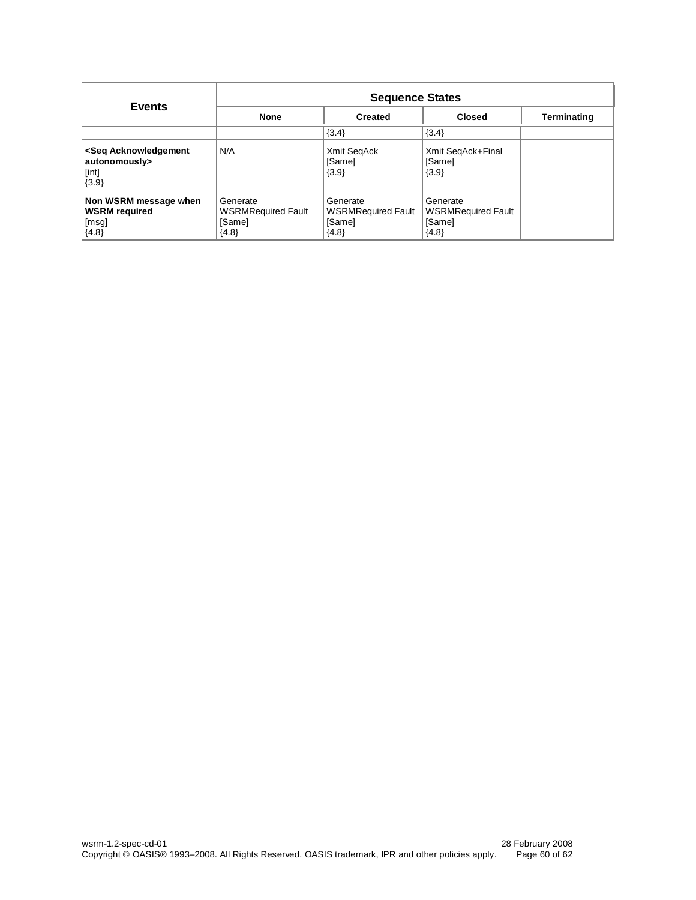| <b>Events</b>                                                                      | <b>Sequence States</b>                                     |                                                            |                                                            |             |  |
|------------------------------------------------------------------------------------|------------------------------------------------------------|------------------------------------------------------------|------------------------------------------------------------|-------------|--|
|                                                                                    | <b>None</b>                                                | <b>Created</b>                                             | <b>Closed</b>                                              | Terminating |  |
|                                                                                    |                                                            | $\{3.4\}$                                                  | $\{3.4\}$                                                  |             |  |
| <seq acknowledgement<br="">autonomously&gt;<br/>[int]<br/><math>{3.9}</math></seq> | N/A                                                        | Xmit SegAck<br>[Same]<br>${3.9}$                           | Xmit SeqAck+Final<br>[Same]<br>$\{3.9\}$                   |             |  |
| Non WSRM message when<br><b>WSRM</b> required<br>[msg]<br>${4.8}$                  | Generate<br><b>WSRMRequired Fault</b><br>[Same]<br>${4.8}$ | Generate<br><b>WSRMRequired Fault</b><br>[Same]<br>${4.8}$ | Generate<br><b>WSRMRequired Fault</b><br>[Same]<br>${4.8}$ |             |  |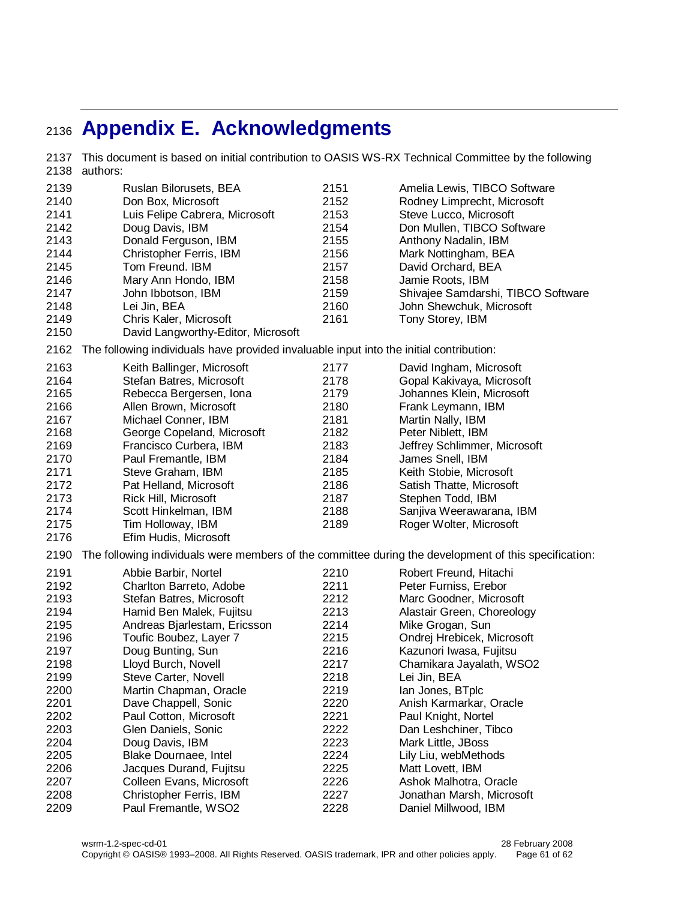# <span id="page-60-0"></span>**Appendix E. Acknowledgments**

 This document is based on initial contribution to OASIS WS-RX Technical Committee by the following authors: Ruslan Bilorusets, BEA Don Box, Microsoft Luis Felipe Cabrera, Microsoft Doug Davis, IBM Donald Ferguson, IBM Christopher Ferris, IBM Tom Freund. IBM Mary Ann Hondo, IBM John Ibbotson, IBM Lei Jin, BEA Chris Kaler, Microsoft David Langworthy-Editor, Microsoft Amelia Lewis, TIBCO Software Rodney Limprecht, Microsoft Steve Lucco, Microsoft Don Mullen, TIBCO Software Anthony Nadalin, IBM Mark Nottingham, BEA David Orchard, BEA Jamie Roots, IBM Shivajee Samdarshi, TIBCO Software John Shewchuk, Microsoft Tony Storey, IBM The following individuals have provided invaluable input into the initial contribution: Keith Ballinger, Microsoft Stefan Batres, Microsoft Rebecca Bergersen, Iona Allen Brown, Microsoft Michael Conner, IBM George Copeland, Microsoft Francisco Curbera, IBM Paul Fremantle, IBM Steve Graham, IBM Pat Helland, Microsoft Rick Hill, Microsoft Scott Hinkelman, IBM Tim Holloway, IBM Efim Hudis, Microsoft David Ingham, Microsoft Gopal Kakivaya, Microsoft Johannes Klein, Microsoft Frank Leymann, IBM Martin Nally, IBM Peter Niblett, IBM Jeffrey Schlimmer, Microsoft James Snell, IBM Keith Stobie, Microsoft Satish Thatte, Microsoft Stephen Todd, IBM Sanjiva Weerawarana, IBM Roger Wolter, Microsoft The following individuals were members of the committee during the development of this specification: Abbie Barbir, Nortel Charlton Barreto, Adobe Stefan Batres, Microsoft Hamid Ben Malek, Fujitsu Andreas Bjarlestam, Ericsson Toufic Boubez, Layer 7 Doug Bunting, Sun Lloyd Burch, Novell Steve Carter, Novell Martin Chapman, Oracle Dave Chappell, Sonic Paul Cotton, Microsoft Glen Daniels, Sonic Doug Davis, IBM Blake Dournaee, Intel Jacques Durand, Fujitsu Colleen Evans, Microsoft Christopher Ferris, IBM Paul Fremantle, WSO2 Robert Freund, Hitachi Peter Furniss, Erebor Marc Goodner, Microsoft Alastair Green, Choreology Mike Grogan, Sun Ondrej Hrebicek, Microsoft Kazunori Iwasa, Fujitsu Chamikara Jayalath, WSO2 Lei Jin, BEA Ian Jones, BTplc Anish Karmarkar, Oracle Paul Knight, Nortel Dan Leshchiner, Tibco Mark Little, JBoss Lily Liu, webMethods Matt Lovett, IBM Ashok Malhotra, Oracle Jonathan Marsh, Microsoft Daniel Millwood, IBM